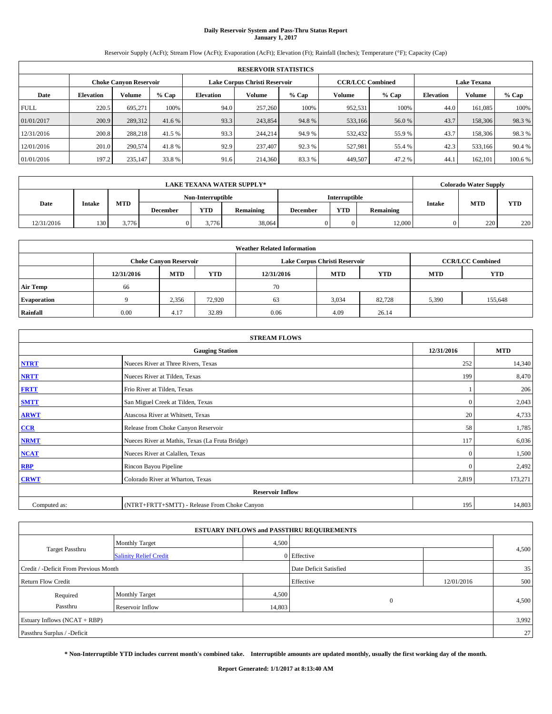# **Daily Reservoir System and Pass-Thru Status Report January 1, 2017**

Reservoir Supply (AcFt); Stream Flow (AcFt); Evaporation (AcFt); Elevation (Ft); Rainfall (Inches); Temperature (°F); Capacity (Cap)

| <b>RESERVOIR STATISTICS</b> |                  |                               |         |           |                               |         |                         |         |                  |                    |         |  |
|-----------------------------|------------------|-------------------------------|---------|-----------|-------------------------------|---------|-------------------------|---------|------------------|--------------------|---------|--|
|                             |                  | <b>Choke Canyon Reservoir</b> |         |           | Lake Corpus Christi Reservoir |         | <b>CCR/LCC Combined</b> |         |                  | <b>Lake Texana</b> |         |  |
| Date                        | <b>Elevation</b> | Volume                        | $%$ Cap | Elevation | Volume                        | $%$ Cap | Volume                  | $%$ Cap | <b>Elevation</b> | <b>Volume</b>      | % Cap   |  |
| <b>FULL</b>                 | 220.5            | 695.271                       | 100%    | 94.0      | 257,260                       | 100%    | 952,531                 | 100%    | 44.0             | 161.085            | 100%    |  |
| 01/01/2017                  | 200.9            | 289,312                       | 41.6 %  | 93.3      | 243,854                       | 94.8%   | 533,166                 | 56.0 %  | 43.7             | 158,306            | 98.3%   |  |
| 12/31/2016                  | 200.8            | 288,218                       | 41.5 %  | 93.3      | 244,214                       | 94.9 %  | 532,432                 | 55.9%   | 43.7             | 158,306            | 98.3%   |  |
| 12/01/2016                  | 201.0            | 290,574                       | 41.8%   | 92.9      | 237,407                       | 92.3 %  | 527,981                 | 55.4 %  | 42.3             | 533,166            | 90.4%   |  |
| 01/01/2016                  | 197.2            | 235,147                       | 33.8%   | 91.6      | 214,360                       | 83.3%   | 449,507                 | 47.2%   | 44.              | 162,101            | 100.6 % |  |

|            | <b>LAKE TEXANA WATER SUPPLY*</b> |            |                 |                   |           |                 |               |                  |               | <b>Colorado Water Supply</b> |            |
|------------|----------------------------------|------------|-----------------|-------------------|-----------|-----------------|---------------|------------------|---------------|------------------------------|------------|
|            |                                  |            |                 | Non-Interruptible |           |                 | Interruptible |                  |               |                              |            |
| Date       | <b>Intake</b>                    | <b>MTD</b> | <b>December</b> | <b>YTD</b>        | Remaining | <b>December</b> | <b>YTD</b>    | <b>Remaining</b> | <b>Intake</b> | <b>MTD</b>                   | <b>YTD</b> |
| 12/31/2016 | 130                              | 3,776      |                 | 3.776             | 38,064    |                 |               | 12.000           |               | 220                          | 220        |

| <b>Weather Related Information</b> |            |                               |                                                                                  |      |                               |                         |       |         |  |  |
|------------------------------------|------------|-------------------------------|----------------------------------------------------------------------------------|------|-------------------------------|-------------------------|-------|---------|--|--|
|                                    |            | <b>Choke Canyon Reservoir</b> |                                                                                  |      | Lake Corpus Christi Reservoir | <b>CCR/LCC Combined</b> |       |         |  |  |
|                                    | 12/31/2016 | <b>MTD</b>                    | <b>YTD</b><br><b>YTD</b><br><b>MTD</b><br><b>YTD</b><br>12/31/2016<br><b>MTD</b> |      |                               |                         |       |         |  |  |
| <b>Air Temp</b>                    | 66         |                               |                                                                                  | 70   |                               |                         |       |         |  |  |
| <b>Evaporation</b>                 |            | 2,356                         | 72.920                                                                           | 63   | 3,034                         | 82,728                  | 5,390 | 155,648 |  |  |
| Rainfall                           | 0.00       | 4.17                          | 32.89                                                                            | 0.06 | 4.09                          | 26.14                   |       |         |  |  |

| <b>STREAM FLOWS</b> |                                                 |              |         |  |  |  |  |  |  |
|---------------------|-------------------------------------------------|--------------|---------|--|--|--|--|--|--|
|                     | <b>Gauging Station</b>                          |              |         |  |  |  |  |  |  |
| <b>NTRT</b>         | Nueces River at Three Rivers, Texas             |              |         |  |  |  |  |  |  |
| <b>NRTT</b>         | Nueces River at Tilden, Texas                   | 199          | 8,470   |  |  |  |  |  |  |
| <b>FRTT</b>         | Frio River at Tilden, Texas                     |              | 206     |  |  |  |  |  |  |
| <b>SMTT</b>         | San Miguel Creek at Tilden, Texas               | $\mathbf{0}$ | 2,043   |  |  |  |  |  |  |
| <b>ARWT</b>         | Atascosa River at Whitsett, Texas               | 20           | 4,733   |  |  |  |  |  |  |
| CCR                 | Release from Choke Canyon Reservoir             | 58           | 1,785   |  |  |  |  |  |  |
| <b>NRMT</b>         | Nueces River at Mathis, Texas (La Fruta Bridge) | 117          | 6,036   |  |  |  |  |  |  |
| <b>NCAT</b>         | Nueces River at Calallen, Texas                 | $\Omega$     | 1,500   |  |  |  |  |  |  |
| <b>RBP</b>          | Rincon Bayou Pipeline                           | $\Omega$     | 2,492   |  |  |  |  |  |  |
| <b>CRWT</b>         | Colorado River at Wharton, Texas                | 2,819        | 173,271 |  |  |  |  |  |  |
|                     | <b>Reservoir Inflow</b>                         |              |         |  |  |  |  |  |  |
| Computed as:        | (NTRT+FRTT+SMTT) - Release From Choke Canyon    | 195          | 14,803  |  |  |  |  |  |  |

| <b>ESTUARY INFLOWS and PASSTHRU REQUIREMENTS</b> |                               |                        |              |            |       |  |  |  |  |  |
|--------------------------------------------------|-------------------------------|------------------------|--------------|------------|-------|--|--|--|--|--|
|                                                  | <b>Monthly Target</b>         | 4,500                  |              |            |       |  |  |  |  |  |
| <b>Target Passthru</b>                           | <b>Salinity Relief Credit</b> |                        | 0 Effective  |            | 4,500 |  |  |  |  |  |
| Credit / -Deficit From Previous Month            |                               | Date Deficit Satisfied |              | 35         |       |  |  |  |  |  |
| <b>Return Flow Credit</b>                        |                               |                        | Effective    | 12/01/2016 | 500   |  |  |  |  |  |
| Required                                         | <b>Monthly Target</b>         | 4,500                  |              |            |       |  |  |  |  |  |
| Passthru                                         | Reservoir Inflow              | 14,803                 | $\mathbf{0}$ |            | 4,500 |  |  |  |  |  |
| Estuary Inflows $(NCAT + RBP)$                   |                               |                        |              |            | 3,992 |  |  |  |  |  |
| Passthru Surplus / -Deficit                      |                               |                        |              |            |       |  |  |  |  |  |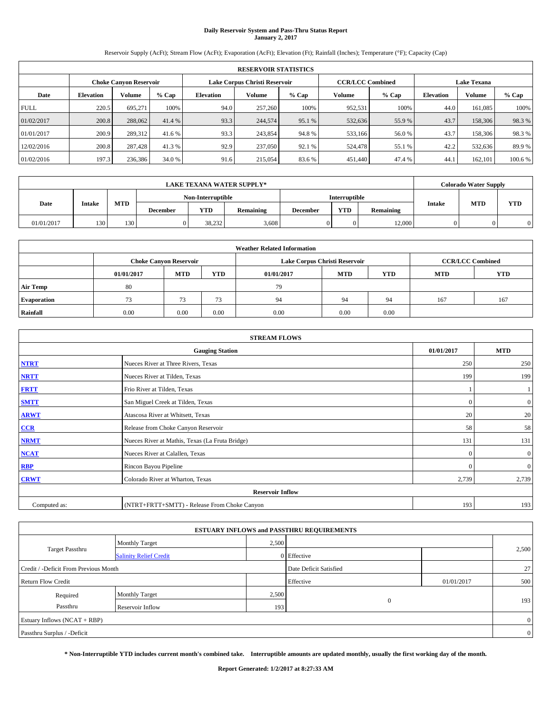# **Daily Reservoir System and Pass-Thru Status Report January 2, 2017**

Reservoir Supply (AcFt); Stream Flow (AcFt); Evaporation (AcFt); Elevation (Ft); Rainfall (Inches); Temperature (°F); Capacity (Cap)

| <b>RESERVOIR STATISTICS</b> |                  |                               |         |           |                               |         |                         |         |                    |               |         |
|-----------------------------|------------------|-------------------------------|---------|-----------|-------------------------------|---------|-------------------------|---------|--------------------|---------------|---------|
|                             |                  | <b>Choke Canyon Reservoir</b> |         |           | Lake Corpus Christi Reservoir |         | <b>CCR/LCC Combined</b> |         | <b>Lake Texana</b> |               |         |
| Date                        | <b>Elevation</b> | Volume                        | $%$ Cap | Elevation | Volume                        | $%$ Cap | Volume                  | $%$ Cap | <b>Elevation</b>   | <b>Volume</b> | % Cap   |
| <b>FULL</b>                 | 220.5            | 695.271                       | 100%    | 94.0      | 257,260                       | 100%    | 952,531                 | 100%    | 44.0               | 161.085       | 100%    |
| 01/02/2017                  | 200.8            | 288,062                       | 41.4 %  | 93.3      | 244,574                       | 95.1 %  | 532,636                 | 55.9%   | 43.7               | 158,306       | 98.3%   |
| 01/01/2017                  | 200.9            | 289,312                       | 41.6 %  | 93.3      | 243,854                       | 94.8%   | 533,166                 | 56.0%   | 43.7               | 158,306       | 98.3%   |
| 12/02/2016                  | 200.8            | 287,428                       | 41.3 %  | 92.9      | 237,050                       | 92.1 %  | 524,478                 | 55.1 %  | 42.2               | 532,636       | 89.9%   |
| 01/02/2016                  | 197.3            | 236,386                       | 34.0 %  | 91.6      | 215,054                       | 83.6%   | 451,440                 | 47.4 %  | 44.                | 162,101       | 100.6 % |

|            | <b>LAKE TEXANA WATER SUPPLY*</b> |            |          |                   |                  |                 |                      |           |               | <b>Colorado Water Supply</b> |            |  |
|------------|----------------------------------|------------|----------|-------------------|------------------|-----------------|----------------------|-----------|---------------|------------------------------|------------|--|
|            |                                  |            |          | Non-Interruptible |                  |                 | <b>Interruptible</b> |           |               |                              |            |  |
| Date       | <b>Intake</b>                    | <b>MTD</b> | December | <b>YTD</b>        | <b>Remaining</b> | <b>December</b> | <b>YTD</b>           | Remaining | <b>Intake</b> | <b>MTD</b>                   | <b>YTD</b> |  |
| 01/01/2017 | 130                              | 130        |          | 38,232            | 3,608            |                 |                      | 12,000    |               |                              | 0          |  |

| <b>Weather Related Information</b> |                                                                                         |                               |      |      |                               |                         |     |            |  |  |
|------------------------------------|-----------------------------------------------------------------------------------------|-------------------------------|------|------|-------------------------------|-------------------------|-----|------------|--|--|
|                                    |                                                                                         | <b>Choke Canyon Reservoir</b> |      |      | Lake Corpus Christi Reservoir | <b>CCR/LCC Combined</b> |     |            |  |  |
|                                    | <b>MTD</b><br><b>MTD</b><br>YTD<br><b>YTD</b><br><b>MTD</b><br>01/01/2017<br>01/01/2017 |                               |      |      |                               |                         |     | <b>YTD</b> |  |  |
| <b>Air Temp</b>                    | 80                                                                                      |                               |      | 79   |                               |                         |     |            |  |  |
| <b>Evaporation</b>                 | 73.                                                                                     | 73                            | 73   | 94   | 94                            | 94                      | 167 | 167        |  |  |
| Rainfall                           | 0.00                                                                                    | 0.00                          | 0.00 | 0.00 | 0.00                          | 0.00                    |     |            |  |  |

| <b>STREAM FLOWS</b> |                                                 |            |                |  |  |  |  |  |  |
|---------------------|-------------------------------------------------|------------|----------------|--|--|--|--|--|--|
|                     | <b>Gauging Station</b>                          | 01/01/2017 | <b>MTD</b>     |  |  |  |  |  |  |
| <b>NTRT</b>         | Nueces River at Three Rivers, Texas             | 250        | 250            |  |  |  |  |  |  |
| <b>NRTT</b>         | Nueces River at Tilden, Texas                   | 199        | 199            |  |  |  |  |  |  |
| <b>FRTT</b>         | Frio River at Tilden, Texas                     |            |                |  |  |  |  |  |  |
| <b>SMTT</b>         | San Miguel Creek at Tilden, Texas               | $\Omega$   | $\overline{0}$ |  |  |  |  |  |  |
| <b>ARWT</b>         | Atascosa River at Whitsett, Texas               | 20         | 20             |  |  |  |  |  |  |
| CCR                 | Release from Choke Canyon Reservoir             | 58         | 58             |  |  |  |  |  |  |
| <b>NRMT</b>         | Nueces River at Mathis, Texas (La Fruta Bridge) | 131        | 131            |  |  |  |  |  |  |
| NCAT                | Nueces River at Calallen, Texas                 | $\Omega$   | $\overline{0}$ |  |  |  |  |  |  |
| <b>RBP</b>          | Rincon Bayou Pipeline                           | $\Omega$   | $\overline{0}$ |  |  |  |  |  |  |
| <b>CRWT</b>         | Colorado River at Wharton, Texas                | 2,739      | 2,739          |  |  |  |  |  |  |
|                     | <b>Reservoir Inflow</b>                         |            |                |  |  |  |  |  |  |
| Computed as:        | (NTRT+FRTT+SMTT) - Release From Choke Canyon    | 193        | 193            |  |  |  |  |  |  |

| <b>ESTUARY INFLOWS and PASSTHRU REQUIREMENTS</b> |                               |       |                        |            |       |  |  |  |  |  |
|--------------------------------------------------|-------------------------------|-------|------------------------|------------|-------|--|--|--|--|--|
|                                                  | Monthly Target                | 2,500 |                        |            |       |  |  |  |  |  |
| <b>Target Passthru</b>                           | <b>Salinity Relief Credit</b> |       | 0 Effective            |            | 2,500 |  |  |  |  |  |
| Credit / -Deficit From Previous Month            |                               |       | Date Deficit Satisfied |            | 27    |  |  |  |  |  |
| <b>Return Flow Credit</b>                        |                               |       | Effective              | 01/01/2017 | 500   |  |  |  |  |  |
| Required                                         | Monthly Target                | 2,500 |                        |            |       |  |  |  |  |  |
| Passthru                                         | Reservoir Inflow              | 193   | $\mathbf{0}$           |            | 193   |  |  |  |  |  |
| Estuary Inflows (NCAT + RBP)                     |                               |       |                        |            |       |  |  |  |  |  |
| Passthru Surplus / -Deficit                      |                               |       |                        |            |       |  |  |  |  |  |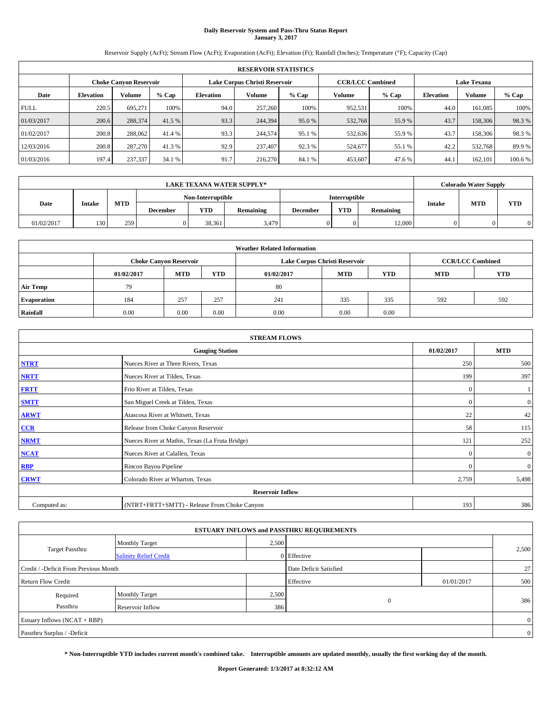# **Daily Reservoir System and Pass-Thru Status Report January 3, 2017**

Reservoir Supply (AcFt); Stream Flow (AcFt); Evaporation (AcFt); Elevation (Ft); Rainfall (Inches); Temperature (°F); Capacity (Cap)

| <b>RESERVOIR STATISTICS</b> |                  |                               |         |           |                               |         |                         |         |                  |                    |         |  |
|-----------------------------|------------------|-------------------------------|---------|-----------|-------------------------------|---------|-------------------------|---------|------------------|--------------------|---------|--|
|                             |                  | <b>Choke Canyon Reservoir</b> |         |           | Lake Corpus Christi Reservoir |         | <b>CCR/LCC Combined</b> |         |                  | <b>Lake Texana</b> |         |  |
| Date                        | <b>Elevation</b> | Volume                        | $%$ Cap | Elevation | Volume                        | $%$ Cap | Volume                  | $%$ Cap | <b>Elevation</b> | <b>Volume</b>      | % Cap   |  |
| <b>FULL</b>                 | 220.5            | 695.271                       | 100%    | 94.0      | 257,260                       | 100%    | 952,531                 | 100%    | 44.0             | 161.085            | 100%    |  |
| 01/03/2017                  | 200.6            | 288,374                       | 41.5 %  | 93.3      | 244,394                       | 95.0 %  | 532,768                 | 55.9%   | 43.7             | 158,306            | 98.3%   |  |
| 01/02/2017                  | 200.8            | 288,062                       | 41.4 %  | 93.3      | 244,574                       | 95.1 %  | 532,636                 | 55.9%   | 43.7             | 158,306            | 98.3%   |  |
| 12/03/2016                  | 200.8            | 287,270                       | 41.3 %  | 92.9      | 237,407                       | 92.3 %  | 524,677                 | 55.1 %  | 42.2             | 532,768            | 89.9%   |  |
| 01/03/2016                  | 197.4            | 237,337                       | 34.1 %  | 91.7      | 216,270                       | 84.1 %  | 453,607                 | 47.6 %  | 44.              | 162,101            | 100.6 % |  |

|            | LAKE TEXANA WATER SUPPLY* |            |                 |                   |                  |          |               |           |               | <b>Colorado Water Supply</b> |            |  |
|------------|---------------------------|------------|-----------------|-------------------|------------------|----------|---------------|-----------|---------------|------------------------------|------------|--|
|            |                           |            |                 | Non-Interruptible |                  |          | Interruptible |           |               |                              |            |  |
| Date       | <b>Intake</b>             | <b>MTD</b> | <b>December</b> | <b>YTD</b>        | <b>Remaining</b> | December | <b>YTD</b>    | Remaining | <b>Intake</b> | <b>MTD</b>                   | <b>YTD</b> |  |
| 01/02/2017 | 130                       | 259        |                 | 38,361            | 3,479            |          |               | 12,000    |               |                              |            |  |

| <b>Weather Related Information</b> |            |                               |      |            |                               |                         |            |            |  |  |
|------------------------------------|------------|-------------------------------|------|------------|-------------------------------|-------------------------|------------|------------|--|--|
|                                    |            | <b>Choke Canyon Reservoir</b> |      |            | Lake Corpus Christi Reservoir | <b>CCR/LCC Combined</b> |            |            |  |  |
|                                    | 01/02/2017 | <b>MTD</b>                    | YTD  | 01/02/2017 | <b>MTD</b>                    | <b>YTD</b>              | <b>MTD</b> | <b>YTD</b> |  |  |
| Air Temp                           | 79         |                               |      | 80         |                               |                         |            |            |  |  |
| <b>Evaporation</b>                 | 184        | 257                           | 257  | 241        | 335                           | 335                     | 592        | 592        |  |  |
| Rainfall                           | 0.00       | 0.00                          | 0.00 | 0.00       | 0.00                          | 0.00                    |            |            |  |  |

| <b>STREAM FLOWS</b> |                                                 |            |                |  |  |  |  |  |
|---------------------|-------------------------------------------------|------------|----------------|--|--|--|--|--|
|                     | 01/02/2017                                      | <b>MTD</b> |                |  |  |  |  |  |
| <b>NTRT</b>         | Nueces River at Three Rivers, Texas             | 250        | 500            |  |  |  |  |  |
| <b>NRTT</b>         | Nueces River at Tilden, Texas                   | 199        | 397            |  |  |  |  |  |
| <b>FRTT</b>         | Frio River at Tilden, Texas                     | $\theta$   |                |  |  |  |  |  |
| <b>SMTT</b>         | San Miguel Creek at Tilden, Texas               | $\bf{0}$   | $\overline{0}$ |  |  |  |  |  |
| <b>ARWT</b>         | Atascosa River at Whitsett, Texas               | 22         | 42             |  |  |  |  |  |
| CCR                 | Release from Choke Canyon Reservoir             | 58         | 115            |  |  |  |  |  |
| <b>NRMT</b>         | Nueces River at Mathis, Texas (La Fruta Bridge) | 121        | 252            |  |  |  |  |  |
| NCAT                | Nueces River at Calallen, Texas                 | $\Omega$   | $\overline{0}$ |  |  |  |  |  |
| <b>RBP</b>          | Rincon Bayou Pipeline                           | £          | $\overline{0}$ |  |  |  |  |  |
| <b>CRWT</b>         | Colorado River at Wharton, Texas                | 2,759      | 5,498          |  |  |  |  |  |
|                     |                                                 |            |                |  |  |  |  |  |
| Computed as:        | (NTRT+FRTT+SMTT) - Release From Choke Canyon    | 193        | 386            |  |  |  |  |  |

|                                       |                               |       | <b>ESTUARY INFLOWS and PASSTHRU REQUIREMENTS</b> |            |                |
|---------------------------------------|-------------------------------|-------|--------------------------------------------------|------------|----------------|
|                                       | <b>Monthly Target</b>         | 2,500 |                                                  |            |                |
| <b>Target Passthru</b>                | <b>Salinity Relief Credit</b> |       | 0 Effective                                      |            | 2,500          |
| Credit / -Deficit From Previous Month |                               |       | Date Deficit Satisfied                           |            | 27             |
| <b>Return Flow Credit</b>             |                               |       | Effective                                        | 01/01/2017 | 500            |
| Required                              | <b>Monthly Target</b>         | 2,500 |                                                  |            |                |
| Passthru                              | Reservoir Inflow              | 386   | $\mathbf{0}$                                     |            | 386            |
| Estuary Inflows (NCAT + RBP)          |                               |       |                                                  |            | $\mathbf{0}$   |
| Passthru Surplus / -Deficit           |                               |       |                                                  |            | $\overline{0}$ |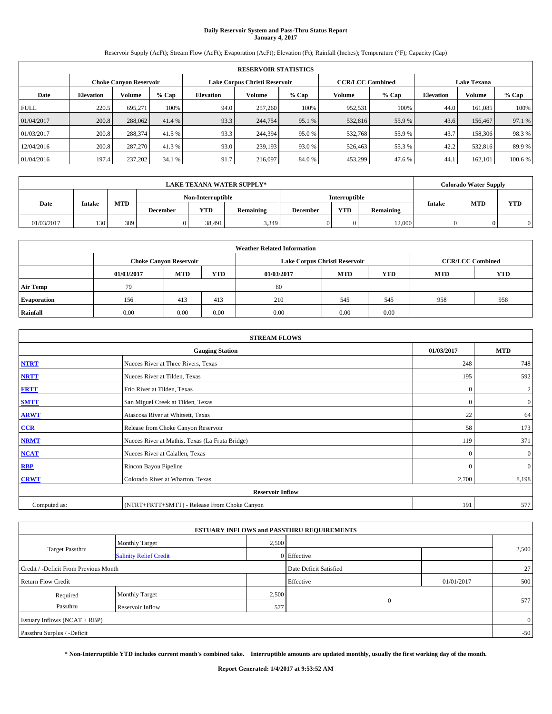# **Daily Reservoir System and Pass-Thru Status Report January 4, 2017**

Reservoir Supply (AcFt); Stream Flow (AcFt); Evaporation (AcFt); Elevation (Ft); Rainfall (Inches); Temperature (°F); Capacity (Cap)

|             | <b>RESERVOIR STATISTICS</b> |                               |         |           |                               |         |                         |         |                  |                    |         |
|-------------|-----------------------------|-------------------------------|---------|-----------|-------------------------------|---------|-------------------------|---------|------------------|--------------------|---------|
|             |                             | <b>Choke Canyon Reservoir</b> |         |           | Lake Corpus Christi Reservoir |         | <b>CCR/LCC Combined</b> |         |                  | <b>Lake Texana</b> |         |
| Date        | <b>Elevation</b>            | Volume                        | $%$ Cap | Elevation | Volume                        | $%$ Cap | Volume                  | $%$ Cap | <b>Elevation</b> | <b>Volume</b>      | % Cap   |
| <b>FULL</b> | 220.5                       | 695.271                       | 100%    | 94.0      | 257,260                       | 100%    | 952,531                 | 100%    | 44.0             | 161.085            | 100%    |
| 01/04/2017  | 200.8                       | 288,062                       | 41.4 %  | 93.3      | 244,754                       | 95.1 %  | 532,816                 | 55.9%   | 43.6             | 156,467            | 97.1 %  |
| 01/03/2017  | 200.8                       | 288,374                       | 41.5 %  | 93.3      | 244,394                       | 95.0 %  | 532,768                 | 55.9%   | 43.7             | 158,306            | 98.3%   |
| 12/04/2016  | 200.8                       | 287,270                       | 41.3 %  | 93.0      | 239,193                       | 93.0 %  | 526,463                 | 55.3 %  | 42.2             | 532,816            | 89.9%   |
| 01/04/2016  | 197.4                       | 237,202                       | 34.1 %  | 91.7      | 216,097                       | 84.0%   | 453,299                 | 47.6 %  | 44.              | 162,101            | 100.6 % |

| <b>LAKE TEXANA WATER SUPPLY*</b> |                   |            |          |            |                  |                 |                      |           |               | <b>Colorado Water Supply</b> |            |
|----------------------------------|-------------------|------------|----------|------------|------------------|-----------------|----------------------|-----------|---------------|------------------------------|------------|
|                                  | Non-Interruptible |            |          |            |                  |                 | <b>Interruptible</b> |           |               |                              |            |
| Date                             | <b>Intake</b>     | <b>MTD</b> | December | <b>YTD</b> | <b>Remaining</b> | <b>December</b> | <b>YTD</b>           | Remaining | <b>Intake</b> | <b>MTD</b>                   | <b>YTD</b> |
| 01/03/2017                       | 130               | 389        |          | 38,491     | 3,349            |                 |                      | 12.000    |               |                              | 0          |

| <b>Weather Related Information</b> |            |                               |      |            |                                        |                         |     |     |  |  |  |
|------------------------------------|------------|-------------------------------|------|------------|----------------------------------------|-------------------------|-----|-----|--|--|--|
|                                    |            | <b>Choke Canyon Reservoir</b> |      |            | Lake Corpus Christi Reservoir          | <b>CCR/LCC Combined</b> |     |     |  |  |  |
|                                    | 01/03/2017 | <b>MTD</b>                    | YTD  | 01/03/2017 | <b>MTD</b><br><b>YTD</b><br><b>MTD</b> |                         |     |     |  |  |  |
| <b>Air Temp</b>                    | 79         |                               |      | 80         |                                        |                         |     |     |  |  |  |
| <b>Evaporation</b>                 | 156        | 413                           | 413  | 210        | 545                                    | 545                     | 958 | 958 |  |  |  |
| Rainfall                           | 0.00       | 0.00                          | 0.00 | 0.00       | 0.00                                   | 0.00                    |     |     |  |  |  |

| <b>STREAM FLOWS</b> |                                                 |            |                |  |  |  |  |  |
|---------------------|-------------------------------------------------|------------|----------------|--|--|--|--|--|
|                     | 01/03/2017                                      | <b>MTD</b> |                |  |  |  |  |  |
| <b>NTRT</b>         | Nueces River at Three Rivers, Texas             | 248        | 748            |  |  |  |  |  |
| <b>NRTT</b>         | Nueces River at Tilden, Texas                   | 195        | 592            |  |  |  |  |  |
| <b>FRTT</b>         | Frio River at Tilden, Texas                     | $\theta$   | $\overline{2}$ |  |  |  |  |  |
| <b>SMTT</b>         | San Miguel Creek at Tilden, Texas               | $\bf{0}$   | $\overline{0}$ |  |  |  |  |  |
| <b>ARWT</b>         | Atascosa River at Whitsett, Texas               | 22         | 64             |  |  |  |  |  |
| CCR                 | Release from Choke Canyon Reservoir             | 58         | 173            |  |  |  |  |  |
| <b>NRMT</b>         | Nueces River at Mathis, Texas (La Fruta Bridge) | 119        | 371            |  |  |  |  |  |
| NCAT                | Nueces River at Calallen, Texas                 | $\Omega$   | $\overline{0}$ |  |  |  |  |  |
| <b>RBP</b>          | Rincon Bayou Pipeline                           | $\Omega$   | $\overline{0}$ |  |  |  |  |  |
| <b>CRWT</b>         | Colorado River at Wharton, Texas                | 2,700      | 8,198          |  |  |  |  |  |
|                     |                                                 |            |                |  |  |  |  |  |
| Computed as:        | (NTRT+FRTT+SMTT) - Release From Choke Canyon    | 191        | 577            |  |  |  |  |  |

|                                       |                               |       | <b>ESTUARY INFLOWS and PASSTHRU REQUIREMENTS</b> |            |              |
|---------------------------------------|-------------------------------|-------|--------------------------------------------------|------------|--------------|
|                                       | Monthly Target                | 2,500 |                                                  |            |              |
| <b>Target Passthru</b>                | <b>Salinity Relief Credit</b> |       | 0 Effective                                      |            | 2,500        |
| Credit / -Deficit From Previous Month |                               |       | Date Deficit Satisfied                           |            | 27           |
| <b>Return Flow Credit</b>             |                               |       | Effective                                        | 01/01/2017 | 500          |
| Required                              | Monthly Target                | 2,500 |                                                  |            |              |
| Passthru                              | Reservoir Inflow              | 577   | $\mathbf{0}$                                     |            | 577          |
| Estuary Inflows (NCAT + RBP)          |                               |       |                                                  |            | $\mathbf{0}$ |
| Passthru Surplus / -Deficit           |                               |       |                                                  |            | $-50$        |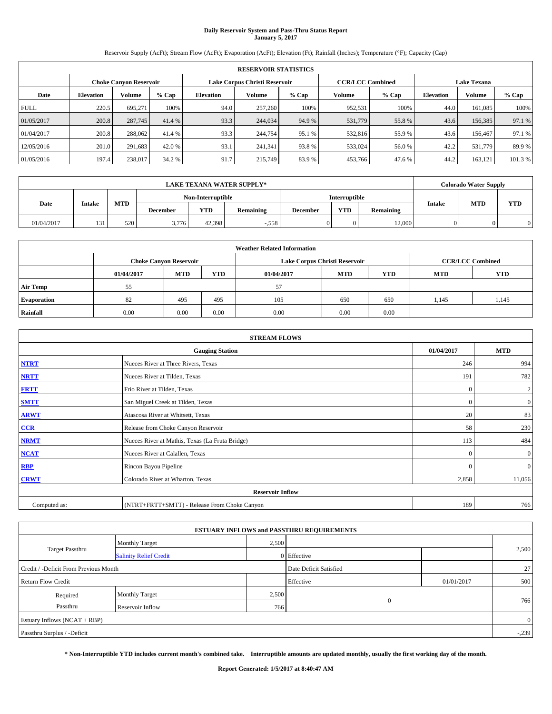# **Daily Reservoir System and Pass-Thru Status Report January 5, 2017**

Reservoir Supply (AcFt); Stream Flow (AcFt); Evaporation (AcFt); Elevation (Ft); Rainfall (Inches); Temperature (°F); Capacity (Cap)

|             | <b>RESERVOIR STATISTICS</b> |                               |         |           |                               |         |                         |         |                  |                    |         |
|-------------|-----------------------------|-------------------------------|---------|-----------|-------------------------------|---------|-------------------------|---------|------------------|--------------------|---------|
|             |                             | <b>Choke Canyon Reservoir</b> |         |           | Lake Corpus Christi Reservoir |         | <b>CCR/LCC Combined</b> |         |                  | <b>Lake Texana</b> |         |
| Date        | <b>Elevation</b>            | Volume                        | $%$ Cap | Elevation | Volume                        | $%$ Cap | Volume                  | $%$ Cap | <b>Elevation</b> | <b>Volume</b>      | % Cap   |
| <b>FULL</b> | 220.5                       | 695.271                       | 100%    | 94.0      | 257,260                       | 100%    | 952,531                 | 100%    | 44.0             | 161.085            | 100%    |
| 01/05/2017  | 200.8                       | 287,745                       | 41.4 %  | 93.3      | 244,034                       | 94.9 %  | 531,779                 | 55.8%   | 43.6             | 156,385            | 97.1 %  |
| 01/04/2017  | 200.8                       | 288,062                       | 41.4 %  | 93.3      | 244,754                       | 95.1 %  | 532,816                 | 55.9%   | 43.6             | 156,467            | 97.1 %  |
| 12/05/2016  | 201.0                       | 291,683                       | 42.0 %  | 93.1      | 241.341                       | 93.8%   | 533,024                 | 56.0%   | 42.2             | 531,779            | 89.9%   |
| 01/05/2016  | 197.4                       | 238,017                       | 34.2 %  | 91.7      | 215,749                       | 83.9%   | 453,766                 | 47.6 %  | 44.2             | 163,121            | 101.3 % |

| <b>LAKE TEXANA WATER SUPPLY*</b> |               |            |                 |                   |                  |                 |                      |           |               | <b>Colorado Water Supply</b> |            |
|----------------------------------|---------------|------------|-----------------|-------------------|------------------|-----------------|----------------------|-----------|---------------|------------------------------|------------|
|                                  |               |            |                 | Non-Interruptible |                  |                 | <b>Interruptible</b> |           |               |                              |            |
| Date                             | <b>Intake</b> | <b>MTD</b> | <b>December</b> | <b>YTD</b>        | <b>Remaining</b> | <b>December</b> | <b>YTD</b>           | Remaining | <b>Intake</b> | <b>MTD</b>                   | <b>YTD</b> |
| 01/04/2017                       | 121           | 520        | 3,776           | 42.398            | $-.558$          |                 |                      | 12,000    |               |                              |            |

| <b>Weather Related Information</b> |            |                               |      |            |                                        |                         |       |       |  |  |  |
|------------------------------------|------------|-------------------------------|------|------------|----------------------------------------|-------------------------|-------|-------|--|--|--|
|                                    |            | <b>Choke Canyon Reservoir</b> |      |            | Lake Corpus Christi Reservoir          | <b>CCR/LCC Combined</b> |       |       |  |  |  |
|                                    | 01/04/2017 | <b>MTD</b>                    | YTD  | 01/04/2017 | <b>MTD</b><br><b>YTD</b><br><b>MTD</b> |                         |       |       |  |  |  |
| <b>Air Temp</b>                    | 55         |                               |      | 57         |                                        |                         |       |       |  |  |  |
| <b>Evaporation</b>                 | 82         | 495                           | 495  | 105        | 650                                    | 650                     | 1.145 | 1,145 |  |  |  |
| Rainfall                           | 0.00       | 0.00                          | 0.00 | 0.00       | 0.00                                   | 0.00                    |       |       |  |  |  |

| <b>STREAM FLOWS</b> |                                                 |              |                  |  |  |  |  |  |
|---------------------|-------------------------------------------------|--------------|------------------|--|--|--|--|--|
|                     | 01/04/2017                                      | <b>MTD</b>   |                  |  |  |  |  |  |
| <b>NTRT</b>         | Nueces River at Three Rivers, Texas             | 246          | 994              |  |  |  |  |  |
| <b>NRTT</b>         | Nueces River at Tilden, Texas                   | 191          | 782              |  |  |  |  |  |
| <b>FRTT</b>         | Frio River at Tilden, Texas                     | $\mathbf{0}$ | $\boldsymbol{2}$ |  |  |  |  |  |
| <b>SMTT</b>         | San Miguel Creek at Tilden, Texas               | $\mathbf{0}$ | $\overline{0}$   |  |  |  |  |  |
| <b>ARWT</b>         | Atascosa River at Whitsett, Texas               | 20           | 83               |  |  |  |  |  |
| CCR                 | Release from Choke Canyon Reservoir             | 58           | 230              |  |  |  |  |  |
| <b>NRMT</b>         | Nueces River at Mathis, Texas (La Fruta Bridge) | 113          | 484              |  |  |  |  |  |
| <b>NCAT</b>         | Nueces River at Calallen, Texas                 | $\Omega$     | $\mathbf{0}$     |  |  |  |  |  |
| <b>RBP</b>          | Rincon Bayou Pipeline                           | $\Omega$     | $\mathbf{0}$     |  |  |  |  |  |
| <b>CRWT</b>         | Colorado River at Wharton, Texas                | 2,858        | 11,056           |  |  |  |  |  |
|                     |                                                 |              |                  |  |  |  |  |  |
| Computed as:        | (NTRT+FRTT+SMTT) - Release From Choke Canyon    |              |                  |  |  |  |  |  |

| <b>ESTUARY INFLOWS and PASSTHRU REQUIREMENTS</b> |                               |       |                        |            |       |  |  |  |  |  |
|--------------------------------------------------|-------------------------------|-------|------------------------|------------|-------|--|--|--|--|--|
|                                                  | Monthly Target                | 2,500 |                        |            |       |  |  |  |  |  |
| <b>Target Passthru</b>                           | <b>Salinity Relief Credit</b> |       | 0 Effective            |            | 2,500 |  |  |  |  |  |
| Credit / -Deficit From Previous Month            |                               |       | Date Deficit Satisfied |            | 27    |  |  |  |  |  |
| <b>Return Flow Credit</b>                        |                               |       | Effective              | 01/01/2017 | 500   |  |  |  |  |  |
| Required                                         | <b>Monthly Target</b>         | 2,500 |                        |            |       |  |  |  |  |  |
| Passthru                                         | Reservoir Inflow              | 766   | $\theta$               |            | 766   |  |  |  |  |  |
| Estuary Inflows (NCAT + RBP)                     |                               |       |                        |            |       |  |  |  |  |  |
| Passthru Surplus / -Deficit                      |                               |       |                        |            |       |  |  |  |  |  |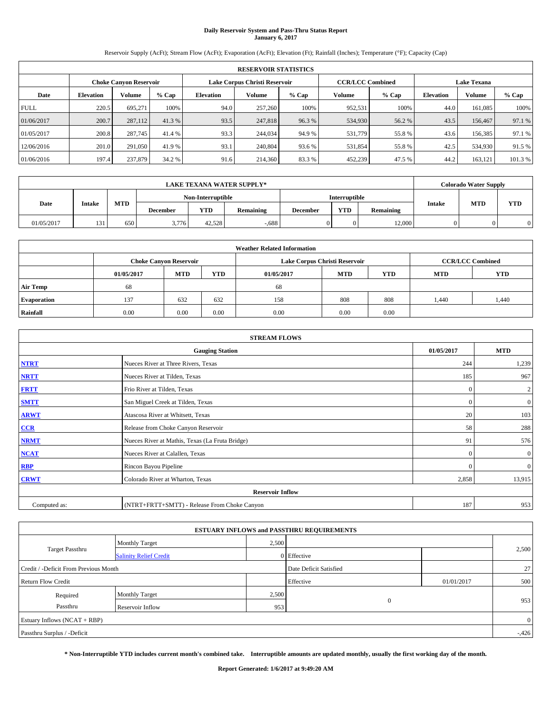# **Daily Reservoir System and Pass-Thru Status Report January 6, 2017**

Reservoir Supply (AcFt); Stream Flow (AcFt); Evaporation (AcFt); Elevation (Ft); Rainfall (Inches); Temperature (°F); Capacity (Cap)

|                               | <b>RESERVOIR STATISTICS</b> |         |         |                  |                               |         |                         |         |                  |                    |         |  |
|-------------------------------|-----------------------------|---------|---------|------------------|-------------------------------|---------|-------------------------|---------|------------------|--------------------|---------|--|
| <b>Choke Canyon Reservoir</b> |                             |         |         |                  | Lake Corpus Christi Reservoir |         | <b>CCR/LCC Combined</b> |         |                  | <b>Lake Texana</b> |         |  |
| Date                          | <b>Elevation</b>            | Volume  | $%$ Cap | <b>Elevation</b> | Volume                        | $%$ Cap | Volume                  | $%$ Cap | <b>Elevation</b> | <b>Volume</b>      | $%$ Cap |  |
| <b>FULL</b>                   | 220.5                       | 695.271 | 100%    | 94.0             | 257,260                       | 100%    | 952,531                 | 100%    | 44.0             | 161.085            | 100%    |  |
| 01/06/2017                    | 200.7                       | 287,112 | 41.3 %  | 93.5             | 247,818                       | 96.3%   | 534,930                 | 56.2 %  | 43.5             | 156,467            | 97.1 %  |  |
| 01/05/2017                    | 200.8                       | 287,745 | 41.4 %  | 93.3             | 244,034                       | 94.9 %  | 531,779                 | 55.8%   | 43.6             | 156,385            | 97.1 %  |  |
| 12/06/2016                    | 201.0                       | 291,050 | 41.9 %  | 93.1             | 240,804                       | 93.6 %  | 531,854                 | 55.8%   | 42.5             | 534,930            | 91.5 %  |  |
| 01/06/2016                    | 197.4                       | 237,879 | 34.2 %  | 91.6             | 214,360                       | 83.3%   | 452,239                 | 47.5 %  | 44.2             | 163.121            | 101.3 % |  |

|            |               |            |                 |            | <b>LAKE TEXANA WATER SUPPLY*</b> |                 |            |           |               | <b>Colorado Water Supply</b> |            |  |                      |  |  |  |  |
|------------|---------------|------------|-----------------|------------|----------------------------------|-----------------|------------|-----------|---------------|------------------------------|------------|--|----------------------|--|--|--|--|
|            |               |            |                 |            |                                  |                 |            |           |               | Non-Interruptible            |            |  | <b>Interruptible</b> |  |  |  |  |
| Date       | <b>Intake</b> | <b>MTD</b> | <b>December</b> | <b>YTD</b> | <b>Remaining</b>                 | <b>December</b> | <b>YTD</b> | Remaining | <b>Intake</b> | <b>MTD</b>                   | <b>YTD</b> |  |                      |  |  |  |  |
| 01/05/2017 | 121<br>191    | 650        | 3,776           | 42.528     | $-0.688$                         |                 |            | 12,000    |               |                              |            |  |                      |  |  |  |  |

| <b>Weather Related Information</b> |            |                                                                           |      |      |                               |      |                         |       |  |  |
|------------------------------------|------------|---------------------------------------------------------------------------|------|------|-------------------------------|------|-------------------------|-------|--|--|
|                                    |            | <b>Choke Canyon Reservoir</b>                                             |      |      | Lake Corpus Christi Reservoir |      | <b>CCR/LCC Combined</b> |       |  |  |
|                                    | 01/05/2017 | <b>MTD</b><br><b>MTD</b><br>YTD<br><b>YTD</b><br><b>MTD</b><br>01/05/2017 |      |      |                               |      |                         |       |  |  |
| <b>Air Temp</b>                    | 68         |                                                                           |      | 68   |                               |      |                         |       |  |  |
| <b>Evaporation</b>                 | 137        | 632                                                                       | 632  | 158  | 808                           | 808  | 1.440                   | 1,440 |  |  |
| Rainfall                           | 0.00       | 0.00                                                                      | 0.00 | 0.00 | 0.00                          | 0.00 |                         |       |  |  |

|              | <b>STREAM FLOWS</b>                             |              |                  |
|--------------|-------------------------------------------------|--------------|------------------|
|              | <b>Gauging Station</b>                          | 01/05/2017   | <b>MTD</b>       |
| <b>NTRT</b>  | Nueces River at Three Rivers, Texas             | 244          | 1,239            |
| <b>NRTT</b>  | Nueces River at Tilden, Texas                   | 185          | 967              |
| <b>FRTT</b>  | Frio River at Tilden, Texas                     | $\mathbf{0}$ | $\boldsymbol{2}$ |
| <b>SMTT</b>  | San Miguel Creek at Tilden, Texas               | $\mathbf{0}$ | $\overline{0}$   |
| <b>ARWT</b>  | Atascosa River at Whitsett, Texas               | 20           | 103              |
| CCR          | Release from Choke Canyon Reservoir             | 58           | 288              |
| <b>NRMT</b>  | Nueces River at Mathis, Texas (La Fruta Bridge) | 91           | 576              |
| <b>NCAT</b>  | Nueces River at Calallen, Texas                 | $\Omega$     | $\boldsymbol{0}$ |
| <b>RBP</b>   | Rincon Bayou Pipeline                           | $\Omega$     | $\mathbf{0}$     |
| <b>CRWT</b>  | Colorado River at Wharton, Texas                | 2,858        | 13,915           |
|              | <b>Reservoir Inflow</b>                         |              |                  |
| Computed as: | (NTRT+FRTT+SMTT) - Release From Choke Canyon    | 187          | 953              |

| <b>ESTUARY INFLOWS and PASSTHRU REQUIREMENTS</b> |                               |       |                        |            |          |  |  |  |  |  |
|--------------------------------------------------|-------------------------------|-------|------------------------|------------|----------|--|--|--|--|--|
|                                                  | Monthly Target                | 2,500 |                        |            |          |  |  |  |  |  |
| <b>Target Passthru</b>                           | <b>Salinity Relief Credit</b> |       | 0 Effective            |            | 2,500    |  |  |  |  |  |
| Credit / -Deficit From Previous Month            |                               |       | Date Deficit Satisfied |            | 27       |  |  |  |  |  |
| <b>Return Flow Credit</b>                        |                               |       | Effective              | 01/01/2017 | 500      |  |  |  |  |  |
| Required                                         | Monthly Target                | 2,500 |                        |            |          |  |  |  |  |  |
| Passthru                                         | <b>Reservoir Inflow</b>       | 953   | $\mathbf{0}$           |            | 953      |  |  |  |  |  |
| Estuary Inflows $(NCAT + RBP)$                   |                               |       |                        |            |          |  |  |  |  |  |
| Passthru Surplus / -Deficit                      |                               |       |                        |            | $-0.426$ |  |  |  |  |  |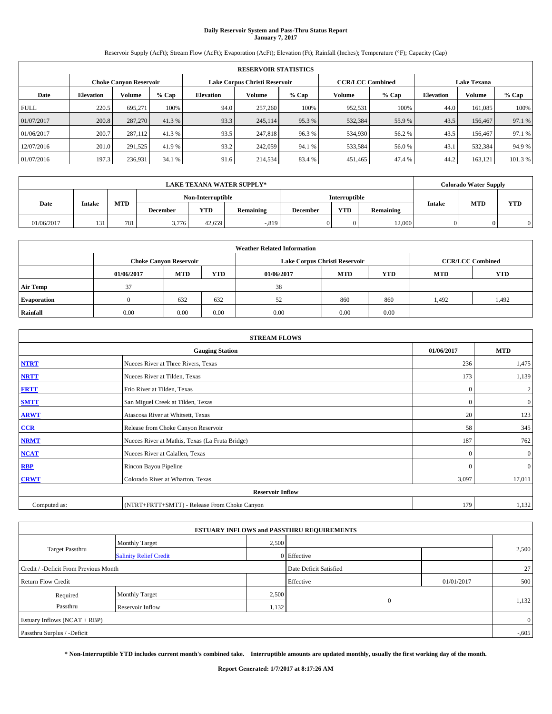# **Daily Reservoir System and Pass-Thru Status Report January 7, 2017**

Reservoir Supply (AcFt); Stream Flow (AcFt); Evaporation (AcFt); Elevation (Ft); Rainfall (Inches); Temperature (°F); Capacity (Cap)

|             | <b>RESERVOIR STATISTICS</b> |                               |         |                  |                               |         |                                               |         |                  |               |         |
|-------------|-----------------------------|-------------------------------|---------|------------------|-------------------------------|---------|-----------------------------------------------|---------|------------------|---------------|---------|
|             |                             | <b>Choke Canyon Reservoir</b> |         |                  | Lake Corpus Christi Reservoir |         | <b>CCR/LCC Combined</b><br><b>Lake Texana</b> |         |                  |               |         |
| Date        | <b>Elevation</b>            | Volume                        | $%$ Cap | <b>Elevation</b> | Volume                        | $%$ Cap | Volume                                        | $%$ Cap | <b>Elevation</b> | <b>Volume</b> | % Cap   |
| <b>FULL</b> | 220.5                       | 695.271                       | 100%    | 94.0             | 257,260                       | 100%    | 952,531                                       | 100%    | 44.0             | 161.085       | 100%    |
| 01/07/2017  | 200.8                       | 287,270                       | 41.3 %  | 93.3             | 245,114                       | 95.3 %  | 532,384                                       | 55.9%   | 43.5             | 156,467       | 97.1 %  |
| 01/06/2017  | 200.7                       | 287,112                       | 41.3 %  | 93.5             | 247,818                       | 96.3%   | 534,930                                       | 56.2 %  | 43.5             | 156,467       | 97.1 %  |
| 12/07/2016  | 201.0                       | 291,525                       | 41.9 %  | 93.2             | 242,059                       | 94.1 %  | 533,584                                       | 56.0%   | 43.1             | 532.384       | 94.9%   |
| 01/07/2016  | 197.3                       | 236,931                       | 34.1 %  | 91.6             | 214,534                       | 83.4 %  | 451,465                                       | 47.4 %  | 44.2             | 163,121       | 101.3 % |

|            |               |            |                 |            | <b>LAKE TEXANA WATER SUPPLY*</b> |                 |            |                   |               | <b>Colorado Water Supply</b> |                      |  |  |  |  |
|------------|---------------|------------|-----------------|------------|----------------------------------|-----------------|------------|-------------------|---------------|------------------------------|----------------------|--|--|--|--|
|            |               |            |                 |            |                                  |                 |            | Non-Interruptible |               |                              | <b>Interruptible</b> |  |  |  |  |
| Date       | <b>Intake</b> | <b>MTD</b> | <b>December</b> | <b>YTD</b> | <b>Remaining</b>                 | <b>December</b> | <b>YTD</b> | Remaining         | <b>Intake</b> | <b>MTD</b>                   | <b>YTD</b>           |  |  |  |  |
| 01/06/2017 | 131           | 781        | 3,776           | 42.659     | $-0.819$                         |                 |            | 12.000            |               |                              |                      |  |  |  |  |

| <b>Weather Related Information</b> |            |                                                                                                            |      |      |      |      |                         |            |  |  |
|------------------------------------|------------|------------------------------------------------------------------------------------------------------------|------|------|------|------|-------------------------|------------|--|--|
|                                    |            | <b>Choke Canyon Reservoir</b>                                                                              |      |      |      |      | <b>CCR/LCC Combined</b> |            |  |  |
|                                    | 01/06/2017 | Lake Corpus Christi Reservoir<br><b>MTD</b><br>YTD<br><b>MTD</b><br><b>YTD</b><br><b>MTD</b><br>01/06/2017 |      |      |      |      |                         | <b>YTD</b> |  |  |
| <b>Air Temp</b>                    | 37         |                                                                                                            |      | 38   |      |      |                         |            |  |  |
| <b>Evaporation</b>                 |            | 632                                                                                                        | 632  | 52   | 860  | 860  | 1,492                   | 1,492      |  |  |
| Rainfall                           | 0.00       | 0.00                                                                                                       | 0.00 | 0.00 | 0.00 | 0.00 |                         |            |  |  |

|              | <b>STREAM FLOWS</b>                             |              |                  |
|--------------|-------------------------------------------------|--------------|------------------|
|              | <b>Gauging Station</b>                          | 01/06/2017   | <b>MTD</b>       |
| <b>NTRT</b>  | Nueces River at Three Rivers, Texas             | 236          | 1,475            |
| <b>NRTT</b>  | Nueces River at Tilden, Texas                   | 173          | 1,139            |
| <b>FRTT</b>  | Frio River at Tilden, Texas                     | $\mathbf{0}$ | $\overline{c}$   |
| <b>SMTT</b>  | San Miguel Creek at Tilden, Texas               | $\mathbf{0}$ | $\overline{0}$   |
| <b>ARWT</b>  | Atascosa River at Whitsett, Texas               | 20           | 123              |
| CCR          | Release from Choke Canyon Reservoir             | 58           | 345              |
| <b>NRMT</b>  | Nueces River at Mathis, Texas (La Fruta Bridge) | 187          | 762              |
| <b>NCAT</b>  | Nueces River at Calallen, Texas                 | $\Omega$     | $\boldsymbol{0}$ |
| <b>RBP</b>   | Rincon Bayou Pipeline                           | $\Omega$     | $\overline{0}$   |
| <b>CRWT</b>  | Colorado River at Wharton, Texas                | 3,097        | 17,011           |
|              | <b>Reservoir Inflow</b>                         |              |                  |
| Computed as: | (NTRT+FRTT+SMTT) - Release From Choke Canyon    | 179          | 1,132            |

| <b>ESTUARY INFLOWS and PASSTHRU REQUIREMENTS</b> |                               |       |                        |            |          |  |  |  |  |  |
|--------------------------------------------------|-------------------------------|-------|------------------------|------------|----------|--|--|--|--|--|
|                                                  | Monthly Target                | 2,500 |                        |            |          |  |  |  |  |  |
| <b>Target Passthru</b>                           | <b>Salinity Relief Credit</b> |       | 0 Effective            |            | 2,500    |  |  |  |  |  |
| Credit / -Deficit From Previous Month            |                               |       | Date Deficit Satisfied |            | 27       |  |  |  |  |  |
| <b>Return Flow Credit</b>                        |                               |       | Effective              | 01/01/2017 | 500      |  |  |  |  |  |
| Required                                         | Monthly Target                | 2,500 |                        |            |          |  |  |  |  |  |
| Passthru                                         | <b>Reservoir Inflow</b>       | 1,132 | $\mathbf{0}$           |            | 1,132    |  |  |  |  |  |
| Estuary Inflows $(NCAT + RBP)$                   |                               |       |                        |            |          |  |  |  |  |  |
| Passthru Surplus / -Deficit                      |                               |       |                        |            | $-0.605$ |  |  |  |  |  |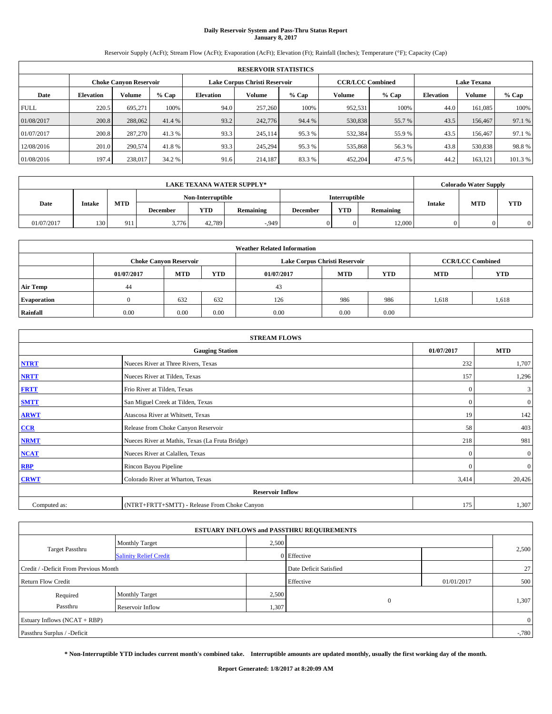# **Daily Reservoir System and Pass-Thru Status Report January 8, 2017**

Reservoir Supply (AcFt); Stream Flow (AcFt); Evaporation (AcFt); Elevation (Ft); Rainfall (Inches); Temperature (°F); Capacity (Cap)

|             | <b>RESERVOIR STATISTICS</b> |                               |         |           |                               |         |                                               |         |                  |               |         |
|-------------|-----------------------------|-------------------------------|---------|-----------|-------------------------------|---------|-----------------------------------------------|---------|------------------|---------------|---------|
|             |                             | <b>Choke Canyon Reservoir</b> |         |           | Lake Corpus Christi Reservoir |         | <b>CCR/LCC Combined</b><br><b>Lake Texana</b> |         |                  |               |         |
| Date        | <b>Elevation</b>            | Volume                        | $%$ Cap | Elevation | Volume                        | $%$ Cap | Volume                                        | $%$ Cap | <b>Elevation</b> | <b>Volume</b> | % Cap   |
| <b>FULL</b> | 220.5                       | 695.271                       | 100%    | 94.0      | 257,260                       | 100%    | 952,531                                       | 100%    | 44.0             | 161.085       | 100%    |
| 01/08/2017  | 200.8                       | 288,062                       | 41.4 %  | 93.2      | 242,776                       | 94.4 %  | 530,838                                       | 55.7 %  | 43.5             | 156,467       | 97.1 %  |
| 01/07/2017  | 200.8                       | 287,270                       | 41.3 %  | 93.3      | 245,114                       | 95.3 %  | 532,384                                       | 55.9%   | 43.5             | 156,467       | 97.1 %  |
| 12/08/2016  | 201.0                       | 290,574                       | 41.8%   | 93.3      | 245.294                       | 95.3%   | 535,868                                       | 56.3%   | 43.8             | 530,838       | 98.8%   |
| 01/08/2016  | 197.4                       | 238,017                       | 34.2 %  | 91.6      | 214,187                       | 83.3%   | 452,204                                       | 47.5 %  | 44.2             | 163,121       | 101.3 % |

|            | <b>LAKE TEXANA WATER SUPPLY*</b> |            |                   |            |                  |                 |                      |           |                             | <b>Colorado Water Supply</b> |   |  |
|------------|----------------------------------|------------|-------------------|------------|------------------|-----------------|----------------------|-----------|-----------------------------|------------------------------|---|--|
|            |                                  |            | Non-Interruptible |            |                  |                 | <b>Interruptible</b> |           |                             |                              |   |  |
| Date       | <b>Intake</b>                    | <b>MTD</b> | December          | <b>YTD</b> | <b>Remaining</b> | <b>December</b> | <b>YTD</b>           | Remaining | <b>MTD</b><br><b>Intake</b> | <b>YTD</b>                   |   |  |
| 01/07/2017 | 130                              | 911        | 3,776             | 42,789     | $-0.949$         |                 |                      | 12.000    |                             |                              | 0 |  |

| <b>Weather Related Information</b>                                                      |      |                               |      |      |                               |                         |       |            |  |  |  |
|-----------------------------------------------------------------------------------------|------|-------------------------------|------|------|-------------------------------|-------------------------|-------|------------|--|--|--|
|                                                                                         |      | <b>Choke Canyon Reservoir</b> |      |      | Lake Corpus Christi Reservoir | <b>CCR/LCC Combined</b> |       |            |  |  |  |
| <b>MTD</b><br><b>MTD</b><br>YTD<br><b>YTD</b><br><b>MTD</b><br>01/07/2017<br>01/07/2017 |      |                               |      |      |                               |                         |       | <b>YTD</b> |  |  |  |
| <b>Air Temp</b>                                                                         | 44   |                               |      | 43   |                               |                         |       |            |  |  |  |
| <b>Evaporation</b>                                                                      |      | 632                           | 632  | 126  | 986                           | 986                     | 1,618 | 1,618      |  |  |  |
| Rainfall                                                                                | 0.00 | 0.00                          | 0.00 | 0.00 | 0.00                          | 0.00                    |       |            |  |  |  |

| <b>STREAM FLOWS</b> |                                                 |              |                  |  |  |  |  |  |  |
|---------------------|-------------------------------------------------|--------------|------------------|--|--|--|--|--|--|
|                     | <b>Gauging Station</b>                          | 01/07/2017   | <b>MTD</b>       |  |  |  |  |  |  |
| <b>NTRT</b>         | Nueces River at Three Rivers, Texas             | 232          | 1,707            |  |  |  |  |  |  |
| <b>NRTT</b>         | Nueces River at Tilden, Texas                   | 157          | 1,296            |  |  |  |  |  |  |
| <b>FRTT</b>         | Frio River at Tilden, Texas                     | $\mathbf{0}$ | 3                |  |  |  |  |  |  |
| <b>SMTT</b>         | San Miguel Creek at Tilden, Texas               | $\mathbf{0}$ | $\overline{0}$   |  |  |  |  |  |  |
| <b>ARWT</b>         | Atascosa River at Whitsett, Texas               | 19           | 142              |  |  |  |  |  |  |
| CCR                 | Release from Choke Canyon Reservoir             | 58           | 403              |  |  |  |  |  |  |
| <b>NRMT</b>         | Nueces River at Mathis, Texas (La Fruta Bridge) | 218          | 981              |  |  |  |  |  |  |
| <b>NCAT</b>         | Nueces River at Calallen, Texas                 | $\Omega$     | $\boldsymbol{0}$ |  |  |  |  |  |  |
| <b>RBP</b>          | Rincon Bayou Pipeline                           | $\Omega$     | $\mathbf{0}$     |  |  |  |  |  |  |
| <b>CRWT</b>         | Colorado River at Wharton, Texas                | 3,414        | 20,426           |  |  |  |  |  |  |
|                     | <b>Reservoir Inflow</b>                         |              |                  |  |  |  |  |  |  |
| Computed as:        | (NTRT+FRTT+SMTT) - Release From Choke Canyon    |              |                  |  |  |  |  |  |  |

|                                       |                               |       | <b>ESTUARY INFLOWS and PASSTHRU REQUIREMENTS</b> |            |                |
|---------------------------------------|-------------------------------|-------|--------------------------------------------------|------------|----------------|
|                                       | <b>Monthly Target</b>         | 2,500 |                                                  |            |                |
| <b>Target Passthru</b>                | <b>Salinity Relief Credit</b> |       | 0 Effective                                      |            | 2,500          |
| Credit / -Deficit From Previous Month |                               |       | Date Deficit Satisfied                           |            | 27             |
| <b>Return Flow Credit</b>             |                               |       | Effective                                        | 01/01/2017 | 500            |
| Required                              | <b>Monthly Target</b>         | 2,500 |                                                  |            |                |
| Passthru                              | <b>Reservoir Inflow</b>       | 1,307 | $\mathbf{0}$                                     |            | 1,307          |
| Estuary Inflows $(NCAT + RBP)$        |                               |       |                                                  |            | $\overline{0}$ |
| Passthru Surplus / -Deficit           |                               |       |                                                  |            | $-0.780$       |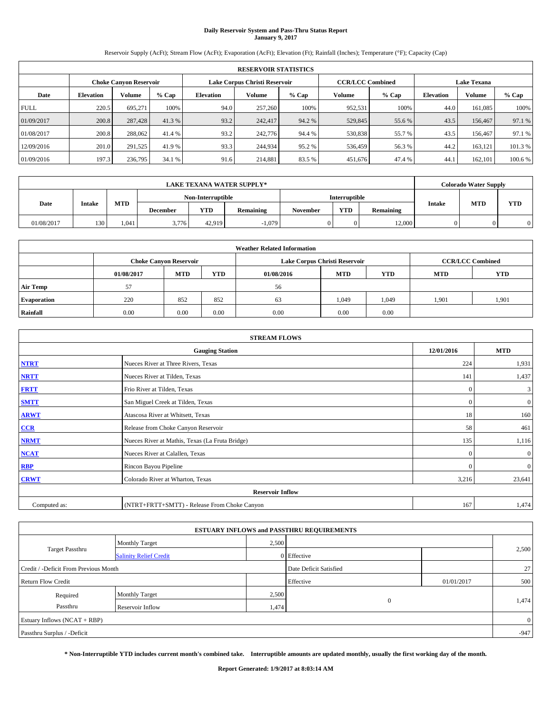# **Daily Reservoir System and Pass-Thru Status Report January 9, 2017**

Reservoir Supply (AcFt); Stream Flow (AcFt); Evaporation (AcFt); Elevation (Ft); Rainfall (Inches); Temperature (°F); Capacity (Cap)

|             | <b>RESERVOIR STATISTICS</b> |                               |         |                               |         |         |                         |         |                    |               |         |  |  |
|-------------|-----------------------------|-------------------------------|---------|-------------------------------|---------|---------|-------------------------|---------|--------------------|---------------|---------|--|--|
|             |                             | <b>Choke Canyon Reservoir</b> |         | Lake Corpus Christi Reservoir |         |         | <b>CCR/LCC Combined</b> |         | <b>Lake Texana</b> |               |         |  |  |
| Date        | <b>Elevation</b>            | Volume                        | $%$ Cap | <b>Elevation</b>              | Volume  | $%$ Cap | Volume                  | $%$ Cap | <b>Elevation</b>   | <b>Volume</b> | $%$ Cap |  |  |
| <b>FULL</b> | 220.5                       | 695.271                       | 100%    | 94.0                          | 257,260 | 100%    | 952,531                 | 100%    | 44.0               | 161.085       | 100%    |  |  |
| 01/09/2017  | 200.8                       | 287,428                       | 41.3 %  | 93.2                          | 242,417 | 94.2 %  | 529,845                 | 55.6 %  | 43.5               | 156,467       | 97.1 %  |  |  |
| 01/08/2017  | 200.8                       | 288,062                       | 41.4 %  | 93.2                          | 242,776 | 94.4 %  | 530,838                 | 55.7 %  | 43.5               | 156,467       | 97.1 %  |  |  |
| 12/09/2016  | 201.0                       | 291,525                       | 41.9 %  | 93.3                          | 244,934 | 95.2 %  | 536,459                 | 56.3 %  | 44.2               | 163.121       | 101.3 % |  |  |
| 01/09/2016  | 197.3                       | 236,795                       | 34.1 %  | 91.6                          | 214,881 | 83.5 %  | 451,676                 | 47.4 %  | 44.                | 162.101       | 100.6 % |  |  |

|            | <b>LAKE TEXANA WATER SUPPLY*</b> |            |                   |            |           |          |                      |           |               | <b>Colorado Water Supply</b> |            |  |
|------------|----------------------------------|------------|-------------------|------------|-----------|----------|----------------------|-----------|---------------|------------------------------|------------|--|
|            |                                  |            | Non-Interruptible |            |           |          | <b>Interruptible</b> |           |               |                              |            |  |
| Date       | <b>Intake</b>                    | <b>MTD</b> | <b>December</b>   | <b>YTD</b> | Remaining | November | <b>YTD</b>           | Remaining | <b>Intake</b> | <b>MTD</b>                   | <b>YTD</b> |  |
| 01/08/2017 | 130                              | 1.041      | 3,776             | 42.919     | $-1,079$  |          |                      | 12,000    |               |                              |            |  |

| <b>Weather Related Information</b> |                                                                                         |                               |      |      |                               |                         |       |            |  |  |  |
|------------------------------------|-----------------------------------------------------------------------------------------|-------------------------------|------|------|-------------------------------|-------------------------|-------|------------|--|--|--|
|                                    |                                                                                         | <b>Choke Canyon Reservoir</b> |      |      | Lake Corpus Christi Reservoir | <b>CCR/LCC Combined</b> |       |            |  |  |  |
|                                    | <b>YTD</b><br><b>MTD</b><br>YTD<br><b>MTD</b><br><b>MTD</b><br>01/08/2017<br>01/08/2016 |                               |      |      |                               |                         |       | <b>YTD</b> |  |  |  |
| <b>Air Temp</b>                    | 57                                                                                      |                               |      | 56   |                               |                         |       |            |  |  |  |
| <b>Evaporation</b>                 | 220                                                                                     | 852                           | 852  | 63   | 1,049                         | 1,049                   | 1.901 | 1,901      |  |  |  |
| Rainfall                           | 0.00                                                                                    | 0.00                          | 0.00 | 0.00 | 0.00                          | 0.00                    |       |            |  |  |  |

| <b>STREAM FLOWS</b> |                                                 |              |                |  |  |  |  |  |  |
|---------------------|-------------------------------------------------|--------------|----------------|--|--|--|--|--|--|
|                     | <b>Gauging Station</b>                          | 12/01/2016   | <b>MTD</b>     |  |  |  |  |  |  |
| <b>NTRT</b>         | Nueces River at Three Rivers, Texas             | 224          | 1,931          |  |  |  |  |  |  |
| <b>NRTT</b>         | Nueces River at Tilden, Texas                   | 141          | 1,437          |  |  |  |  |  |  |
| <b>FRTT</b>         | Frio River at Tilden, Texas                     | $\mathbf{0}$ | 3              |  |  |  |  |  |  |
| <b>SMTT</b>         | San Miguel Creek at Tilden, Texas               | $\mathbf{0}$ | $\overline{0}$ |  |  |  |  |  |  |
| <b>ARWT</b>         | Atascosa River at Whitsett, Texas               | 18           | 160            |  |  |  |  |  |  |
| CCR                 | Release from Choke Canyon Reservoir             | 58           | 461            |  |  |  |  |  |  |
| <b>NRMT</b>         | Nueces River at Mathis, Texas (La Fruta Bridge) | 135          | 1,116          |  |  |  |  |  |  |
| <b>NCAT</b>         | Nueces River at Calallen, Texas                 | $\Omega$     | $\mathbf{0}$   |  |  |  |  |  |  |
| <b>RBP</b>          | Rincon Bayou Pipeline                           | $\Omega$     | $\overline{0}$ |  |  |  |  |  |  |
| <b>CRWT</b>         | Colorado River at Wharton, Texas                | 3,216        | 23,641         |  |  |  |  |  |  |
|                     | <b>Reservoir Inflow</b>                         |              |                |  |  |  |  |  |  |
| Computed as:        | (NTRT+FRTT+SMTT) - Release From Choke Canyon    |              |                |  |  |  |  |  |  |

|                                       |                               |       | <b>ESTUARY INFLOWS and PASSTHRU REQUIREMENTS</b> |            |                |  |
|---------------------------------------|-------------------------------|-------|--------------------------------------------------|------------|----------------|--|
|                                       | <b>Monthly Target</b>         | 2,500 |                                                  |            |                |  |
| <b>Target Passthru</b>                | <b>Salinity Relief Credit</b> |       | 0 Effective                                      |            | 2,500          |  |
| Credit / -Deficit From Previous Month |                               |       | Date Deficit Satisfied                           |            | 27             |  |
| <b>Return Flow Credit</b>             |                               |       | Effective                                        | 01/01/2017 | 500            |  |
| Required                              | <b>Monthly Target</b>         | 2,500 |                                                  |            |                |  |
| Passthru                              | Reservoir Inflow              | 1,474 | $\overline{0}$                                   |            | 1,474          |  |
| Estuary Inflows (NCAT + RBP)          |                               |       |                                                  |            | $\overline{0}$ |  |
| Passthru Surplus / -Deficit           |                               |       |                                                  |            | $-947$         |  |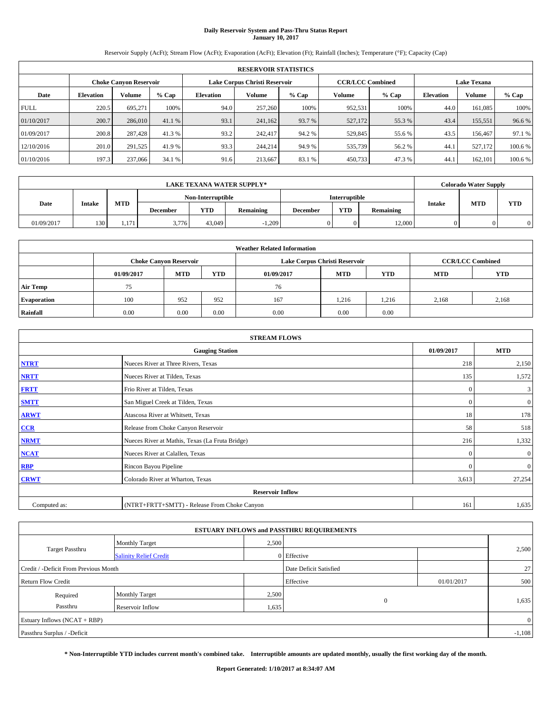# **Daily Reservoir System and Pass-Thru Status Report January 10, 2017**

Reservoir Supply (AcFt); Stream Flow (AcFt); Evaporation (AcFt); Elevation (Ft); Rainfall (Inches); Temperature (°F); Capacity (Cap)

|             | <b>RESERVOIR STATISTICS</b> |                               |         |                               |         |         |                         |         |                    |               |         |  |  |
|-------------|-----------------------------|-------------------------------|---------|-------------------------------|---------|---------|-------------------------|---------|--------------------|---------------|---------|--|--|
|             |                             | <b>Choke Canyon Reservoir</b> |         | Lake Corpus Christi Reservoir |         |         | <b>CCR/LCC Combined</b> |         | <b>Lake Texana</b> |               |         |  |  |
| Date        | <b>Elevation</b>            | Volume                        | $%$ Cap | <b>Elevation</b>              | Volume  | $%$ Cap | Volume                  | $%$ Cap | <b>Elevation</b>   | <b>Volume</b> | $%$ Cap |  |  |
| <b>FULL</b> | 220.5                       | 695.271                       | 100%    | 94.0                          | 257,260 | 100%    | 952,531                 | 100%    | 44.0               | 161.085       | 100%    |  |  |
| 01/10/2017  | 200.7                       | 286,010                       | 41.1 %  | 93.1                          | 241,162 | 93.7 %  | 527,172                 | 55.3 %  | 43.4               | 155,551       | 96.6%   |  |  |
| 01/09/2017  | 200.8                       | 287,428                       | 41.3 %  | 93.2                          | 242,417 | 94.2%   | 529,845                 | 55.6 %  | 43.5               | 156,467       | 97.1 %  |  |  |
| 12/10/2016  | 201.0                       | 291,525                       | 41.9 %  | 93.3                          | 244,214 | 94.9 %  | 535,739                 | 56.2%   | 44.1               | 527,172       | 100.6 % |  |  |
| 01/10/2016  | 197.3                       | 237,066                       | 34.1 %  | 91.6                          | 213.667 | 83.1 %  | 450,733                 | 47.3%   | 44.                | 162.101       | 100.6 % |  |  |

|            | <b>LAKE TEXANA WATER SUPPLY*</b> |            |                   |        |           |          |               |           |               | <b>Colorado Water Supply</b> |            |
|------------|----------------------------------|------------|-------------------|--------|-----------|----------|---------------|-----------|---------------|------------------------------|------------|
|            |                                  |            | Non-Interruptible |        |           |          | Interruptible |           |               |                              |            |
| Date       | <b>Intake</b>                    | <b>MTD</b> | <b>December</b>   | YTD    | Remaining | December | <b>YTD</b>    | Remaining | <b>Intake</b> | <b>MTD</b>                   | <b>YTD</b> |
| 01/09/2017 | 130                              | 1.171      | 3,776             | 43,049 | $-1,209$  |          |               | 12,000    |               |                              |            |

| <b>Weather Related Information</b> |                                                                                         |                               |      |      |                               |                         |       |            |  |  |  |
|------------------------------------|-----------------------------------------------------------------------------------------|-------------------------------|------|------|-------------------------------|-------------------------|-------|------------|--|--|--|
|                                    |                                                                                         | <b>Choke Canyon Reservoir</b> |      |      | Lake Corpus Christi Reservoir | <b>CCR/LCC Combined</b> |       |            |  |  |  |
|                                    | <b>MTD</b><br><b>YTD</b><br>YTD<br><b>MTD</b><br><b>MTD</b><br>01/09/2017<br>01/09/2017 |                               |      |      |                               |                         |       | <b>YTD</b> |  |  |  |
| <b>Air Temp</b>                    | 75                                                                                      |                               |      | 76   |                               |                         |       |            |  |  |  |
| <b>Evaporation</b>                 | 100                                                                                     | 952                           | 952  | 167  | 1,216                         | 1,216                   | 2,168 | 2,168      |  |  |  |
| Rainfall                           | 0.00                                                                                    | 0.00                          | 0.00 | 0.00 | 0.00                          | 0.00                    |       |            |  |  |  |

| <b>STREAM FLOWS</b> |                                                 |              |                |  |  |  |  |  |  |
|---------------------|-------------------------------------------------|--------------|----------------|--|--|--|--|--|--|
|                     | <b>Gauging Station</b>                          |              |                |  |  |  |  |  |  |
| <b>NTRT</b>         | Nueces River at Three Rivers, Texas             | 218          | 2,150          |  |  |  |  |  |  |
| <b>NRTT</b>         | Nueces River at Tilden, Texas                   | 135          | 1,572          |  |  |  |  |  |  |
| <b>FRTT</b>         | Frio River at Tilden, Texas                     | $\mathbf{0}$ | 3              |  |  |  |  |  |  |
| <b>SMTT</b>         | San Miguel Creek at Tilden, Texas               | $\mathbf{0}$ | $\overline{0}$ |  |  |  |  |  |  |
| <b>ARWT</b>         | Atascosa River at Whitsett, Texas               | 18           | 178            |  |  |  |  |  |  |
| CCR                 | Release from Choke Canyon Reservoir             | 58           | 518            |  |  |  |  |  |  |
| <b>NRMT</b>         | Nueces River at Mathis, Texas (La Fruta Bridge) | 216          | 1,332          |  |  |  |  |  |  |
| <b>NCAT</b>         | Nueces River at Calallen, Texas                 | $\Omega$     | $\mathbf{0}$   |  |  |  |  |  |  |
| <b>RBP</b>          | Rincon Bayou Pipeline                           | $\Omega$     | $\mathbf{0}$   |  |  |  |  |  |  |
| <b>CRWT</b>         | Colorado River at Wharton, Texas                | 3,613        | 27,254         |  |  |  |  |  |  |
|                     | <b>Reservoir Inflow</b>                         |              |                |  |  |  |  |  |  |
| Computed as:        | (NTRT+FRTT+SMTT) - Release From Choke Canyon    | 161          | 1,635          |  |  |  |  |  |  |

|                                       |                               |                        | <b>ESTUARY INFLOWS and PASSTHRU REQUIREMENTS</b> |            |                |  |
|---------------------------------------|-------------------------------|------------------------|--------------------------------------------------|------------|----------------|--|
|                                       | <b>Monthly Target</b>         | 2,500                  |                                                  |            |                |  |
| <b>Target Passthru</b>                | <b>Salinity Relief Credit</b> |                        | 0 Effective                                      |            | 2,500          |  |
| Credit / -Deficit From Previous Month |                               | Date Deficit Satisfied |                                                  | $27 \,$    |                |  |
| <b>Return Flow Credit</b>             |                               |                        | Effective                                        | 01/01/2017 | 500            |  |
| Required                              | <b>Monthly Target</b>         | 2,500                  |                                                  |            |                |  |
| Passthru<br>Reservoir Inflow          |                               | 1,635                  | $\Omega$                                         |            | 1,635          |  |
| Estuary Inflows $(NCAT + RBP)$        |                               |                        |                                                  |            | $\overline{0}$ |  |
| Passthru Surplus / -Deficit           |                               |                        |                                                  |            | $-1,108$       |  |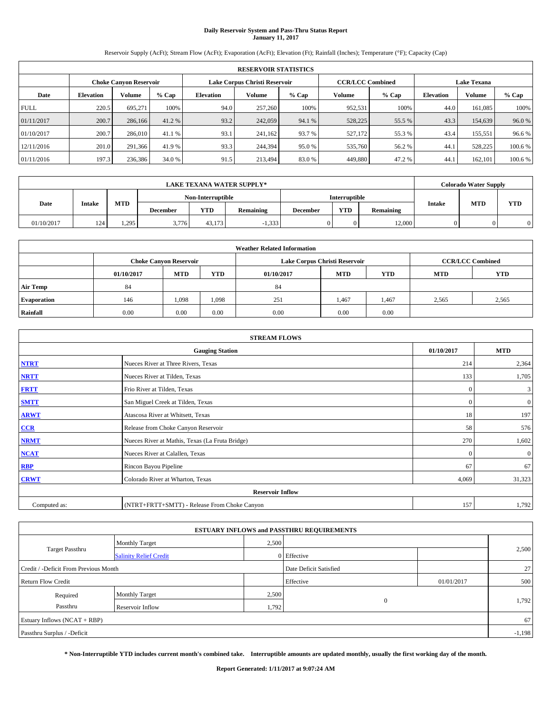# **Daily Reservoir System and Pass-Thru Status Report January 11, 2017**

Reservoir Supply (AcFt); Stream Flow (AcFt); Evaporation (AcFt); Elevation (Ft); Rainfall (Inches); Temperature (°F); Capacity (Cap)

|             | <b>RESERVOIR STATISTICS</b>   |         |         |           |                               |         |                         |         |                  |                    |         |  |
|-------------|-------------------------------|---------|---------|-----------|-------------------------------|---------|-------------------------|---------|------------------|--------------------|---------|--|
|             | <b>Choke Canyon Reservoir</b> |         |         |           | Lake Corpus Christi Reservoir |         | <b>CCR/LCC Combined</b> |         |                  | <b>Lake Texana</b> |         |  |
| Date        | <b>Elevation</b>              | Volume  | $%$ Cap | Elevation | Volume                        | $%$ Cap | Volume                  | $%$ Cap | <b>Elevation</b> | <b>Volume</b>      | % Cap   |  |
| <b>FULL</b> | 220.5                         | 695.271 | 100%    | 94.0      | 257,260                       | 100%    | 952,531                 | 100%    | 44.0             | 161.085            | 100%    |  |
| 01/11/2017  | 200.7                         | 286,166 | 41.2 %  | 93.2      | 242,059                       | 94.1 %  | 528,225                 | 55.5 %  | 43.3             | 154,639            | 96.0%   |  |
| 01/10/2017  | 200.7                         | 286,010 | 41.1 %  | 93.1      | 241,162                       | 93.7 %  | 527,172                 | 55.3 %  | 43.4             | 155,551            | 96.6%   |  |
| 12/11/2016  | 201.0                         | 291,366 | 41.9 %  | 93.3      | 244,394                       | 95.0%   | 535,760                 | 56.2 %  | 44.1             | 528,225            | 100.6 % |  |
| 01/11/2016  | 197.3                         | 236,386 | 34.0 %  | 91.5      | 213,494                       | 83.0%   | 449,880                 | 47.2 %  | 44.              | 162,101            | 100.6 % |  |

| <b>LAKE TEXANA WATER SUPPLY*</b> |               |            |                   |        |           |          | <b>Colorado Water Supply</b> |           |               |            |            |
|----------------------------------|---------------|------------|-------------------|--------|-----------|----------|------------------------------|-----------|---------------|------------|------------|
|                                  |               |            | Non-Interruptible |        |           |          | <b>Interruptible</b>         |           |               |            |            |
| Date                             | <b>Intake</b> | <b>MTD</b> | <b>December</b>   | YTD    | Remaining | December | <b>YTD</b>                   | Remaining | <b>Intake</b> | <b>MTD</b> | <b>YTD</b> |
| 01/10/2017                       | 124           | 1.295      | 3,776             | 43.173 | $-1,333$  |          |                              | 12,000    |               |            |            |

| <b>Weather Related Information</b> |            |                               |            |            |                               |                         |            |            |  |  |  |
|------------------------------------|------------|-------------------------------|------------|------------|-------------------------------|-------------------------|------------|------------|--|--|--|
|                                    |            | <b>Choke Canyon Reservoir</b> |            |            | Lake Corpus Christi Reservoir | <b>CCR/LCC Combined</b> |            |            |  |  |  |
|                                    | 01/10/2017 | <b>MTD</b>                    | <b>YTD</b> | 01/10/2017 | <b>MTD</b>                    | <b>YTD</b>              | <b>MTD</b> | <b>YTD</b> |  |  |  |
| <b>Air Temp</b>                    | 84         |                               |            | 84         |                               |                         |            |            |  |  |  |
| <b>Evaporation</b>                 | 146        | 1,098                         | 1,098      | 251        | 1,467                         | 1,467                   | 2,565      | 2,565      |  |  |  |
| Rainfall                           | 0.00       | 0.00                          | 0.00       | 0.00       | 0.00                          | 0.00                    |            |            |  |  |  |

| <b>STREAM FLOWS</b> |                                                 |              |                  |  |  |  |  |  |  |
|---------------------|-------------------------------------------------|--------------|------------------|--|--|--|--|--|--|
|                     | <b>Gauging Station</b>                          | 01/10/2017   | <b>MTD</b>       |  |  |  |  |  |  |
| <b>NTRT</b>         | Nueces River at Three Rivers, Texas             | 214          | 2,364            |  |  |  |  |  |  |
| <b>NRTT</b>         | Nueces River at Tilden, Texas                   | 133          | 1,705            |  |  |  |  |  |  |
| <b>FRTT</b>         | Frio River at Tilden, Texas                     | $\mathbf{0}$ | 3                |  |  |  |  |  |  |
| <b>SMTT</b>         | San Miguel Creek at Tilden, Texas               | $\mathbf{0}$ | $\boldsymbol{0}$ |  |  |  |  |  |  |
| <b>ARWT</b>         | Atascosa River at Whitsett, Texas               | 18           | 197              |  |  |  |  |  |  |
| CCR                 | Release from Choke Canyon Reservoir             | 58           | 576              |  |  |  |  |  |  |
| <b>NRMT</b>         | Nueces River at Mathis, Texas (La Fruta Bridge) | 270          | 1,602            |  |  |  |  |  |  |
| <b>NCAT</b>         | Nueces River at Calallen, Texas                 | $\Omega$     | $\boldsymbol{0}$ |  |  |  |  |  |  |
| <b>RBP</b>          | Rincon Bayou Pipeline                           | 67           | 67               |  |  |  |  |  |  |
| <b>CRWT</b>         | Colorado River at Wharton, Texas                | 4,069        | 31,323           |  |  |  |  |  |  |
|                     | <b>Reservoir Inflow</b>                         |              |                  |  |  |  |  |  |  |
| Computed as:        | (NTRT+FRTT+SMTT) - Release From Choke Canyon    | 157          | 1,792            |  |  |  |  |  |  |

|                                       |                               |       | <b>ESTUARY INFLOWS and PASSTHRU REQUIREMENTS</b> |            |          |  |
|---------------------------------------|-------------------------------|-------|--------------------------------------------------|------------|----------|--|
|                                       | <b>Monthly Target</b>         | 2,500 |                                                  |            |          |  |
| <b>Target Passthru</b>                | <b>Salinity Relief Credit</b> |       | 0 Effective                                      |            | 2,500    |  |
| Credit / -Deficit From Previous Month |                               |       | Date Deficit Satisfied                           |            | $27 \,$  |  |
| <b>Return Flow Credit</b>             |                               |       | Effective                                        | 01/01/2017 | 500      |  |
| Required                              | <b>Monthly Target</b>         | 2,500 |                                                  |            |          |  |
| Passthru                              | Reservoir Inflow              | 1,792 | $\Omega$                                         |            | 1,792    |  |
| Estuary Inflows $(NCAT + RBP)$        |                               |       |                                                  |            | 67       |  |
| Passthru Surplus / -Deficit           |                               |       |                                                  |            | $-1,198$ |  |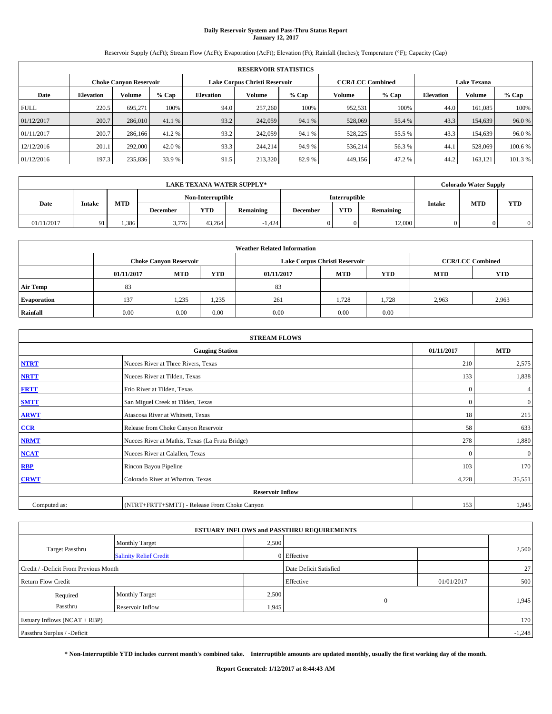# **Daily Reservoir System and Pass-Thru Status Report January 12, 2017**

Reservoir Supply (AcFt); Stream Flow (AcFt); Evaporation (AcFt); Elevation (Ft); Rainfall (Inches); Temperature (°F); Capacity (Cap)

|             | <b>RESERVOIR STATISTICS</b> |                               |         |                  |                               |         |                         |         |                  |                    |         |  |
|-------------|-----------------------------|-------------------------------|---------|------------------|-------------------------------|---------|-------------------------|---------|------------------|--------------------|---------|--|
|             |                             | <b>Choke Canyon Reservoir</b> |         |                  | Lake Corpus Christi Reservoir |         | <b>CCR/LCC Combined</b> |         |                  | <b>Lake Texana</b> |         |  |
| Date        | <b>Elevation</b>            | Volume                        | $%$ Cap | <b>Elevation</b> | Volume                        | $%$ Cap | Volume                  | $%$ Cap | <b>Elevation</b> | <b>Volume</b>      | % Cap   |  |
| <b>FULL</b> | 220.5                       | 695.271                       | 100%    | 94.0             | 257,260                       | 100%    | 952,531                 | 100%    | 44.0             | 161.085            | 100%    |  |
| 01/12/2017  | 200.7                       | 286,010                       | 41.1 %  | 93.2             | 242,059                       | 94.1 %  | 528,069                 | 55.4 %  | 43.3             | 154,639            | 96.0%   |  |
| 01/11/2017  | 200.7                       | 286,166                       | 41.2 %  | 93.2             | 242,059                       | 94.1 %  | 528,225                 | 55.5 %  | 43.3             | 154,639            | 96.0%   |  |
| 12/12/2016  | 201.1                       | 292,000                       | 42.0 %  | 93.3             | 244,214                       | 94.9 %  | 536,214                 | 56.3 %  | 44.1             | 528,069            | 100.6%  |  |
| 01/12/2016  | 197.3                       | 235,836                       | 33.9 %  | 91.5             | 213,320                       | 82.9%   | 449,156                 | 47.2%   | 44.2             | 163.121            | 101.3 % |  |

| LAKE TEXANA WATER SUPPLY* |               |            |                   |        |           |                 |                      | <b>Colorado Water Supply</b> |               |            |            |
|---------------------------|---------------|------------|-------------------|--------|-----------|-----------------|----------------------|------------------------------|---------------|------------|------------|
|                           |               |            | Non-Interruptible |        |           |                 | <b>Interruptible</b> |                              |               |            |            |
| Date                      | <b>Intake</b> | <b>MTD</b> | <b>December</b>   | YTD    | Remaining | <b>December</b> | <b>YTD</b>           | Remaining                    | <b>Intake</b> | <b>MTD</b> | <b>YTD</b> |
| 01/11/2017                | $-91$         | .386       | 3,776             | 43.264 | $-1.424$  |                 | 0                    | 12.000                       |               |            | $\Omega$   |

| <b>Weather Related Information</b> |            |                               |            |            |                               |                         |            |            |  |  |
|------------------------------------|------------|-------------------------------|------------|------------|-------------------------------|-------------------------|------------|------------|--|--|
|                                    |            | <b>Choke Canvon Reservoir</b> |            |            | Lake Corpus Christi Reservoir | <b>CCR/LCC Combined</b> |            |            |  |  |
|                                    | 01/11/2017 | <b>MTD</b>                    | <b>YTD</b> | 01/11/2017 | <b>MTD</b>                    | <b>YTD</b>              | <b>MTD</b> | <b>YTD</b> |  |  |
| <b>Air Temp</b>                    | 83         |                               |            | 83         |                               |                         |            |            |  |  |
| <b>Evaporation</b>                 | 137        | 1,235                         | 1,235      | 261        | 1,728                         | 1,728                   | 2,963      | 2,963      |  |  |
| Rainfall                           | 0.00       | 0.00                          | 0.00       | 0.00       | 0.00                          | 0.00                    |            |            |  |  |

| <b>STREAM FLOWS</b> |                                                 |              |                |  |  |  |  |  |  |
|---------------------|-------------------------------------------------|--------------|----------------|--|--|--|--|--|--|
|                     | <b>Gauging Station</b>                          |              |                |  |  |  |  |  |  |
| <b>NTRT</b>         | Nueces River at Three Rivers, Texas             | 210          | 2,575          |  |  |  |  |  |  |
| <b>NRTT</b>         | Nueces River at Tilden, Texas                   | 133          | 1,838          |  |  |  |  |  |  |
| <b>FRTT</b>         | Frio River at Tilden, Texas                     | $\mathbf{0}$ | 4              |  |  |  |  |  |  |
| <b>SMTT</b>         | San Miguel Creek at Tilden, Texas               | $\mathbf{0}$ | $\overline{0}$ |  |  |  |  |  |  |
| <b>ARWT</b>         | Atascosa River at Whitsett, Texas               | 18           | 215            |  |  |  |  |  |  |
| CCR                 | Release from Choke Canyon Reservoir             | 58           | 633            |  |  |  |  |  |  |
| <b>NRMT</b>         | Nueces River at Mathis, Texas (La Fruta Bridge) | 278          | 1,880          |  |  |  |  |  |  |
| <b>NCAT</b>         | Nueces River at Calallen, Texas                 | $\Omega$     | $\mathbf{0}$   |  |  |  |  |  |  |
| <b>RBP</b>          | Rincon Bayou Pipeline                           | 103          | 170            |  |  |  |  |  |  |
| <b>CRWT</b>         | Colorado River at Wharton, Texas                | 4,228        | 35,551         |  |  |  |  |  |  |
|                     | <b>Reservoir Inflow</b>                         |              |                |  |  |  |  |  |  |
| Computed as:        | (NTRT+FRTT+SMTT) - Release From Choke Canyon    | 153          | 1,945          |  |  |  |  |  |  |

|                                       |                               |                        | <b>ESTUARY INFLOWS and PASSTHRU REQUIREMENTS</b> |              |          |  |
|---------------------------------------|-------------------------------|------------------------|--------------------------------------------------|--------------|----------|--|
|                                       | <b>Monthly Target</b>         | 2,500                  |                                                  |              |          |  |
| <b>Target Passthru</b>                | <b>Salinity Relief Credit</b> |                        | 0 Effective                                      |              | 2,500    |  |
| Credit / -Deficit From Previous Month |                               | Date Deficit Satisfied |                                                  | $27 \square$ |          |  |
| <b>Return Flow Credit</b>             |                               |                        | Effective                                        | 01/01/2017   | 500      |  |
| Required                              | <b>Monthly Target</b>         | 2,500                  |                                                  |              |          |  |
| Passthru<br>Reservoir Inflow          |                               | 1,945                  | $\Omega$                                         |              | 1,945    |  |
| Estuary Inflows $(NCAT + RBP)$        |                               |                        |                                                  |              | 170      |  |
| Passthru Surplus / -Deficit           |                               |                        |                                                  |              | $-1,248$ |  |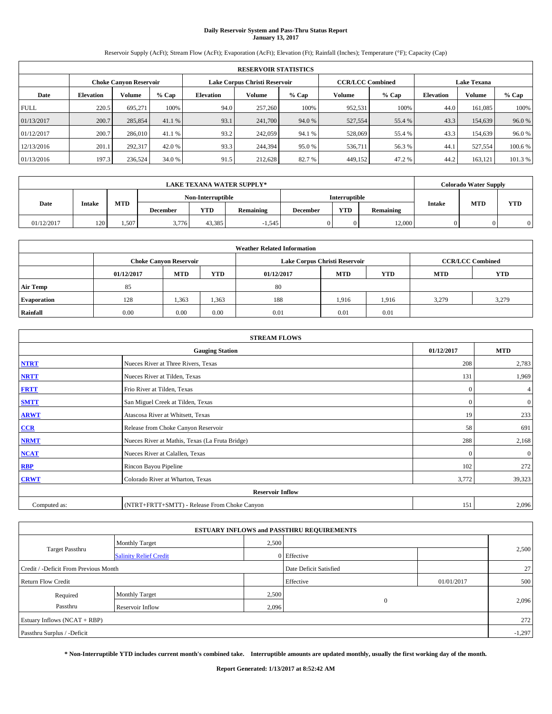# **Daily Reservoir System and Pass-Thru Status Report January 13, 2017**

Reservoir Supply (AcFt); Stream Flow (AcFt); Evaporation (AcFt); Elevation (Ft); Rainfall (Inches); Temperature (°F); Capacity (Cap)

| <b>RESERVOIR STATISTICS</b> |                  |                               |         |                  |                                                          |         |               |         |                    |               |         |
|-----------------------------|------------------|-------------------------------|---------|------------------|----------------------------------------------------------|---------|---------------|---------|--------------------|---------------|---------|
|                             |                  | <b>Choke Canyon Reservoir</b> |         |                  | Lake Corpus Christi Reservoir<br><b>CCR/LCC Combined</b> |         |               |         | <b>Lake Texana</b> |               |         |
| Date                        | <b>Elevation</b> | Volume                        | $%$ Cap | <b>Elevation</b> | Volume                                                   | $%$ Cap | <b>Volume</b> | $%$ Cap | <b>Elevation</b>   | <b>Volume</b> | % Cap   |
| <b>FULL</b>                 | 220.5            | 695.271                       | 100%    | 94.0             | 257,260                                                  | 100%    | 952,531       | 100%    | 44.0               | 161.085       | 100%    |
| 01/13/2017                  | 200.7            | 285,854                       | 41.1 %  | 93.1             | 241,700                                                  | 94.0 %  | 527,554       | 55.4 %  | 43.3               | 154,639       | 96.0%   |
| 01/12/2017                  | 200.7            | 286,010                       | 41.1 %  | 93.2             | 242,059                                                  | 94.1 %  | 528,069       | 55.4 %  | 43.3               | 154,639       | 96.0%   |
| 12/13/2016                  | 201.1            | 292,317                       | 42.0 %  | 93.3             | 244,394                                                  | 95.0%   | 536,711       | 56.3%   | 44.                | 527,554       | 100.6 % |
| 01/13/2016                  | 197.3            | 236,524                       | 34.0 %  | 91.5             | 212,628                                                  | 82.7 %  | 449,152       | 47.2%   | 44.2               | 163.121       | 101.3 % |

|            | LAKE TEXANA WATER SUPPLY* |            |                 |                   |           |                 |                      |           |               |            | <b>Colorado Water Supply</b> |
|------------|---------------------------|------------|-----------------|-------------------|-----------|-----------------|----------------------|-----------|---------------|------------|------------------------------|
|            |                           |            |                 | Non-Interruptible |           |                 | <b>Interruptible</b> |           |               |            |                              |
| Date       | <b>Intake</b>             | <b>MTD</b> | <b>December</b> | YTD               | Remaining | <b>December</b> | <b>YTD</b>           | Remaining | <b>Intake</b> | <b>MTD</b> | <b>YTD</b>                   |
| 01/12/2017 | 120                       | 1.507      | 3,776           | 43.385            | $-1,545$  |                 | 0                    | 12.000    |               |            | $\Omega$                     |

| <b>Weather Related Information</b> |            |                               |            |            |                               |                         |            |            |  |  |
|------------------------------------|------------|-------------------------------|------------|------------|-------------------------------|-------------------------|------------|------------|--|--|
|                                    |            | <b>Choke Canyon Reservoir</b> |            |            | Lake Corpus Christi Reservoir | <b>CCR/LCC Combined</b> |            |            |  |  |
|                                    | 01/12/2017 | <b>MTD</b>                    | <b>YTD</b> | 01/12/2017 | <b>MTD</b>                    | <b>YTD</b>              | <b>MTD</b> | <b>YTD</b> |  |  |
| <b>Air Temp</b>                    | 85         |                               |            | 80         |                               |                         |            |            |  |  |
| <b>Evaporation</b>                 | 128        | 1,363                         | 1,363      | 188        | 1,916                         | 1,916                   | 3.279      | 3,279      |  |  |
| Rainfall                           | 0.00       | 0.00                          | 0.00       | 0.01       | 0.01                          | 0.01                    |            |            |  |  |

| <b>STREAM FLOWS</b> |                                                 |              |              |  |  |  |  |  |  |
|---------------------|-------------------------------------------------|--------------|--------------|--|--|--|--|--|--|
|                     | <b>Gauging Station</b>                          |              |              |  |  |  |  |  |  |
| <b>NTRT</b>         | Nueces River at Three Rivers, Texas             |              |              |  |  |  |  |  |  |
| <b>NRTT</b>         | Nueces River at Tilden, Texas                   | 131          | 1,969        |  |  |  |  |  |  |
| <b>FRTT</b>         | Frio River at Tilden, Texas                     | $\mathbf{0}$ | 4            |  |  |  |  |  |  |
| <b>SMTT</b>         | San Miguel Creek at Tilden, Texas               | $\mathbf{0}$ | $\mathbf{0}$ |  |  |  |  |  |  |
| <b>ARWT</b>         | Atascosa River at Whitsett, Texas               | 19           | 233          |  |  |  |  |  |  |
| CCR                 | Release from Choke Canyon Reservoir             | 58           | 691          |  |  |  |  |  |  |
| <b>NRMT</b>         | Nueces River at Mathis, Texas (La Fruta Bridge) | 288          | 2,168        |  |  |  |  |  |  |
| <b>NCAT</b>         | Nueces River at Calallen, Texas                 | $\Omega$     | $\mathbf{0}$ |  |  |  |  |  |  |
| <b>RBP</b>          | Rincon Bayou Pipeline                           | 102          | 272          |  |  |  |  |  |  |
| <b>CRWT</b>         | Colorado River at Wharton, Texas                | 3,772        | 39,323       |  |  |  |  |  |  |
|                     | <b>Reservoir Inflow</b>                         |              |              |  |  |  |  |  |  |
| Computed as:        | (NTRT+FRTT+SMTT) - Release From Choke Canyon    |              |              |  |  |  |  |  |  |

|                                       |                               |                        | <b>ESTUARY INFLOWS and PASSTHRU REQUIREMENTS</b> |              |       |  |  |  |
|---------------------------------------|-------------------------------|------------------------|--------------------------------------------------|--------------|-------|--|--|--|
|                                       | <b>Monthly Target</b>         | 2,500                  |                                                  |              |       |  |  |  |
| <b>Target Passthru</b>                | <b>Salinity Relief Credit</b> |                        | 0 Effective                                      |              | 2,500 |  |  |  |
| Credit / -Deficit From Previous Month |                               | Date Deficit Satisfied |                                                  | $27 \square$ |       |  |  |  |
| <b>Return Flow Credit</b>             |                               | Effective              | 01/01/2017                                       | 500          |       |  |  |  |
| Required                              | <b>Monthly Target</b>         | 2,500                  |                                                  |              |       |  |  |  |
| Passthru                              | Reservoir Inflow              | 2,096                  | $\Omega$                                         |              | 2,096 |  |  |  |
| Estuary Inflows $(NCAT + RBP)$        |                               |                        |                                                  |              |       |  |  |  |
| Passthru Surplus / -Deficit           |                               |                        |                                                  |              |       |  |  |  |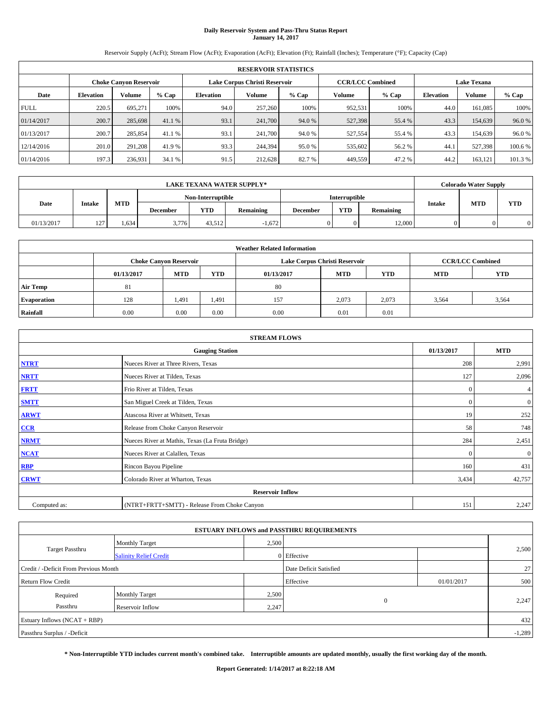# **Daily Reservoir System and Pass-Thru Status Report January 14, 2017**

Reservoir Supply (AcFt); Stream Flow (AcFt); Evaporation (AcFt); Elevation (Ft); Rainfall (Inches); Temperature (°F); Capacity (Cap)

| <b>RESERVOIR STATISTICS</b> |                  |                               |         |                  |                                                          |         |         |         |                    |               |         |
|-----------------------------|------------------|-------------------------------|---------|------------------|----------------------------------------------------------|---------|---------|---------|--------------------|---------------|---------|
|                             |                  | <b>Choke Canyon Reservoir</b> |         |                  | Lake Corpus Christi Reservoir<br><b>CCR/LCC Combined</b> |         |         |         | <b>Lake Texana</b> |               |         |
| Date                        | <b>Elevation</b> | Volume                        | $%$ Cap | <b>Elevation</b> | Volume                                                   | $%$ Cap | Volume  | $%$ Cap | <b>Elevation</b>   | <b>Volume</b> | % Cap   |
| <b>FULL</b>                 | 220.5            | 695.271                       | 100%    | 94.0             | 257,260                                                  | 100%    | 952,531 | 100%    | 44.0               | 161.085       | 100%    |
| 01/14/2017                  | 200.7            | 285,698                       | 41.1 %  | 93.1             | 241,700                                                  | 94.0 %  | 527,398 | 55.4 %  | 43.3               | 154,639       | 96.0%   |
| 01/13/2017                  | 200.7            | 285,854                       | 41.1 %  | 93.1             | 241,700                                                  | 94.0%   | 527,554 | 55.4 %  | 43.3               | 154,639       | 96.0%   |
| 12/14/2016                  | 201.0            | 291.208                       | 41.9 %  | 93.3             | 244,394                                                  | 95.0%   | 535,602 | 56.2%   | 44.1               | 527,398       | 100.6%  |
| 01/14/2016                  | 197.3            | 236,931                       | 34.1 %  | 91.5             | 212,628                                                  | 82.7 %  | 449,559 | 47.2%   | 44.2               | 163.121       | 101.3 % |

| <b>LAKE TEXANA WATER SUPPLY*</b> |             |            |                 |                   |           |                 |               |           |               | <b>Colorado Water Supply</b> |            |
|----------------------------------|-------------|------------|-----------------|-------------------|-----------|-----------------|---------------|-----------|---------------|------------------------------|------------|
| Date                             |             |            |                 | Non-Interruptible |           |                 | Interruptible |           |               |                              |            |
|                                  | Intake      | <b>MTD</b> | <b>December</b> | YTD               | Remaining | <b>December</b> | <b>YTD</b>    | Remaining | <b>Intake</b> | <b>MTD</b>                   | <b>YTD</b> |
| 01/13/2017                       | 127.<br>. . | . 634      | 3,776           | 43.512            | $-1.672$  |                 |               | 12,000    |               |                              | 0          |

| <b>Weather Related Information</b> |            |                                        |       |      |                               |                         |            |            |  |  |
|------------------------------------|------------|----------------------------------------|-------|------|-------------------------------|-------------------------|------------|------------|--|--|
|                                    |            | <b>Choke Canyon Reservoir</b>          |       |      | Lake Corpus Christi Reservoir | <b>CCR/LCC Combined</b> |            |            |  |  |
|                                    | 01/13/2017 | <b>MTD</b><br><b>YTD</b><br>01/13/2017 |       |      | <b>YTD</b><br><b>MTD</b>      |                         | <b>MTD</b> | <b>YTD</b> |  |  |
| <b>Air Temp</b>                    | 81         |                                        |       | 80   |                               |                         |            |            |  |  |
| <b>Evaporation</b>                 | 128        | 1,491                                  | 1,491 | 157  | 2,073                         | 2,073                   | 3,564      | 3,564      |  |  |
| Rainfall                           | 0.00       | 0.00                                   | 0.00  | 0.00 | 0.01                          | 0.01                    |            |            |  |  |

| <b>STREAM FLOWS</b> |                                                 |              |                  |  |  |  |  |  |  |
|---------------------|-------------------------------------------------|--------------|------------------|--|--|--|--|--|--|
|                     | <b>Gauging Station</b>                          |              |                  |  |  |  |  |  |  |
| <b>NTRT</b>         | Nueces River at Three Rivers, Texas             |              |                  |  |  |  |  |  |  |
| <b>NRTT</b>         | Nueces River at Tilden, Texas                   | 127          | 2,096            |  |  |  |  |  |  |
| <b>FRTT</b>         | Frio River at Tilden, Texas                     | $\mathbf{0}$ | 4                |  |  |  |  |  |  |
| <b>SMTT</b>         | San Miguel Creek at Tilden, Texas               | $\mathbf{0}$ | $\boldsymbol{0}$ |  |  |  |  |  |  |
| <b>ARWT</b>         | Atascosa River at Whitsett, Texas               | 19           | 252              |  |  |  |  |  |  |
| CCR                 | Release from Choke Canyon Reservoir             | 58           | 748              |  |  |  |  |  |  |
| <b>NRMT</b>         | Nueces River at Mathis, Texas (La Fruta Bridge) | 284          | 2,451            |  |  |  |  |  |  |
| <b>NCAT</b>         | Nueces River at Calallen, Texas                 | $\Omega$     | $\boldsymbol{0}$ |  |  |  |  |  |  |
| <b>RBP</b>          | Rincon Bayou Pipeline                           | 160          | 431              |  |  |  |  |  |  |
| <b>CRWT</b>         | Colorado River at Wharton, Texas                | 3,434        | 42,757           |  |  |  |  |  |  |
|                     | <b>Reservoir Inflow</b>                         |              |                  |  |  |  |  |  |  |
| Computed as:        | (NTRT+FRTT+SMTT) - Release From Choke Canyon    |              |                  |  |  |  |  |  |  |

|                                       |                               |                        | <b>ESTUARY INFLOWS and PASSTHRU REQUIREMENTS</b> |              |       |  |  |  |
|---------------------------------------|-------------------------------|------------------------|--------------------------------------------------|--------------|-------|--|--|--|
|                                       | <b>Monthly Target</b>         | 2,500                  |                                                  |              |       |  |  |  |
| <b>Target Passthru</b>                | <b>Salinity Relief Credit</b> |                        | 0 Effective                                      |              | 2,500 |  |  |  |
| Credit / -Deficit From Previous Month |                               | Date Deficit Satisfied |                                                  | $27 \square$ |       |  |  |  |
| <b>Return Flow Credit</b>             |                               | Effective              | 01/01/2017                                       | 500          |       |  |  |  |
| Required                              | <b>Monthly Target</b>         | 2,500                  |                                                  |              |       |  |  |  |
| Passthru                              | Reservoir Inflow              | 2,247                  | $\Omega$                                         |              | 2,247 |  |  |  |
| Estuary Inflows $(NCAT + RBP)$        |                               |                        |                                                  |              |       |  |  |  |
| Passthru Surplus / -Deficit           |                               |                        |                                                  |              |       |  |  |  |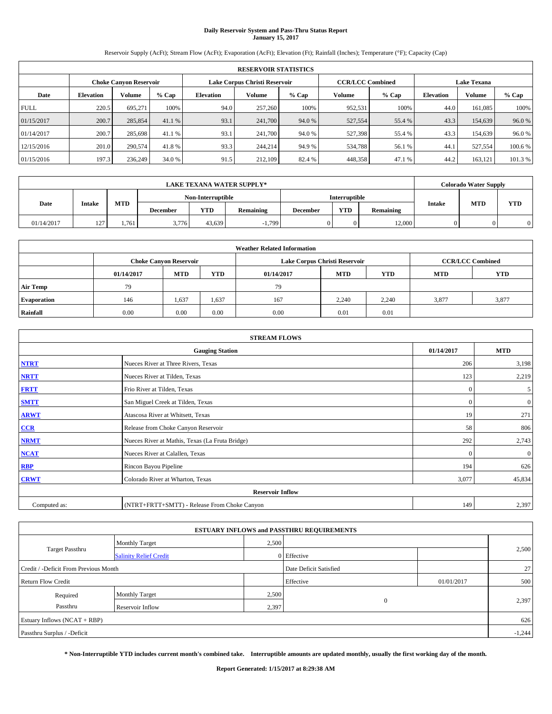# **Daily Reservoir System and Pass-Thru Status Report January 15, 2017**

Reservoir Supply (AcFt); Stream Flow (AcFt); Evaporation (AcFt); Elevation (Ft); Rainfall (Inches); Temperature (°F); Capacity (Cap)

| <b>RESERVOIR STATISTICS</b> |                  |                               |         |                               |         |         |         |                                               |                  |               |         |
|-----------------------------|------------------|-------------------------------|---------|-------------------------------|---------|---------|---------|-----------------------------------------------|------------------|---------------|---------|
|                             |                  | <b>Choke Canyon Reservoir</b> |         | Lake Corpus Christi Reservoir |         |         |         | <b>CCR/LCC Combined</b><br><b>Lake Texana</b> |                  |               |         |
| Date                        | <b>Elevation</b> | Volume                        | $%$ Cap | <b>Elevation</b>              | Volume  | $%$ Cap | Volume  | $%$ Cap                                       | <b>Elevation</b> | <b>Volume</b> | $%$ Cap |
| <b>FULL</b>                 | 220.5            | 695.271                       | 100%    | 94.0                          | 257,260 | 100%    | 952,531 | 100%                                          | 44.0             | 161.085       | 100%    |
| 01/15/2017                  | 200.7            | 285,854                       | 41.1 %  | 93.1                          | 241,700 | 94.0 %  | 527,554 | 55.4 %                                        | 43.3             | 154,639       | 96.0%   |
| 01/14/2017                  | 200.7            | 285,698                       | 41.1 %  | 93.1                          | 241,700 | 94.0%   | 527,398 | 55.4 %                                        | 43.3             | 154,639       | 96.0%   |
| 12/15/2016                  | 201.0            | 290,574                       | 41.8%   | 93.3                          | 244,214 | 94.9 %  | 534,788 | 56.1 %                                        | 44.1             | 527,554       | 100.6%  |
| 01/15/2016                  | 197.3            | 236,249                       | 34.0 %  | 91.5                          | 212,109 | 82.4 %  | 448,358 | 47.1 %                                        | 44.2             | 163.121       | 101.3 % |

|            | <b>LAKE TEXANA WATER SUPPLY*</b> |            |                 |                   |           |                 |               |           |               |            | <b>Colorado Water Supply</b> |
|------------|----------------------------------|------------|-----------------|-------------------|-----------|-----------------|---------------|-----------|---------------|------------|------------------------------|
| Date       |                                  |            |                 | Non-Interruptible |           |                 | Interruptible |           |               |            |                              |
|            | <b>Intake</b>                    | <b>MTD</b> | <b>December</b> | YTD               | Remaining | <b>December</b> | <b>YTD</b>    | Remaining | <b>Intake</b> | <b>MTD</b> | <b>YTD</b>                   |
| 01/14/2017 | 127<br>$\overline{ }$            | 1.761      | 3,776           | 43.639            | $-1.799$  |                 |               | 12,000    |               |            |                              |

| <b>Weather Related Information</b> |            |                               |            |            |                               |                         |            |            |  |  |
|------------------------------------|------------|-------------------------------|------------|------------|-------------------------------|-------------------------|------------|------------|--|--|
|                                    |            | <b>Choke Canyon Reservoir</b> |            |            | Lake Corpus Christi Reservoir | <b>CCR/LCC Combined</b> |            |            |  |  |
|                                    | 01/14/2017 | <b>MTD</b>                    | <b>YTD</b> | 01/14/2017 | <b>MTD</b>                    | <b>YTD</b>              | <b>MTD</b> | <b>YTD</b> |  |  |
| <b>Air Temp</b>                    | 79         |                               |            | 79         |                               |                         |            |            |  |  |
| <b>Evaporation</b>                 | 146        | 1,637                         | 1,637      | 167        | 2,240                         | 2,240                   | 3.877      | 3,877      |  |  |
| Rainfall                           | 0.00       | 0.00                          | 0.00       | 0.00       | 0.01                          | 0.01                    |            |            |  |  |

| <b>STREAM FLOWS</b>     |                                                 |              |              |  |  |  |  |  |  |
|-------------------------|-------------------------------------------------|--------------|--------------|--|--|--|--|--|--|
|                         | 01/14/2017                                      | <b>MTD</b>   |              |  |  |  |  |  |  |
| <b>NTRT</b>             | Nueces River at Three Rivers, Texas             | 206          | 3,198        |  |  |  |  |  |  |
| <b>NRTT</b>             | Nueces River at Tilden, Texas                   | 123          | 2,219        |  |  |  |  |  |  |
| <b>FRTT</b>             | Frio River at Tilden, Texas                     | $\mathbf{0}$ | 5            |  |  |  |  |  |  |
| <b>SMTT</b>             | San Miguel Creek at Tilden, Texas               | $\mathbf{0}$ | $\mathbf{0}$ |  |  |  |  |  |  |
| <b>ARWT</b>             | Atascosa River at Whitsett, Texas               | 19           | 271          |  |  |  |  |  |  |
| $CCR$                   | Release from Choke Canyon Reservoir             | 58           | 806          |  |  |  |  |  |  |
| <b>NRMT</b>             | Nueces River at Mathis, Texas (La Fruta Bridge) | 292          | 2,743        |  |  |  |  |  |  |
| <b>NCAT</b>             | Nueces River at Calallen, Texas                 | $\Omega$     | $\mathbf{0}$ |  |  |  |  |  |  |
| RBP                     | Rincon Bayou Pipeline                           | 194          | 626          |  |  |  |  |  |  |
| <b>CRWT</b>             | Colorado River at Wharton, Texas                | 3,077        | 45,834       |  |  |  |  |  |  |
| <b>Reservoir Inflow</b> |                                                 |              |              |  |  |  |  |  |  |
| Computed as:            | (NTRT+FRTT+SMTT) - Release From Choke Canyon    | 149          | 2,397        |  |  |  |  |  |  |

|                                       |                               |       | <b>ESTUARY INFLOWS and PASSTHRU REQUIREMENTS</b> |            |       |  |  |  |
|---------------------------------------|-------------------------------|-------|--------------------------------------------------|------------|-------|--|--|--|
|                                       | <b>Monthly Target</b>         | 2,500 |                                                  |            |       |  |  |  |
| <b>Target Passthru</b>                | <b>Salinity Relief Credit</b> |       | 0 Effective                                      |            | 2,500 |  |  |  |
| Credit / -Deficit From Previous Month |                               |       | Date Deficit Satisfied                           |            | 27    |  |  |  |
| <b>Return Flow Credit</b>             |                               |       | Effective                                        | 01/01/2017 | 500   |  |  |  |
| Required                              | <b>Monthly Target</b>         | 2,500 |                                                  |            |       |  |  |  |
| Passthru                              | <b>Reservoir Inflow</b>       | 2,397 | $\Omega$                                         |            | 2,397 |  |  |  |
| Estuary Inflows (NCAT + RBP)          |                               |       |                                                  |            | 626   |  |  |  |
| Passthru Surplus / -Deficit           |                               |       |                                                  |            |       |  |  |  |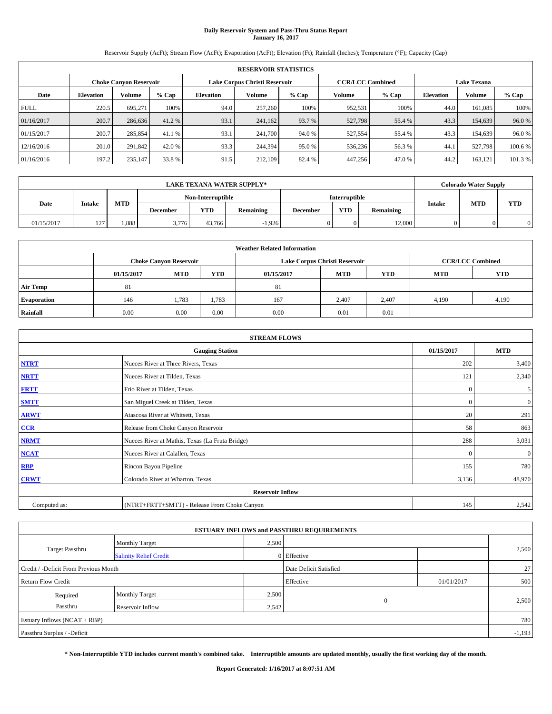# **Daily Reservoir System and Pass-Thru Status Report January 16, 2017**

Reservoir Supply (AcFt); Stream Flow (AcFt); Evaporation (AcFt); Elevation (Ft); Rainfall (Inches); Temperature (°F); Capacity (Cap)

| <b>RESERVOIR STATISTICS</b> |                  |                               |         |                  |                               |         |                         |         |                  |                    |         |
|-----------------------------|------------------|-------------------------------|---------|------------------|-------------------------------|---------|-------------------------|---------|------------------|--------------------|---------|
|                             |                  | <b>Choke Canyon Reservoir</b> |         |                  | Lake Corpus Christi Reservoir |         | <b>CCR/LCC Combined</b> |         |                  | <b>Lake Texana</b> |         |
| Date                        | <b>Elevation</b> | Volume                        | $%$ Cap | <b>Elevation</b> | Volume                        | $%$ Cap | <b>Volume</b>           | $%$ Cap | <b>Elevation</b> | <b>Volume</b>      | % Cap   |
| <b>FULL</b>                 | 220.5            | 695.271                       | 100%    | 94.0             | 257,260                       | 100%    | 952,531                 | 100%    | 44.0             | 161.085            | 100%    |
| 01/16/2017                  | 200.7            | 286,636                       | 41.2 %  | 93.1             | 241,162                       | 93.7 %  | 527,798                 | 55.4 %  | 43.3             | 154,639            | 96.0%   |
| 01/15/2017                  | 200.7            | 285,854                       | 41.1 %  | 93.1             | 241,700                       | 94.0%   | 527,554                 | 55.4 %  | 43.3             | 154,639            | 96.0%   |
| 12/16/2016                  | 201.0            | 291,842                       | 42.0 %  | 93.3             | 244,394                       | 95.0%   | 536,236                 | 56.3%   | 44.              | 527,798            | 100.6 % |
| 01/16/2016                  | 197.2            | 235,147                       | 33.8 %  | 91.5             | 212,109                       | 82.4 %  | 447,256                 | 47.0%   | 44.2             | 163.121            | 101.3 % |

| LAKE TEXANA WATER SUPPLY* |                    |                   |                 |        |           |                      |            |           |               | <b>Colorado Water Supply</b> |            |
|---------------------------|--------------------|-------------------|-----------------|--------|-----------|----------------------|------------|-----------|---------------|------------------------------|------------|
|                           |                    | Non-Interruptible |                 |        |           | <b>Interruptible</b> |            |           |               |                              |            |
| Date                      | <b>Intake</b>      | <b>MTD</b>        | <b>December</b> | YTD    | Remaining | <b>December</b>      | <b>YTD</b> | Remaining | <b>Intake</b> | <b>MTD</b>                   | <b>YTD</b> |
| 01/15/2017                | 127.<br>. <u>.</u> | .888              | 3,776           | 43.766 | $-1.926$  |                      | 0          | 12.000    |               |                              | $\Omega$   |

| <b>Weather Related Information</b> |            |                               |            |            |                               |                         |            |            |  |  |
|------------------------------------|------------|-------------------------------|------------|------------|-------------------------------|-------------------------|------------|------------|--|--|
|                                    |            | <b>Choke Canvon Reservoir</b> |            |            | Lake Corpus Christi Reservoir | <b>CCR/LCC Combined</b> |            |            |  |  |
|                                    | 01/15/2017 | <b>MTD</b>                    | <b>YTD</b> | 01/15/2017 | <b>MTD</b>                    | <b>YTD</b>              | <b>MTD</b> | <b>YTD</b> |  |  |
| <b>Air Temp</b>                    | 81         |                               |            | 81         |                               |                         |            |            |  |  |
| <b>Evaporation</b>                 | 146        | 1,783                         | 1,783      | 167        | 2,407                         | 2,407                   | 4,190      | 4,190      |  |  |
| Rainfall                           | 0.00       | 0.00                          | 0.00       | 0.00       | 0.01                          | 0.01                    |            |            |  |  |

| <b>STREAM FLOWS</b>     |                                                 |              |                |  |  |  |  |  |  |
|-------------------------|-------------------------------------------------|--------------|----------------|--|--|--|--|--|--|
|                         | 01/15/2017                                      | <b>MTD</b>   |                |  |  |  |  |  |  |
| <b>NTRT</b>             | Nueces River at Three Rivers, Texas             | 202          | 3,400          |  |  |  |  |  |  |
| <b>NRTT</b>             | Nueces River at Tilden, Texas                   | 121          | 2,340          |  |  |  |  |  |  |
| <b>FRTT</b>             | Frio River at Tilden, Texas                     | $\mathbf{0}$ | 5              |  |  |  |  |  |  |
| <b>SMTT</b>             | San Miguel Creek at Tilden, Texas               | $\mathbf{0}$ | $\overline{0}$ |  |  |  |  |  |  |
| <b>ARWT</b>             | Atascosa River at Whitsett, Texas               | 20           | 291            |  |  |  |  |  |  |
| CCR                     | Release from Choke Canyon Reservoir             | 58           | 863            |  |  |  |  |  |  |
| <b>NRMT</b>             | Nueces River at Mathis, Texas (La Fruta Bridge) | 288          | 3,031          |  |  |  |  |  |  |
| <b>NCAT</b>             | Nueces River at Calallen, Texas                 | $\Omega$     | $\mathbf{0}$   |  |  |  |  |  |  |
| <b>RBP</b>              | Rincon Bayou Pipeline                           | 155          | 780            |  |  |  |  |  |  |
| <b>CRWT</b>             | Colorado River at Wharton, Texas                | 3,136        | 48,970         |  |  |  |  |  |  |
| <b>Reservoir Inflow</b> |                                                 |              |                |  |  |  |  |  |  |
| Computed as:            | (NTRT+FRTT+SMTT) - Release From Choke Canyon    | 145          | 2,542          |  |  |  |  |  |  |

|                                       |                               |       | <b>ESTUARY INFLOWS and PASSTHRU REQUIREMENTS</b> |            |       |  |  |  |
|---------------------------------------|-------------------------------|-------|--------------------------------------------------|------------|-------|--|--|--|
|                                       | <b>Monthly Target</b>         | 2,500 |                                                  |            |       |  |  |  |
| <b>Target Passthru</b>                | <b>Salinity Relief Credit</b> |       | 0 Effective                                      |            | 2,500 |  |  |  |
| Credit / -Deficit From Previous Month |                               |       | Date Deficit Satisfied                           |            | 27    |  |  |  |
| <b>Return Flow Credit</b>             |                               |       | Effective                                        | 01/01/2017 | 500   |  |  |  |
| Required                              | <b>Monthly Target</b>         | 2,500 |                                                  |            |       |  |  |  |
| Passthru                              | <b>Reservoir Inflow</b>       | 2,542 | $\Omega$                                         |            | 2,500 |  |  |  |
| Estuary Inflows (NCAT + RBP)          |                               |       |                                                  |            |       |  |  |  |
| Passthru Surplus / -Deficit           |                               |       |                                                  |            |       |  |  |  |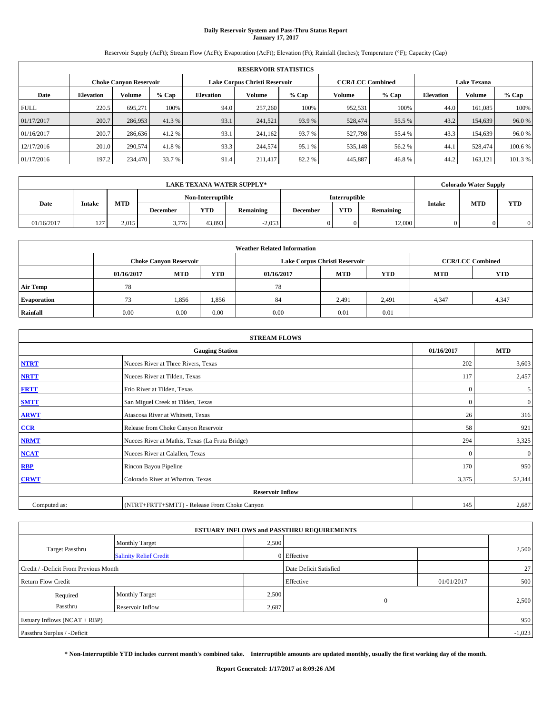# **Daily Reservoir System and Pass-Thru Status Report January 17, 2017**

Reservoir Supply (AcFt); Stream Flow (AcFt); Evaporation (AcFt); Elevation (Ft); Rainfall (Inches); Temperature (°F); Capacity (Cap)

| <b>RESERVOIR STATISTICS</b> |                  |                               |         |                  |                               |         |                         |         |                  |                    |         |
|-----------------------------|------------------|-------------------------------|---------|------------------|-------------------------------|---------|-------------------------|---------|------------------|--------------------|---------|
|                             |                  | <b>Choke Canyon Reservoir</b> |         |                  | Lake Corpus Christi Reservoir |         | <b>CCR/LCC Combined</b> |         |                  | <b>Lake Texana</b> |         |
| Date                        | <b>Elevation</b> | Volume                        | $%$ Cap | <b>Elevation</b> | Volume                        | $%$ Cap | <b>Volume</b>           | $%$ Cap | <b>Elevation</b> | <b>Volume</b>      | % Cap   |
| <b>FULL</b>                 | 220.5            | 695.271                       | 100%    | 94.0             | 257,260                       | 100%    | 952,531                 | 100%    | 44.0             | 161.085            | 100%    |
| 01/17/2017                  | 200.7            | 286,953                       | 41.3 %  | 93.1             | 241,521                       | 93.9 %  | 528,474                 | 55.5 %  | 43.2             | 154,639            | 96.0%   |
| 01/16/2017                  | 200.7            | 286,636                       | 41.2 %  | 93.1             | 241,162                       | 93.7 %  | 527,798                 | 55.4 %  | 43.3             | 154,639            | 96.0%   |
| 12/17/2016                  | 201.0            | 290,574                       | 41.8%   | 93.3             | 244,574                       | 95.1 %  | 535,148                 | 56.2%   | 44.              | 528,474            | 100.6 % |
| 01/17/2016                  | 197.2            | 234,470                       | 33.7 %  | 91.4             | 211,417                       | 82.2%   | 445,887                 | 46.8%   | 44.2             | 163.121            | 101.3 % |

| LAKE TEXANA WATER SUPPLY* |                       |                   |                 |        |           |                 |            |           |                             | <b>Colorado Water Supply</b> |            |
|---------------------------|-----------------------|-------------------|-----------------|--------|-----------|-----------------|------------|-----------|-----------------------------|------------------------------|------------|
|                           |                       | Non-Interruptible |                 |        |           | Interruptible   |            |           |                             |                              |            |
| Date                      | <b>Intake</b>         | <b>MTD</b>        | <b>December</b> | YTD    | Remaining | <b>December</b> | <b>YTD</b> | Remaining | <b>MTD</b><br><b>Intake</b> |                              | <b>YTD</b> |
| 01/16/2017                | $127 -$<br>. <u>.</u> | 2.015             | 3,776           | 43.893 | $-2,053$  |                 | 0.         | 12.000    |                             |                              | $\Omega$   |

| <b>Weather Related Information</b> |            |                               |            |            |                               |                         |            |            |  |  |
|------------------------------------|------------|-------------------------------|------------|------------|-------------------------------|-------------------------|------------|------------|--|--|
|                                    |            | <b>Choke Canyon Reservoir</b> |            |            | Lake Corpus Christi Reservoir | <b>CCR/LCC Combined</b> |            |            |  |  |
|                                    | 01/16/2017 | <b>MTD</b>                    | <b>YTD</b> | 01/16/2017 | <b>MTD</b>                    | <b>YTD</b>              | <b>MTD</b> | <b>YTD</b> |  |  |
| <b>Air Temp</b>                    | 78         |                               |            | 78         |                               |                         |            |            |  |  |
| <b>Evaporation</b>                 | 73         | 1,856                         | 1,856      | 84         | 2,491                         | 2,491                   | 4,347      | 4,347      |  |  |
| Rainfall                           | 0.00       | 0.00                          | 0.00       | 0.00       | 0.01                          | 0.01                    |            |            |  |  |

| <b>STREAM FLOWS</b> |                                                 |              |              |  |  |  |  |  |  |
|---------------------|-------------------------------------------------|--------------|--------------|--|--|--|--|--|--|
|                     | 01/16/2017                                      | <b>MTD</b>   |              |  |  |  |  |  |  |
| <b>NTRT</b>         | Nueces River at Three Rivers, Texas             | 202          | 3,603        |  |  |  |  |  |  |
| <b>NRTT</b>         | Nueces River at Tilden, Texas                   | 117          | 2,457        |  |  |  |  |  |  |
| <b>FRTT</b>         | Frio River at Tilden, Texas                     | $\mathbf{0}$ | 5            |  |  |  |  |  |  |
| <b>SMTT</b>         | San Miguel Creek at Tilden, Texas               | $\mathbf{0}$ | $\mathbf{0}$ |  |  |  |  |  |  |
| <b>ARWT</b>         | Atascosa River at Whitsett, Texas               | 26           | 316          |  |  |  |  |  |  |
| $CCR$               | Release from Choke Canyon Reservoir             | 58           | 921          |  |  |  |  |  |  |
| <b>NRMT</b>         | Nueces River at Mathis, Texas (La Fruta Bridge) | 294          | 3,325        |  |  |  |  |  |  |
| <b>NCAT</b>         | Nueces River at Calallen, Texas                 | $\Omega$     | $\mathbf{0}$ |  |  |  |  |  |  |
| RBP                 | Rincon Bayou Pipeline                           | 170          | 950          |  |  |  |  |  |  |
| <b>CRWT</b>         | Colorado River at Wharton, Texas                | 3,375        | 52,344       |  |  |  |  |  |  |
|                     |                                                 |              |              |  |  |  |  |  |  |
| Computed as:        | (NTRT+FRTT+SMTT) - Release From Choke Canyon    | 145          | 2,687        |  |  |  |  |  |  |

|                                       |                               |       | <b>ESTUARY INFLOWS and PASSTHRU REQUIREMENTS</b> |            |              |  |  |  |  |
|---------------------------------------|-------------------------------|-------|--------------------------------------------------|------------|--------------|--|--|--|--|
|                                       | <b>Monthly Target</b>         | 2,500 |                                                  |            |              |  |  |  |  |
| <b>Target Passthru</b>                | <b>Salinity Relief Credit</b> |       | 0 Effective                                      |            | 2,500        |  |  |  |  |
| Credit / -Deficit From Previous Month |                               |       | Date Deficit Satisfied                           |            | $27 \square$ |  |  |  |  |
| <b>Return Flow Credit</b>             |                               |       | Effective                                        | 01/01/2017 | 500          |  |  |  |  |
| Required                              | <b>Monthly Target</b>         | 2,500 |                                                  |            |              |  |  |  |  |
| Passthru                              | Reservoir Inflow              | 2,687 | $\Omega$                                         |            | 2,500        |  |  |  |  |
| Estuary Inflows $(NCAT + RBP)$        |                               |       |                                                  |            |              |  |  |  |  |
| Passthru Surplus / -Deficit           |                               |       |                                                  |            |              |  |  |  |  |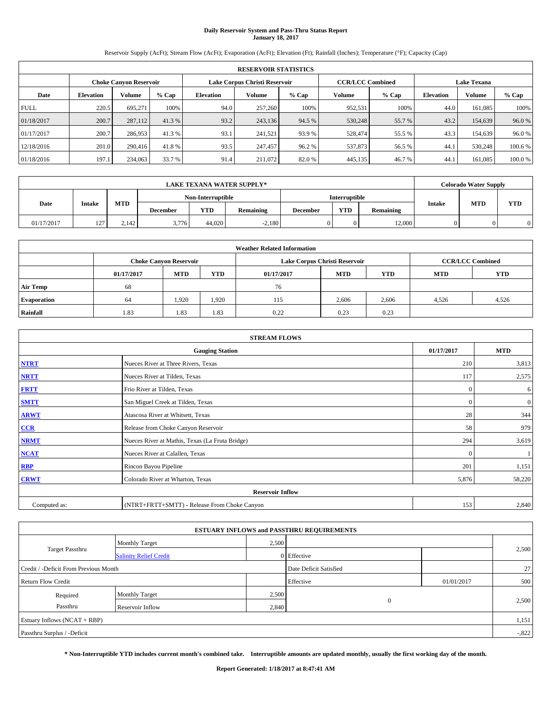# **Daily Reservoir System and Pass-Thru Status Report January 18, 2017**

Reservoir Supply (AcFt); Stream Flow (AcFt); Evaporation (AcFt); Elevation (Ft); Rainfall (Inches); Temperature (°F); Capacity (Cap)

|                               | <b>RESERVOIR STATISTICS</b> |         |         |                  |                               |         |                                               |         |                  |               |         |
|-------------------------------|-----------------------------|---------|---------|------------------|-------------------------------|---------|-----------------------------------------------|---------|------------------|---------------|---------|
| <b>Choke Canyon Reservoir</b> |                             |         |         |                  | Lake Corpus Christi Reservoir |         | <b>CCR/LCC Combined</b><br><b>Lake Texana</b> |         |                  |               |         |
| Date                          | <b>Elevation</b>            | Volume  | $%$ Cap | <b>Elevation</b> | Volume                        | $%$ Cap | <b>Volume</b>                                 | $%$ Cap | <b>Elevation</b> | <b>Volume</b> | % Cap   |
| <b>FULL</b>                   | 220.5                       | 695.271 | 100%    | 94.0             | 257,260                       | 100%    | 952,531                                       | 100%    | 44.0             | 161.085       | 100%    |
| 01/18/2017                    | 200.7                       | 287,112 | 41.3 %  | 93.2             | 243,136                       | 94.5 %  | 530,248                                       | 55.7 %  | 43.2             | 154,639       | 96.0%   |
| 01/17/2017                    | 200.7                       | 286,953 | 41.3 %  | 93.1             | 241.521                       | 93.9 %  | 528,474                                       | 55.5 %  | 43.3             | 154,639       | 96.0%   |
| 12/18/2016                    | 201.0                       | 290,416 | 41.8%   | 93.5             | 247,457                       | 96.2%   | 537,873                                       | 56.5%   | 44.              | 530,248       | 100.6 % |
| 01/18/2016                    | 197.1                       | 234,063 | 33.7 %  | 91.4             | 211,072                       | 82.0%   | 445,135                                       | 46.7 %  | 44.              | 161.085       | 100.0%  |

|            |                       |            |                   |        | <b>LAKE TEXANA WATER SUPPLY*</b> |                 |               |           |               | <b>Colorado Water Supply</b> |            |
|------------|-----------------------|------------|-------------------|--------|----------------------------------|-----------------|---------------|-----------|---------------|------------------------------|------------|
|            |                       |            | Non-Interruptible |        |                                  |                 | Interruptible |           |               |                              |            |
| Date       | <b>Intake</b>         | <b>MTD</b> | <b>December</b>   | YTD    | Remaining                        | <b>December</b> | <b>YTD</b>    | Remaining | <b>Intake</b> | <b>MTD</b>                   | <b>YTD</b> |
| 01/17/2017 | 127<br>$\overline{ }$ | 2.142      | 3,776             | 44.020 | $-2.180$                         |                 |               | 12,000    |               |                              |            |

| <b>Weather Related Information</b> |            |                                                                                  |       |      |                               |       |                         |       |  |  |
|------------------------------------|------------|----------------------------------------------------------------------------------|-------|------|-------------------------------|-------|-------------------------|-------|--|--|
|                                    |            | <b>Choke Canyon Reservoir</b>                                                    |       |      | Lake Corpus Christi Reservoir |       | <b>CCR/LCC Combined</b> |       |  |  |
|                                    | 01/17/2017 | <b>MTD</b><br><b>YTD</b><br><b>YTD</b><br><b>MTD</b><br><b>MTD</b><br>01/17/2017 |       |      |                               |       |                         |       |  |  |
| <b>Air Temp</b>                    | 68         |                                                                                  |       | 76   |                               |       |                         |       |  |  |
| <b>Evaporation</b>                 | 64         | 1.920                                                                            | 1,920 | 115  | 2,606                         | 2,606 | 4.526                   | 4,526 |  |  |
| Rainfall                           | 1.83       | 1.83                                                                             | 1.83  | 0.22 | 0.23                          | 0.23  |                         |       |  |  |

|              | <b>STREAM FLOWS</b>                             |              |                  |  |  |  |
|--------------|-------------------------------------------------|--------------|------------------|--|--|--|
|              | <b>Gauging Station</b>                          | 01/17/2017   | <b>MTD</b>       |  |  |  |
| <b>NTRT</b>  | Nueces River at Three Rivers, Texas             | 210          | 3,813            |  |  |  |
| <b>NRTT</b>  | Nueces River at Tilden, Texas                   | 117          | 2,575            |  |  |  |
| <b>FRTT</b>  | Frio River at Tilden, Texas                     | $\mathbf{0}$ | 6                |  |  |  |
| <b>SMTT</b>  | San Miguel Creek at Tilden, Texas               | $\mathbf{0}$ | $\boldsymbol{0}$ |  |  |  |
| <b>ARWT</b>  | Atascosa River at Whitsett, Texas               |              |                  |  |  |  |
| CCR          | Release from Choke Canyon Reservoir             | 58           | 979              |  |  |  |
| <b>NRMT</b>  | Nueces River at Mathis, Texas (La Fruta Bridge) | 294          | 3,619            |  |  |  |
| <b>NCAT</b>  | Nueces River at Calallen, Texas                 | $\Omega$     |                  |  |  |  |
| <b>RBP</b>   | Rincon Bayou Pipeline                           | 201          | 1,151            |  |  |  |
| <b>CRWT</b>  | Colorado River at Wharton, Texas                | 5,876        | 58,220           |  |  |  |
|              | <b>Reservoir Inflow</b>                         |              |                  |  |  |  |
| Computed as: | (NTRT+FRTT+SMTT) - Release From Choke Canyon    | 153          | 2,840            |  |  |  |

|                                       |                               |       | <b>ESTUARY INFLOWS and PASSTHRU REQUIREMENTS</b> |            |          |
|---------------------------------------|-------------------------------|-------|--------------------------------------------------|------------|----------|
|                                       | Monthly Target                | 2,500 |                                                  |            |          |
| <b>Target Passthru</b>                | <b>Salinity Relief Credit</b> |       | 0 Effective                                      |            | 2,500    |
| Credit / -Deficit From Previous Month |                               |       | Date Deficit Satisfied                           |            | 27       |
| <b>Return Flow Credit</b>             |                               |       | Effective                                        | 01/01/2017 | 500      |
| Required                              | Monthly Target                | 2,500 |                                                  |            |          |
| Passthru                              | <b>Reservoir Inflow</b>       | 2,840 | $\mathbf{0}$                                     |            | 2,500    |
| Estuary Inflows $(NCAT + RBP)$        |                               |       |                                                  |            | 1,151    |
| Passthru Surplus / -Deficit           |                               |       |                                                  |            | $-0.822$ |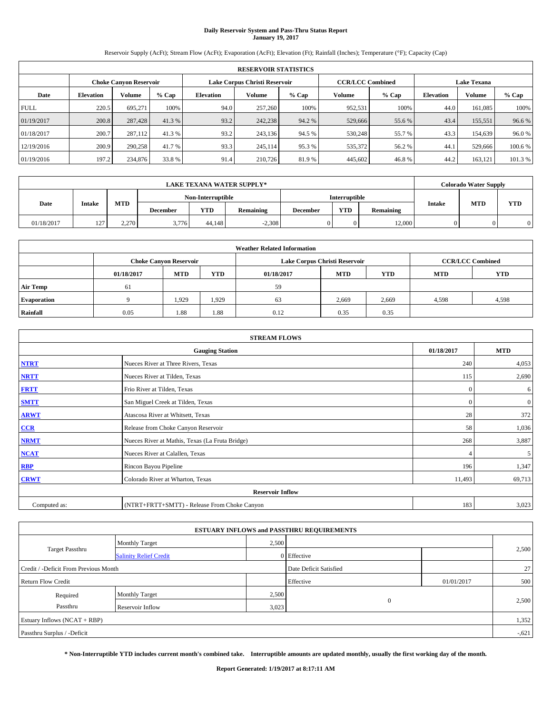# **Daily Reservoir System and Pass-Thru Status Report January 19, 2017**

Reservoir Supply (AcFt); Stream Flow (AcFt); Evaporation (AcFt); Elevation (Ft); Rainfall (Inches); Temperature (°F); Capacity (Cap)

|                               | <b>RESERVOIR STATISTICS</b> |         |         |                  |                               |         |                                               |         |                  |               |         |
|-------------------------------|-----------------------------|---------|---------|------------------|-------------------------------|---------|-----------------------------------------------|---------|------------------|---------------|---------|
| <b>Choke Canyon Reservoir</b> |                             |         |         |                  | Lake Corpus Christi Reservoir |         | <b>CCR/LCC Combined</b><br><b>Lake Texana</b> |         |                  |               |         |
| Date                          | <b>Elevation</b>            | Volume  | $%$ Cap | <b>Elevation</b> | Volume                        | $%$ Cap | Volume                                        | $%$ Cap | <b>Elevation</b> | <b>Volume</b> | $%$ Cap |
| <b>FULL</b>                   | 220.5                       | 695.271 | 100%    | 94.0             | 257,260                       | 100%    | 952,531                                       | 100%    | 44.0             | 161.085       | 100%    |
| 01/19/2017                    | 200.8                       | 287,428 | 41.3 %  | 93.2             | 242,238                       | 94.2 %  | 529,666                                       | 55.6 %  | 43.4             | 155,551       | 96.6%   |
| 01/18/2017                    | 200.7                       | 287,112 | 41.3 %  | 93.2             | 243.136                       | 94.5 %  | 530,248                                       | 55.7 %  | 43.3             | 154,639       | 96.0%   |
| 12/19/2016                    | 200.9                       | 290,258 | 41.7 %  | 93.3             | 245.114                       | 95.3 %  | 535,372                                       | 56.2%   | 44.1             | 529,666       | 100.6%  |
| 01/19/2016                    | 197.2                       | 234,876 | 33.8 %  | 91.4             | 210,726                       | 81.9%   | 445,602                                       | 46.8%   | 44.2             | 163.121       | 101.3 % |

|            |                       |            |                   |        | <b>LAKE TEXANA WATER SUPPLY*</b> |                      |            |           |               | <b>Colorado Water Supply</b> |            |
|------------|-----------------------|------------|-------------------|--------|----------------------------------|----------------------|------------|-----------|---------------|------------------------------|------------|
|            |                       |            | Non-Interruptible |        |                                  | <b>Interruptible</b> |            |           |               |                              |            |
| Date       | <b>Intake</b>         | <b>MTD</b> | <b>December</b>   | YTD    | <b>Remaining</b>                 | <b>December</b>      | <b>YTD</b> | Remaining | <b>Intake</b> | <b>MTD</b>                   | <b>YTD</b> |
| 01/18/2017 | 127<br>$\overline{ }$ | 2.270      | 3,776             | 44.148 | $-2.308$                         |                      |            | 12,000    |               |                              | 0          |

| <b>Weather Related Information</b> |                                                                |                                                                                  |       |      |       |                         |       |            |  |
|------------------------------------|----------------------------------------------------------------|----------------------------------------------------------------------------------|-------|------|-------|-------------------------|-------|------------|--|
|                                    | Lake Corpus Christi Reservoir<br><b>Choke Canyon Reservoir</b> |                                                                                  |       |      |       | <b>CCR/LCC Combined</b> |       |            |  |
|                                    | 01/18/2017                                                     | <b>MTD</b><br><b>YTD</b><br><b>YTD</b><br><b>MTD</b><br><b>MTD</b><br>01/18/2017 |       |      |       |                         |       | <b>YTD</b> |  |
| <b>Air Temp</b>                    | 61                                                             |                                                                                  |       | 59   |       |                         |       |            |  |
| <b>Evaporation</b>                 |                                                                | 1,929                                                                            | 1,929 | 63   | 2,669 | 2,669                   | 4.598 | 4,598      |  |
| Rainfall                           | 0.05                                                           | 1.88                                                                             | 1.88  | 0.12 | 0.35  | 0.35                    |       |            |  |

|              | <b>STREAM FLOWS</b>                             |                |                |
|--------------|-------------------------------------------------|----------------|----------------|
|              | <b>Gauging Station</b>                          | 01/18/2017     | <b>MTD</b>     |
| <b>NTRT</b>  | Nueces River at Three Rivers, Texas             | 240            | 4,053          |
| <b>NRTT</b>  | Nueces River at Tilden, Texas                   | 115            | 2,690          |
| <b>FRTT</b>  | Frio River at Tilden, Texas                     | $\mathbf{0}$   | 6              |
| <b>SMTT</b>  | San Miguel Creek at Tilden, Texas               | $\mathbf{0}$   | $\overline{0}$ |
| <b>ARWT</b>  | Atascosa River at Whitsett, Texas               | 28             | 372            |
| CCR          | Release from Choke Canyon Reservoir             | 58             | 1,036          |
| <b>NRMT</b>  | Nueces River at Mathis, Texas (La Fruta Bridge) | 268            | 3,887          |
| <b>NCAT</b>  | Nueces River at Calallen, Texas                 | $\overline{4}$ | 5              |
| <b>RBP</b>   | Rincon Bayou Pipeline                           | 196            | 1,347          |
| <b>CRWT</b>  | Colorado River at Wharton, Texas                | 11,493         | 69,713         |
|              | <b>Reservoir Inflow</b>                         |                |                |
| Computed as: | (NTRT+FRTT+SMTT) - Release From Choke Canyon    | 183            | 3,023          |

|                                       |                               |       | <b>ESTUARY INFLOWS and PASSTHRU REQUIREMENTS</b> |            |          |
|---------------------------------------|-------------------------------|-------|--------------------------------------------------|------------|----------|
|                                       | <b>Monthly Target</b>         | 2,500 |                                                  |            |          |
| <b>Target Passthru</b>                | <b>Salinity Relief Credit</b> |       | 0 Effective                                      |            | 2,500    |
| Credit / -Deficit From Previous Month |                               |       | Date Deficit Satisfied                           |            | 27       |
| <b>Return Flow Credit</b>             |                               |       | Effective                                        | 01/01/2017 | 500      |
| Required                              | <b>Monthly Target</b>         | 2,500 |                                                  |            |          |
| Passthru                              | <b>Reservoir Inflow</b>       | 3,023 | $\mathbf{0}$                                     |            | 2,500    |
| Estuary Inflows $(NCAT + RBP)$        |                               |       |                                                  |            | 1,352    |
| Passthru Surplus / -Deficit           |                               |       |                                                  |            | $-0.621$ |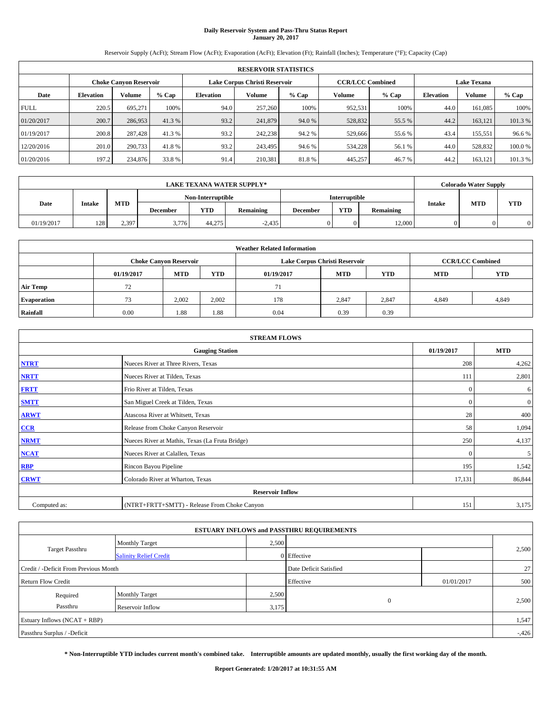# **Daily Reservoir System and Pass-Thru Status Report January 20, 2017**

Reservoir Supply (AcFt); Stream Flow (AcFt); Evaporation (AcFt); Elevation (Ft); Rainfall (Inches); Temperature (°F); Capacity (Cap)

|                               | <b>RESERVOIR STATISTICS</b> |         |         |                  |                               |         |                                               |         |                  |               |         |
|-------------------------------|-----------------------------|---------|---------|------------------|-------------------------------|---------|-----------------------------------------------|---------|------------------|---------------|---------|
| <b>Choke Canyon Reservoir</b> |                             |         |         |                  | Lake Corpus Christi Reservoir |         | <b>CCR/LCC Combined</b><br><b>Lake Texana</b> |         |                  |               |         |
| Date                          | <b>Elevation</b>            | Volume  | $%$ Cap | <b>Elevation</b> | Volume                        | $%$ Cap | Volume                                        | $%$ Cap | <b>Elevation</b> | <b>Volume</b> | $%$ Cap |
| <b>FULL</b>                   | 220.5                       | 695.271 | 100%    | 94.0             | 257,260                       | 100%    | 952,531                                       | 100%    | 44.0             | 161.085       | 100%    |
| 01/20/2017                    | 200.7                       | 286,953 | 41.3 %  | 93.2             | 241,879                       | 94.0 %  | 528,832                                       | 55.5 %  | 44.2             | 163,121       | 101.3%  |
| 01/19/2017                    | 200.8                       | 287,428 | 41.3 %  | 93.2             | 242,238                       | 94.2%   | 529,666                                       | 55.6 %  | 43.4             | 155.551       | 96.6%   |
| 12/20/2016                    | 201.0                       | 290,733 | 41.8%   | 93.2             | 243.495                       | 94.6 %  | 534,228                                       | 56.1 %  | 44.0             | 528,832       | 100.0%  |
| 01/20/2016                    | 197.2                       | 234,876 | 33.8 %  | 91.4             | 210,381                       | 81.8%   | 445,257                                       | 46.7%   | 44.2             | 163.121       | 101.3 % |

|            | <b>LAKE TEXANA WATER SUPPLY*</b> |            |                 |                   |           |          |                      |           |               | <b>Colorado Water Supply</b> |            |
|------------|----------------------------------|------------|-----------------|-------------------|-----------|----------|----------------------|-----------|---------------|------------------------------|------------|
|            |                                  |            |                 | Non-Interruptible |           |          | <b>Interruptible</b> |           |               | <b>MTD</b>                   |            |
| Date       | <b>Intake</b>                    | <b>MTD</b> | <b>December</b> | YTD               | Remaining | December | <b>YTD</b>           | Remaining | <b>Intake</b> |                              | <b>YTD</b> |
| 01/19/2017 | 128                              | 2.397      | 3,776           | 44,275            | $-2,435$  |          |                      | 12,000    |               |                              |            |

|                                                                                                | <b>Weather Related Information</b> |                               |       |      |                               |                         |            |       |  |  |  |  |
|------------------------------------------------------------------------------------------------|------------------------------------|-------------------------------|-------|------|-------------------------------|-------------------------|------------|-------|--|--|--|--|
|                                                                                                |                                    | <b>Choke Canyon Reservoir</b> |       |      | Lake Corpus Christi Reservoir | <b>CCR/LCC Combined</b> |            |       |  |  |  |  |
| <b>MTD</b><br><b>YTD</b><br><b>YTD</b><br><b>MTD</b><br><b>MTD</b><br>01/19/2017<br>01/19/2017 |                                    |                               |       |      |                               |                         | <b>YTD</b> |       |  |  |  |  |
| Air Temp                                                                                       | 72                                 |                               |       | 71   |                               |                         |            |       |  |  |  |  |
| <b>Evaporation</b>                                                                             | 73                                 | 2.002                         | 2,002 | 178  | 2,847                         | 2,847                   | 4.849      | 4,849 |  |  |  |  |
| Rainfall                                                                                       | 0.00                               | 1.88                          | 1.88  | 0.04 | 0.39                          | 0.39                    |            |       |  |  |  |  |

| <b>STREAM FLOWS</b> |                                                 |              |                |  |  |  |  |  |
|---------------------|-------------------------------------------------|--------------|----------------|--|--|--|--|--|
|                     | <b>Gauging Station</b>                          | 01/19/2017   | <b>MTD</b>     |  |  |  |  |  |
| <b>NTRT</b>         | Nueces River at Three Rivers, Texas             | 208          | 4,262          |  |  |  |  |  |
| <b>NRTT</b>         | Nueces River at Tilden, Texas                   | 111          | 2,801          |  |  |  |  |  |
| <b>FRTT</b>         | Frio River at Tilden, Texas                     | $\mathbf{0}$ | 6              |  |  |  |  |  |
| <b>SMTT</b>         | San Miguel Creek at Tilden, Texas               | $\mathbf{0}$ | $\overline{0}$ |  |  |  |  |  |
| <b>ARWT</b>         | Atascosa River at Whitsett, Texas               | 28           | 400            |  |  |  |  |  |
| CCR                 | Release from Choke Canyon Reservoir             | 58           | 1,094          |  |  |  |  |  |
| <b>NRMT</b>         | Nueces River at Mathis, Texas (La Fruta Bridge) | 250          | 4,137          |  |  |  |  |  |
| <b>NCAT</b>         | Nueces River at Calallen, Texas                 | $\Omega$     | 5              |  |  |  |  |  |
| <b>RBP</b>          | Rincon Bayou Pipeline                           | 195          | 1,542          |  |  |  |  |  |
| <b>CRWT</b>         | Colorado River at Wharton, Texas                | 17,131       | 86,844         |  |  |  |  |  |
|                     | <b>Reservoir Inflow</b>                         |              |                |  |  |  |  |  |
| Computed as:        | (NTRT+FRTT+SMTT) - Release From Choke Canyon    | 151          | 3,175          |  |  |  |  |  |

|                                       |                               |       | <b>ESTUARY INFLOWS and PASSTHRU REQUIREMENTS</b> |            |          |
|---------------------------------------|-------------------------------|-------|--------------------------------------------------|------------|----------|
|                                       | <b>Monthly Target</b>         | 2,500 |                                                  |            |          |
| <b>Target Passthru</b>                | <b>Salinity Relief Credit</b> |       | 0 Effective                                      |            | 2,500    |
| Credit / -Deficit From Previous Month |                               |       | Date Deficit Satisfied                           |            | 27       |
| <b>Return Flow Credit</b>             |                               |       | Effective                                        | 01/01/2017 | 500      |
| Required                              | <b>Monthly Target</b>         | 2,500 |                                                  |            |          |
| Passthru                              | <b>Reservoir Inflow</b>       | 3,175 | $\mathbf{0}$                                     |            | 2,500    |
| Estuary Inflows $(NCAT + RBP)$        |                               |       |                                                  |            | 1,547    |
| Passthru Surplus / -Deficit           |                               |       |                                                  |            | $-0.426$ |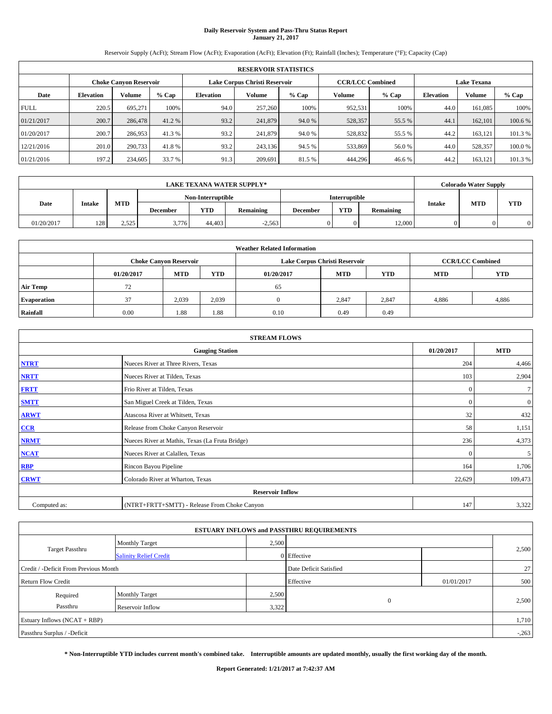# **Daily Reservoir System and Pass-Thru Status Report January 21, 2017**

Reservoir Supply (AcFt); Stream Flow (AcFt); Evaporation (AcFt); Elevation (Ft); Rainfall (Inches); Temperature (°F); Capacity (Cap)

|             | <b>RESERVOIR STATISTICS</b> |                               |         |                  |                               |         |                         |         |                    |               |         |  |  |
|-------------|-----------------------------|-------------------------------|---------|------------------|-------------------------------|---------|-------------------------|---------|--------------------|---------------|---------|--|--|
|             |                             | <b>Choke Canyon Reservoir</b> |         |                  | Lake Corpus Christi Reservoir |         | <b>CCR/LCC Combined</b> |         | <b>Lake Texana</b> |               |         |  |  |
| Date        | <b>Elevation</b>            | Volume                        | $%$ Cap | <b>Elevation</b> | Volume                        | $%$ Cap | Volume                  | $%$ Cap | <b>Elevation</b>   | <b>Volume</b> | % Cap   |  |  |
| <b>FULL</b> | 220.5                       | 695,271                       | 100%    | 94.0             | 257,260                       | 100%    | 952,531                 | 100%    | 44.0               | 161,085       | 100%    |  |  |
| 01/21/2017  | 200.7                       | 286,478                       | 41.2 %  | 93.2             | 241,879                       | 94.0 %  | 528,357                 | 55.5 %  | 44.1               | 162,101       | 100.6 % |  |  |
| 01/20/2017  | 200.7                       | 286,953                       | 41.3 %  | 93.2             | 241,879                       | 94.0 %  | 528,832                 | 55.5 %  | 44.2               | 163.121       | 101.3 % |  |  |
| 12/21/2016  | 201.0                       | 290,733                       | 41.8%   | 93.2             | 243.136                       | 94.5 %  | 533,869                 | 56.0%   | 44.0               | 528,357       | 100.0%  |  |  |
| 01/21/2016  | 197.2                       | 234,605                       | 33.7 %  | 91.3             | 209.691                       | 81.5 %  | 444,296                 | 46.6%   | 44.2               | 163,121       | 101.3%  |  |  |

|            | LAKE TEXANA WATER SUPPLY* |            |                 |                   |           |                 |                      |           |               | <b>Colorado Water Supply</b> |            |  |
|------------|---------------------------|------------|-----------------|-------------------|-----------|-----------------|----------------------|-----------|---------------|------------------------------|------------|--|
|            |                           |            |                 | Non-Interruptible |           |                 | <b>Interruptible</b> |           |               | <b>MTD</b>                   |            |  |
| Date       | <b>Intake</b>             | <b>MTD</b> | <b>December</b> | YTD               | Remaining | <b>December</b> | <b>YTD</b>           | Remaining | <b>Intake</b> |                              | <b>YTD</b> |  |
| 01/20/2017 | 128                       | 2.525      | 3,776           | 44,403            | $-2,563$  |                 | 0                    | 12.000    |               |                              | $\Omega$   |  |

|                    | <b>Weather Related Information</b> |                               |            |            |                               |                         |            |            |  |  |  |  |
|--------------------|------------------------------------|-------------------------------|------------|------------|-------------------------------|-------------------------|------------|------------|--|--|--|--|
|                    |                                    | <b>Choke Canvon Reservoir</b> |            |            | Lake Corpus Christi Reservoir | <b>CCR/LCC Combined</b> |            |            |  |  |  |  |
|                    | 01/20/2017                         | <b>MTD</b>                    | <b>YTD</b> | 01/20/2017 | <b>MTD</b>                    | <b>YTD</b>              | <b>MTD</b> | <b>YTD</b> |  |  |  |  |
| <b>Air Temp</b>    | 72                                 |                               |            | 65         |                               |                         |            |            |  |  |  |  |
| <b>Evaporation</b> | 37                                 | 2,039                         | 2,039      |            | 2,847                         | 2,847                   | 4,886      | 4,886      |  |  |  |  |
| Rainfall           | 0.00                               | 1.88                          | 1.88       | 0.10       | 0.49                          | 0.49                    |            |            |  |  |  |  |

| <b>STREAM FLOWS</b> |                                                 |              |                |  |  |  |  |  |
|---------------------|-------------------------------------------------|--------------|----------------|--|--|--|--|--|
|                     | <b>Gauging Station</b>                          | 01/20/2017   | <b>MTD</b>     |  |  |  |  |  |
| <b>NTRT</b>         | Nueces River at Three Rivers, Texas             | 204          | 4,466          |  |  |  |  |  |
| <b>NRTT</b>         | Nueces River at Tilden, Texas                   | 103          | 2,904          |  |  |  |  |  |
| <b>FRTT</b>         | Frio River at Tilden, Texas                     | $\mathbf{0}$ | 7              |  |  |  |  |  |
| <b>SMTT</b>         | San Miguel Creek at Tilden, Texas               | $\mathbf{0}$ | $\overline{0}$ |  |  |  |  |  |
| <b>ARWT</b>         | Atascosa River at Whitsett, Texas               | 32           | 432            |  |  |  |  |  |
| CCR                 | Release from Choke Canyon Reservoir             | 58           | 1,151          |  |  |  |  |  |
| <b>NRMT</b>         | Nueces River at Mathis, Texas (La Fruta Bridge) | 236          | 4,373          |  |  |  |  |  |
| <b>NCAT</b>         | Nueces River at Calallen, Texas                 | $\Omega$     | 5              |  |  |  |  |  |
| <b>RBP</b>          | Rincon Bayou Pipeline                           | 164          | 1,706          |  |  |  |  |  |
| <b>CRWT</b>         | Colorado River at Wharton, Texas                | 22,629       | 109,473        |  |  |  |  |  |
|                     | <b>Reservoir Inflow</b>                         |              |                |  |  |  |  |  |
| Computed as:        | (NTRT+FRTT+SMTT) - Release From Choke Canyon    | 147          | 3,322          |  |  |  |  |  |

|                                       |                               |       | <b>ESTUARY INFLOWS and PASSTHRU REQUIREMENTS</b> |            |         |  |
|---------------------------------------|-------------------------------|-------|--------------------------------------------------|------------|---------|--|
|                                       | <b>Monthly Target</b>         | 2,500 |                                                  |            |         |  |
| <b>Target Passthru</b>                | <b>Salinity Relief Credit</b> |       | 0 Effective                                      |            | 2,500   |  |
| Credit / -Deficit From Previous Month |                               |       | Date Deficit Satisfied                           |            | 27      |  |
| <b>Return Flow Credit</b>             |                               |       | Effective                                        | 01/01/2017 | 500     |  |
| Required                              | <b>Monthly Target</b>         | 2,500 |                                                  |            |         |  |
| Passthru                              | <b>Reservoir Inflow</b>       | 3,322 | $\mathbf{0}$                                     |            | 2,500   |  |
| Estuary Inflows $(NCAT + RBP)$        |                               |       |                                                  |            | 1,710   |  |
| Passthru Surplus / -Deficit           |                               |       |                                                  |            | $-.263$ |  |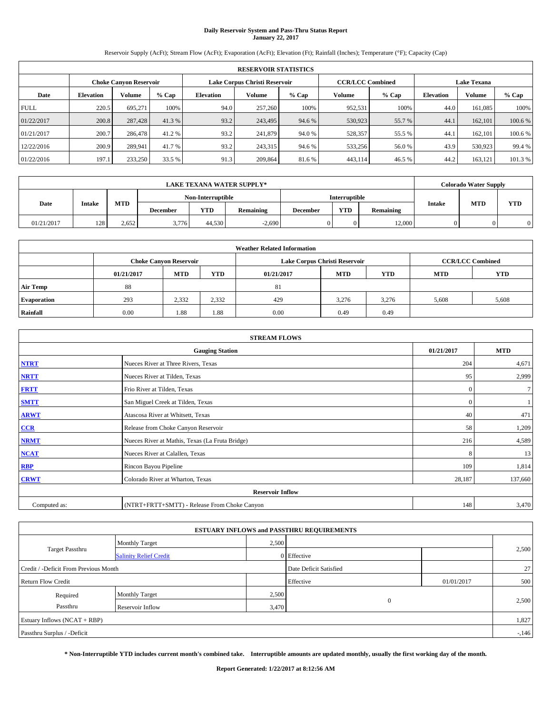## **Daily Reservoir System and Pass-Thru Status Report January 22, 2017**

Reservoir Supply (AcFt); Stream Flow (AcFt); Evaporation (AcFt); Elevation (Ft); Rainfall (Inches); Temperature (°F); Capacity (Cap)

|             | <b>RESERVOIR STATISTICS</b> |                               |         |                  |                               |         |                         |         |                    |               |         |  |  |
|-------------|-----------------------------|-------------------------------|---------|------------------|-------------------------------|---------|-------------------------|---------|--------------------|---------------|---------|--|--|
|             |                             | <b>Choke Canyon Reservoir</b> |         |                  | Lake Corpus Christi Reservoir |         | <b>CCR/LCC Combined</b> |         | <b>Lake Texana</b> |               |         |  |  |
| Date        | <b>Elevation</b>            | Volume                        | $%$ Cap | <b>Elevation</b> | Volume                        | $%$ Cap | Volume                  | $%$ Cap | <b>Elevation</b>   | <b>Volume</b> | $%$ Cap |  |  |
| <b>FULL</b> | 220.5                       | 695.271                       | 100%    | 94.0             | 257,260                       | 100%    | 952,531                 | 100%    | 44.0               | 161.085       | 100%    |  |  |
| 01/22/2017  | 200.8                       | 287,428                       | 41.3 %  | 93.2             | 243,495                       | 94.6 %  | 530,923                 | 55.7 %  | 44.1               | 162,101       | 100.6%  |  |  |
| 01/21/2017  | 200.7                       | 286,478                       | 41.2 %  | 93.2             | 241,879                       | 94.0 %  | 528,357                 | 55.5 %  | 44.                | 162,101       | 100.6%  |  |  |
| 12/22/2016  | 200.9                       | 289.941                       | 41.7 %  | 93.2             | 243.315                       | 94.6 %  | 533,256                 | 56.0%   | 43.9               | 530,923       | 99.4 %  |  |  |
| 01/22/2016  | 197.1                       | 233,250                       | 33.5 %  | 91.3             | 209,864                       | 81.6%   | 443,114                 | 46.5 %  | 44.2               | 163.121       | 101.3 % |  |  |

|            |               |            |                 |                   | <b>LAKE TEXANA WATER SUPPLY*</b> |                 |                      |           |               | <b>Colorado Water Supply</b> |            |  |
|------------|---------------|------------|-----------------|-------------------|----------------------------------|-----------------|----------------------|-----------|---------------|------------------------------|------------|--|
|            |               |            |                 | Non-Interruptible |                                  |                 | <b>Interruptible</b> |           |               |                              |            |  |
| Date       | <b>Intake</b> | <b>MTD</b> | <b>December</b> | YTD               | <b>Remaining</b>                 | <b>December</b> | <b>YTD</b>           | Remaining | <b>Intake</b> | <b>MTD</b>                   | <b>YTD</b> |  |
| 01/21/2017 | 128           | 2.652      | 3,776           | 44.530            | $-2.690$                         |                 |                      | 12,000    |               |                              | 0          |  |

|                    | <b>Weather Related Information</b> |                               |            |            |                               |                         |            |            |  |  |  |  |
|--------------------|------------------------------------|-------------------------------|------------|------------|-------------------------------|-------------------------|------------|------------|--|--|--|--|
|                    |                                    | <b>Choke Canyon Reservoir</b> |            |            | Lake Corpus Christi Reservoir | <b>CCR/LCC Combined</b> |            |            |  |  |  |  |
|                    | 01/21/2017                         | <b>MTD</b>                    | <b>YTD</b> | 01/21/2017 | <b>MTD</b>                    | <b>YTD</b>              | <b>MTD</b> | <b>YTD</b> |  |  |  |  |
| <b>Air Temp</b>    | 88                                 |                               |            | 81         |                               |                         |            |            |  |  |  |  |
| <b>Evaporation</b> | 293                                | 2.332                         | 2,332      | 429        | 3,276                         | 3,276                   | 5,608      | 5,608      |  |  |  |  |
| Rainfall           | 0.00                               | 1.88                          | 1.88       | 0.00       | 0.49                          | 0.49                    |            |            |  |  |  |  |

| <b>STREAM FLOWS</b> |                                                 |              |         |  |  |  |  |  |  |
|---------------------|-------------------------------------------------|--------------|---------|--|--|--|--|--|--|
|                     | <b>Gauging Station</b>                          |              |         |  |  |  |  |  |  |
| <b>NTRT</b>         | Nueces River at Three Rivers, Texas             |              |         |  |  |  |  |  |  |
| <b>NRTT</b>         | Nueces River at Tilden, Texas                   | 95           | 2,999   |  |  |  |  |  |  |
| <b>FRTT</b>         | Frio River at Tilden, Texas                     | $\mathbf{0}$ | $\tau$  |  |  |  |  |  |  |
| <b>SMTT</b>         | San Miguel Creek at Tilden, Texas               | $\mathbf{0}$ |         |  |  |  |  |  |  |
| <b>ARWT</b>         | Atascosa River at Whitsett, Texas               | 40           | 471     |  |  |  |  |  |  |
| CCR                 | Release from Choke Canyon Reservoir             | 58           | 1,209   |  |  |  |  |  |  |
| <b>NRMT</b>         | Nueces River at Mathis, Texas (La Fruta Bridge) | 216          | 4,589   |  |  |  |  |  |  |
| <b>NCAT</b>         | Nueces River at Calallen, Texas                 | 8            | 13      |  |  |  |  |  |  |
| <b>RBP</b>          | Rincon Bayou Pipeline                           | 109          | 1,814   |  |  |  |  |  |  |
| <b>CRWT</b>         | Colorado River at Wharton, Texas                | 28,187       | 137,660 |  |  |  |  |  |  |
|                     | <b>Reservoir Inflow</b>                         |              |         |  |  |  |  |  |  |
| Computed as:        | (NTRT+FRTT+SMTT) - Release From Choke Canyon    | 148          | 3,470   |  |  |  |  |  |  |

|                                       |                               |       | <b>ESTUARY INFLOWS and PASSTHRU REQUIREMENTS</b> |            |        |
|---------------------------------------|-------------------------------|-------|--------------------------------------------------|------------|--------|
|                                       | <b>Monthly Target</b>         | 2,500 |                                                  |            |        |
| <b>Target Passthru</b>                | <b>Salinity Relief Credit</b> |       | 0 Effective                                      |            | 2,500  |
| Credit / -Deficit From Previous Month |                               |       | Date Deficit Satisfied                           |            | 27     |
| <b>Return Flow Credit</b>             |                               |       | Effective                                        | 01/01/2017 | 500    |
| Required                              | <b>Monthly Target</b>         | 2,500 |                                                  |            |        |
| Passthru                              | Reservoir Inflow              | 3,470 | $\theta$                                         |            | 2,500  |
| Estuary Inflows (NCAT + RBP)          |                               |       |                                                  |            | 1,827  |
| Passthru Surplus / -Deficit           |                               |       |                                                  |            | $-146$ |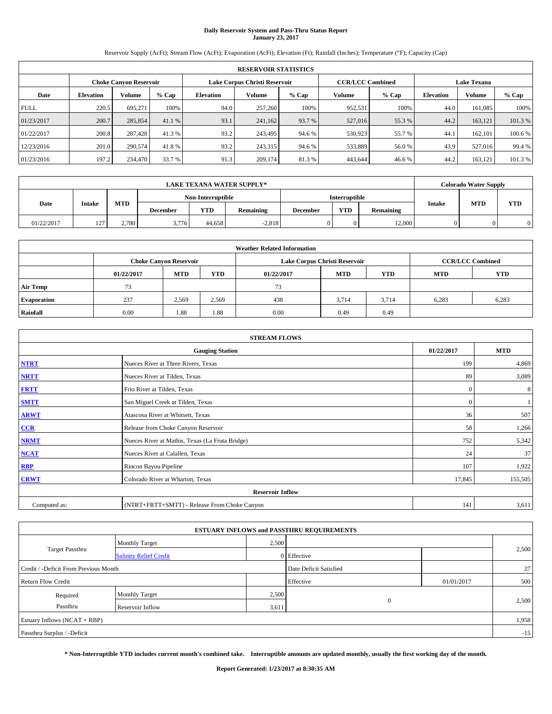# **Daily Reservoir System and Pass-Thru Status Report January 23, 2017**

Reservoir Supply (AcFt); Stream Flow (AcFt); Evaporation (AcFt); Elevation (Ft); Rainfall (Inches); Temperature (°F); Capacity (Cap)

|             |                  |                               |         |                  | <b>RESERVOIR STATISTICS</b>   |         |                         |         |                  |                    |         |
|-------------|------------------|-------------------------------|---------|------------------|-------------------------------|---------|-------------------------|---------|------------------|--------------------|---------|
|             |                  | <b>Choke Canyon Reservoir</b> |         |                  | Lake Corpus Christi Reservoir |         | <b>CCR/LCC Combined</b> |         |                  | <b>Lake Texana</b> |         |
| Date        | <b>Elevation</b> | Volume                        | $%$ Cap | <b>Elevation</b> | Volume                        | $%$ Cap | Volume                  | $%$ Cap | <b>Elevation</b> | <b>Volume</b>      | % Cap   |
| <b>FULL</b> | 220.5            | 695,271                       | 100%    | 94.0             | 257,260                       | 100%    | 952,531                 | 100%    | 44.0             | 161,085            | 100%    |
| 01/23/2017  | 200.7            | 285,854                       | 41.1 %  | 93.1             | 241,162                       | 93.7 %  | 527,016                 | 55.3 %  | 44.2             | 163,121            | 101.3%  |
| 01/22/2017  | 200.8            | 287,428                       | 41.3 %  | 93.2             | 243,495                       | 94.6 %  | 530,923                 | 55.7%   | 44.1             | 162,101            | 100.6 % |
| 12/23/2016  | 201.0            | 290,574                       | 41.8%   | 93.2             | 243,315                       | 94.6 %  | 533,889                 | 56.0%   | 43.9             | 527,016            | 99.4 %  |
| 01/23/2016  | 197.2            | 234,470                       | 33.7 %  | 91.3             | 209.174                       | 81.3%   | 443,644                 | 46.6%   | 44.2             | 163,121            | 101.3%  |

| <b>LAKE TEXANA WATER SUPPLY*</b> |                   |            |                 |                   |           |                 | <b>Colorado Water Supply</b> |           |               |            |            |
|----------------------------------|-------------------|------------|-----------------|-------------------|-----------|-----------------|------------------------------|-----------|---------------|------------|------------|
|                                  |                   |            |                 | Non-Interruptible |           |                 | <b>Interruptible</b>         |           |               |            |            |
| Date                             | <b>Intake</b>     | <b>MTD</b> | <b>December</b> | YTD               | Remaining | <b>December</b> | <b>YTD</b>                   | Remaining | <b>Intake</b> | <b>MTD</b> | <b>YTD</b> |
| 01/22/2017                       | 127<br>. <u>.</u> | 2.780      | 3,776           | 44.658            | $-2.818$  |                 | 0.                           | 12.000    |               |            | $\Omega$   |

| <b>Weather Related Information</b> |            |                               |            |            |                               |                         |            |            |  |  |
|------------------------------------|------------|-------------------------------|------------|------------|-------------------------------|-------------------------|------------|------------|--|--|
|                                    |            | <b>Choke Canyon Reservoir</b> |            |            | Lake Corpus Christi Reservoir | <b>CCR/LCC Combined</b> |            |            |  |  |
|                                    | 01/22/2017 | <b>MTD</b>                    | <b>YTD</b> | 01/22/2017 | <b>MTD</b>                    | <b>YTD</b>              | <b>MTD</b> | <b>YTD</b> |  |  |
| <b>Air Temp</b>                    | 73         |                               |            | 73         |                               |                         |            |            |  |  |
| <b>Evaporation</b>                 | 237        | 2,569                         | 2,569      | 438        | 3.714                         | 3.714                   | 6,283      | 6,283      |  |  |
| Rainfall                           | 0.00       | 1.88                          | 1.88       | 0.00       | 0.49                          | 0.49                    |            |            |  |  |

| <b>STREAM FLOWS</b> |                                                 |              |         |  |  |  |  |  |  |
|---------------------|-------------------------------------------------|--------------|---------|--|--|--|--|--|--|
|                     | <b>Gauging Station</b>                          |              |         |  |  |  |  |  |  |
| <b>NTRT</b>         | Nueces River at Three Rivers, Texas             | 199          | 4,869   |  |  |  |  |  |  |
| <b>NRTT</b>         | Nueces River at Tilden, Texas                   | 89           | 3,089   |  |  |  |  |  |  |
| <b>FRTT</b>         | Frio River at Tilden, Texas                     | $\mathbf{0}$ | 8       |  |  |  |  |  |  |
| <b>SMTT</b>         | San Miguel Creek at Tilden, Texas               | $\mathbf{0}$ |         |  |  |  |  |  |  |
| <b>ARWT</b>         | Atascosa River at Whitsett, Texas               | 36           | 507     |  |  |  |  |  |  |
| CCR                 | Release from Choke Canyon Reservoir             | 58           | 1,266   |  |  |  |  |  |  |
| <b>NRMT</b>         | Nueces River at Mathis, Texas (La Fruta Bridge) | 752          | 5,342   |  |  |  |  |  |  |
| <b>NCAT</b>         | Nueces River at Calallen, Texas                 | 24           | 37      |  |  |  |  |  |  |
| <b>RBP</b>          | Rincon Bayou Pipeline                           | 107          | 1,922   |  |  |  |  |  |  |
| <b>CRWT</b>         | Colorado River at Wharton, Texas                | 17,845       | 155,505 |  |  |  |  |  |  |
|                     | <b>Reservoir Inflow</b>                         |              |         |  |  |  |  |  |  |
| Computed as:        | (NTRT+FRTT+SMTT) - Release From Choke Canyon    | 141          | 3,611   |  |  |  |  |  |  |

|                                       |                               |       | <b>ESTUARY INFLOWS and PASSTHRU REQUIREMENTS</b> |            |       |
|---------------------------------------|-------------------------------|-------|--------------------------------------------------|------------|-------|
|                                       | Monthly Target                | 2,500 |                                                  |            |       |
| <b>Target Passthru</b>                | <b>Salinity Relief Credit</b> |       | 0 Effective                                      |            | 2,500 |
| Credit / -Deficit From Previous Month |                               |       | Date Deficit Satisfied                           |            | 27    |
| <b>Return Flow Credit</b>             |                               |       | Effective                                        | 01/01/2017 | 500   |
| Required                              | Monthly Target                | 2,500 |                                                  |            |       |
| Passthru                              | <b>Reservoir Inflow</b>       | 3,611 | $\mathbf{0}$                                     |            | 2,500 |
| Estuary Inflows $(NCAT + RBP)$        |                               |       |                                                  |            | 1,958 |
| Passthru Surplus / -Deficit           |                               |       |                                                  |            | $-15$ |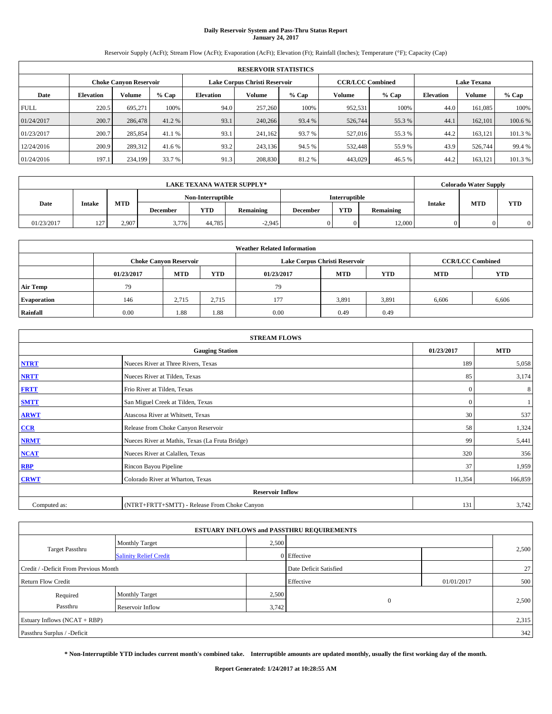# **Daily Reservoir System and Pass-Thru Status Report January 24, 2017**

Reservoir Supply (AcFt); Stream Flow (AcFt); Evaporation (AcFt); Elevation (Ft); Rainfall (Inches); Temperature (°F); Capacity (Cap)

|             | <b>RESERVOIR STATISTICS</b> |                               |         |                  |                               |         |                         |         |                  |                    |         |
|-------------|-----------------------------|-------------------------------|---------|------------------|-------------------------------|---------|-------------------------|---------|------------------|--------------------|---------|
|             |                             | <b>Choke Canyon Reservoir</b> |         |                  | Lake Corpus Christi Reservoir |         | <b>CCR/LCC Combined</b> |         |                  | <b>Lake Texana</b> |         |
| Date        | <b>Elevation</b>            | Volume                        | $%$ Cap | <b>Elevation</b> | Volume                        | $%$ Cap | Volume                  | $%$ Cap | <b>Elevation</b> | <b>Volume</b>      | % Cap   |
| <b>FULL</b> | 220.5                       | 695,271                       | 100%    | 94.0             | 257,260                       | 100%    | 952,531                 | 100%    | 44.0             | 161,085            | 100%    |
| 01/24/2017  | 200.7                       | 286,478                       | 41.2 %  | 93.1             | 240,266                       | 93.4 %  | 526,744                 | 55.3 %  | 44.1             | 162,101            | 100.6 % |
| 01/23/2017  | 200.7                       | 285,854                       | 41.1 %  | 93.1             | 241,162                       | 93.7 %  | 527,016                 | 55.3 %  | 44.2             | 163.121            | 101.3 % |
| 12/24/2016  | 200.9                       | 289,312                       | 41.6 %  | 93.2             | 243.136                       | 94.5 %  | 532,448                 | 55.9%   | 43.9             | 526,744            | 99.4 %  |
| 01/24/2016  | 197.1                       | 234,199                       | 33.7 %  | 91.3             | 208,830                       | 81.2%   | 443,029                 | 46.5 %  | 44.2             | 163,121            | 101.3%  |

| LAKE TEXANA WATER SUPPLY* |                   |            |                 |                   |           |                 | <b>Colorado Water Supply</b> |           |               |            |            |
|---------------------------|-------------------|------------|-----------------|-------------------|-----------|-----------------|------------------------------|-----------|---------------|------------|------------|
|                           |                   |            |                 | Non-Interruptible |           |                 | <b>Interruptible</b>         |           |               |            |            |
| Date                      | <b>Intake</b>     | <b>MTD</b> | <b>December</b> | YTD               | Remaining | <b>December</b> | <b>YTD</b>                   | Remaining | <b>Intake</b> | <b>MTD</b> | <b>YTD</b> |
| 01/23/2017                | 127<br>. <u>.</u> | 2.907      | 3,776           | 44,785            | $-2,945$  |                 | 0.                           | 12.000    |               |            | $\Omega$   |

| <b>Weather Related Information</b> |            |                               |            |            |                               |                         |            |            |  |  |
|------------------------------------|------------|-------------------------------|------------|------------|-------------------------------|-------------------------|------------|------------|--|--|
|                                    |            | <b>Choke Canyon Reservoir</b> |            |            | Lake Corpus Christi Reservoir | <b>CCR/LCC Combined</b> |            |            |  |  |
|                                    | 01/23/2017 | <b>MTD</b>                    | <b>YTD</b> | 01/23/2017 | <b>MTD</b>                    | <b>YTD</b>              | <b>MTD</b> | <b>YTD</b> |  |  |
| <b>Air Temp</b>                    | 79         |                               |            | 79         |                               |                         |            |            |  |  |
| <b>Evaporation</b>                 | 146        | 2,715                         | 2,715      | 177        | 3,891                         | 3,891                   | 6,606      | 6,606      |  |  |
| Rainfall                           | 0.00       | 1.88                          | 1.88       | 0.00       | 0.49                          | 0.49                    |            |            |  |  |

| <b>STREAM FLOWS</b> |                                                 |              |         |  |  |  |  |  |  |
|---------------------|-------------------------------------------------|--------------|---------|--|--|--|--|--|--|
|                     | <b>Gauging Station</b>                          |              |         |  |  |  |  |  |  |
| <b>NTRT</b>         | Nueces River at Three Rivers, Texas             |              |         |  |  |  |  |  |  |
| <b>NRTT</b>         | Nueces River at Tilden, Texas                   | 85           | 3,174   |  |  |  |  |  |  |
| <b>FRTT</b>         | Frio River at Tilden, Texas                     | $\mathbf{0}$ | 8       |  |  |  |  |  |  |
| <b>SMTT</b>         | San Miguel Creek at Tilden, Texas               | $\mathbf{0}$ |         |  |  |  |  |  |  |
| <b>ARWT</b>         | Atascosa River at Whitsett, Texas               | 30           | 537     |  |  |  |  |  |  |
| CCR                 | Release from Choke Canyon Reservoir             | 58           | 1,324   |  |  |  |  |  |  |
| <b>NRMT</b>         | Nueces River at Mathis, Texas (La Fruta Bridge) | 99           | 5,441   |  |  |  |  |  |  |
| <b>NCAT</b>         | Nueces River at Calallen, Texas                 | 320          | 356     |  |  |  |  |  |  |
| <b>RBP</b>          | Rincon Bayou Pipeline                           | 37           | 1,959   |  |  |  |  |  |  |
| <b>CRWT</b>         | Colorado River at Wharton, Texas                | 11,354       | 166,859 |  |  |  |  |  |  |
|                     | <b>Reservoir Inflow</b>                         |              |         |  |  |  |  |  |  |
| Computed as:        | (NTRT+FRTT+SMTT) - Release From Choke Canyon    | 131          | 3,742   |  |  |  |  |  |  |

|                                       |                               |       | <b>ESTUARY INFLOWS and PASSTHRU REQUIREMENTS</b> |            |       |
|---------------------------------------|-------------------------------|-------|--------------------------------------------------|------------|-------|
|                                       | <b>Monthly Target</b>         | 2,500 |                                                  |            |       |
| <b>Target Passthru</b>                | <b>Salinity Relief Credit</b> |       | 0 Effective                                      |            | 2,500 |
| Credit / -Deficit From Previous Month |                               |       | Date Deficit Satisfied                           |            | 27    |
| <b>Return Flow Credit</b>             |                               |       | Effective                                        | 01/01/2017 | 500   |
| Required                              | <b>Monthly Target</b>         | 2,500 |                                                  |            |       |
| Passthru                              | <b>Reservoir Inflow</b>       | 3,742 | $\mathbf{0}$                                     |            | 2,500 |
| Estuary Inflows $(NCAT + RBP)$        |                               |       |                                                  |            | 2,315 |
| Passthru Surplus / -Deficit           |                               |       |                                                  |            | 342   |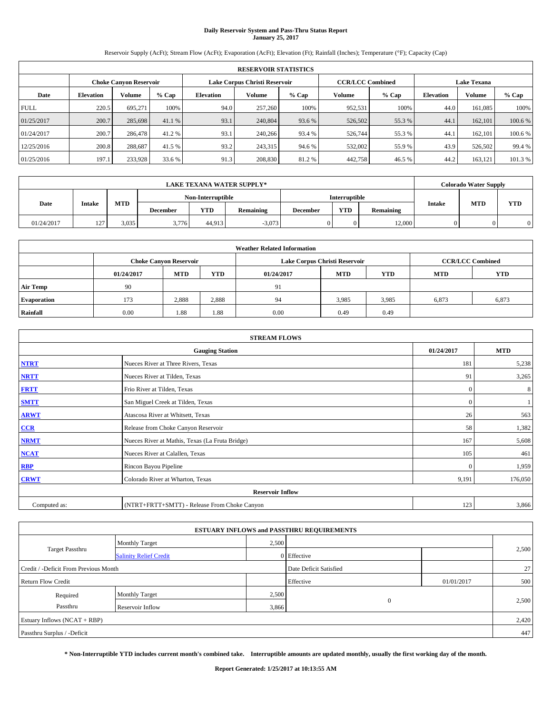# **Daily Reservoir System and Pass-Thru Status Report January 25, 2017**

Reservoir Supply (AcFt); Stream Flow (AcFt); Evaporation (AcFt); Elevation (Ft); Rainfall (Inches); Temperature (°F); Capacity (Cap)

|             | <b>RESERVOIR STATISTICS</b> |                               |         |                  |                               |         |                         |         |                    |               |         |  |
|-------------|-----------------------------|-------------------------------|---------|------------------|-------------------------------|---------|-------------------------|---------|--------------------|---------------|---------|--|
|             |                             | <b>Choke Canyon Reservoir</b> |         |                  | Lake Corpus Christi Reservoir |         | <b>CCR/LCC Combined</b> |         | <b>Lake Texana</b> |               |         |  |
| Date        | <b>Elevation</b>            | Volume                        | $%$ Cap | <b>Elevation</b> | Volume                        | $%$ Cap | Volume                  | $%$ Cap | <b>Elevation</b>   | <b>Volume</b> |         |  |
| <b>FULL</b> | 220.5                       | 695,271                       | 100%    | 94.0             | 257,260                       | 100%    | 952,531                 | 100%    | 44.0               | 161,085       | 100%    |  |
| 01/25/2017  | 200.7                       | 285,698                       | 41.1 %  | 93.1             | 240,804                       | 93.6 %  | 526,502                 | 55.3 %  | 44.1               | 162,101       | 100.6 % |  |
| 01/24/2017  | 200.7                       | 286,478                       | 41.2%   | 93.1             | 240,266                       | 93.4 %  | 526,744                 | 55.3 %  | 44.1               | 162,101       | 100.6 % |  |
| 12/25/2016  | 200.8                       | 288,687                       | 41.5 %  | 93.2             | 243.315                       | 94.6 %  | 532,002                 | 55.9%   | 43.9               | 526,502       | 99.4 %  |  |
| 01/25/2016  | 197.1                       | 233,928                       | 33.6 %  | 91.3             | 208,830                       | 81.2%   | 442,758                 | 46.5 %  | 44.2               | 163,121       | 101.3%  |  |

|            | LAKE TEXANA WATER SUPPLY* |            |                 |                   |           |                 |                      |           |               |            | <b>Colorado Water Supply</b> |
|------------|---------------------------|------------|-----------------|-------------------|-----------|-----------------|----------------------|-----------|---------------|------------|------------------------------|
|            |                           |            |                 | Non-Interruptible |           |                 | <b>Interruptible</b> |           |               |            |                              |
| Date       | <b>Intake</b>             | <b>MTD</b> | <b>December</b> | YTD               | Remaining | <b>December</b> | <b>YTD</b>           | Remaining | <b>Intake</b> | <b>MTD</b> | <b>YTD</b>                   |
| 01/24/2017 | $127 -$<br>. <u>.</u>     | 3.035      | 3,776           | 44.913            | $-3,073$  |                 | 0                    | 12.000    |               |            | $\Omega$                     |

| <b>Weather Related Information</b> |                                                                                                |                               |       |      |                               |                         |            |       |  |  |
|------------------------------------|------------------------------------------------------------------------------------------------|-------------------------------|-------|------|-------------------------------|-------------------------|------------|-------|--|--|
|                                    |                                                                                                | <b>Choke Canyon Reservoir</b> |       |      | Lake Corpus Christi Reservoir | <b>CCR/LCC Combined</b> |            |       |  |  |
|                                    | <b>YTD</b><br><b>YTD</b><br><b>MTD</b><br><b>MTD</b><br><b>MTD</b><br>01/24/2017<br>01/24/2017 |                               |       |      |                               |                         | <b>YTD</b> |       |  |  |
| <b>Air Temp</b>                    | 90                                                                                             |                               |       | 91   |                               |                         |            |       |  |  |
| <b>Evaporation</b>                 | 173                                                                                            | 2,888                         | 2,888 | 94   | 3,985                         | 3,985                   | 6,873      | 6,873 |  |  |
| Rainfall                           | 0.00                                                                                           | 1.88                          | 1.88  | 0.00 | 0.49                          | 0.49                    |            |       |  |  |

| <b>STREAM FLOWS</b> |                                                 |              |            |  |  |  |  |  |  |
|---------------------|-------------------------------------------------|--------------|------------|--|--|--|--|--|--|
|                     | <b>Gauging Station</b>                          | 01/24/2017   | <b>MTD</b> |  |  |  |  |  |  |
| <b>NTRT</b>         | Nueces River at Three Rivers, Texas             | 181          | 5,238      |  |  |  |  |  |  |
| <b>NRTT</b>         | Nueces River at Tilden, Texas                   | 91           | 3,265      |  |  |  |  |  |  |
| <b>FRTT</b>         | Frio River at Tilden, Texas                     | $\mathbf{0}$ | 8          |  |  |  |  |  |  |
| <b>SMTT</b>         | San Miguel Creek at Tilden, Texas               | $\mathbf{0}$ |            |  |  |  |  |  |  |
| <b>ARWT</b>         | Atascosa River at Whitsett, Texas               | 26           | 563        |  |  |  |  |  |  |
| CCR                 | Release from Choke Canyon Reservoir             | 58           | 1,382      |  |  |  |  |  |  |
| <b>NRMT</b>         | Nueces River at Mathis, Texas (La Fruta Bridge) | 167          | 5,608      |  |  |  |  |  |  |
| <b>NCAT</b>         | Nueces River at Calallen, Texas                 | 105          | 461        |  |  |  |  |  |  |
| <b>RBP</b>          | Rincon Bayou Pipeline                           | $\mathbf{0}$ | 1,959      |  |  |  |  |  |  |
| <b>CRWT</b>         | Colorado River at Wharton, Texas                | 9,191        | 176,050    |  |  |  |  |  |  |
|                     | <b>Reservoir Inflow</b>                         |              |            |  |  |  |  |  |  |
| Computed as:        | (NTRT+FRTT+SMTT) - Release From Choke Canyon    |              |            |  |  |  |  |  |  |

|                                       |                               |                        | <b>ESTUARY INFLOWS and PASSTHRU REQUIREMENTS</b> |            |       |  |
|---------------------------------------|-------------------------------|------------------------|--------------------------------------------------|------------|-------|--|
|                                       | <b>Monthly Target</b>         | 2,500                  |                                                  |            |       |  |
| <b>Target Passthru</b>                | <b>Salinity Relief Credit</b> |                        | 0 Effective                                      |            | 2,500 |  |
| Credit / -Deficit From Previous Month |                               | Date Deficit Satisfied |                                                  | 27         |       |  |
| <b>Return Flow Credit</b>             |                               |                        | Effective                                        | 01/01/2017 | 500   |  |
| Required                              | <b>Monthly Target</b>         | 2,500                  |                                                  |            |       |  |
| Passthru                              | <b>Reservoir Inflow</b>       | 3,866                  | $\mathbf{0}$                                     |            | 2,500 |  |
| Estuary Inflows $(NCAT + RBP)$        |                               |                        |                                                  |            | 2,420 |  |
| Passthru Surplus / -Deficit           |                               |                        |                                                  |            | 447   |  |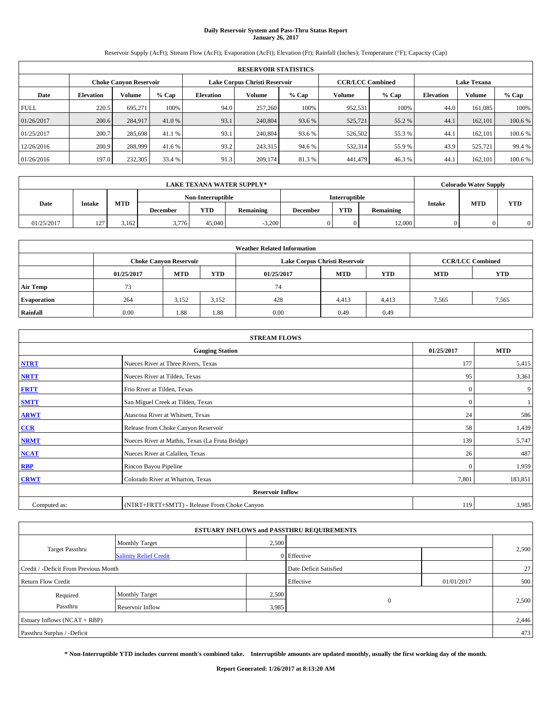# **Daily Reservoir System and Pass-Thru Status Report January 26, 2017**

Reservoir Supply (AcFt); Stream Flow (AcFt); Evaporation (AcFt); Elevation (Ft); Rainfall (Inches); Temperature (°F); Capacity (Cap)

|             | <b>RESERVOIR STATISTICS</b> |                               |         |                  |                                                          |         |         |         |                    |               |         |
|-------------|-----------------------------|-------------------------------|---------|------------------|----------------------------------------------------------|---------|---------|---------|--------------------|---------------|---------|
|             |                             | <b>Choke Canyon Reservoir</b> |         |                  | Lake Corpus Christi Reservoir<br><b>CCR/LCC Combined</b> |         |         |         | <b>Lake Texana</b> |               |         |
| Date        | <b>Elevation</b>            | Volume                        | $%$ Cap | <b>Elevation</b> | Volume                                                   | $%$ Cap | Volume  | $%$ Cap | <b>Elevation</b>   | <b>Volume</b> | $%$ Cap |
| <b>FULL</b> | 220.5                       | 695.271                       | 100%    | 94.0             | 257,260                                                  | 100%    | 952,531 | 100%    | 44.0               | 161.085       | 100%    |
| 01/26/2017  | 200.6                       | 284,917                       | 41.0 %  | 93.1             | 240,804                                                  | 93.6 %  | 525,721 | 55.2 %  | 44.1               | 162,101       | 100.6%  |
| 01/25/2017  | 200.7                       | 285,698                       | 41.1 %  | 93.1             | 240,804                                                  | 93.6 %  | 526,502 | 55.3 %  | 44.                | 162,101       | 100.6%  |
| 12/26/2016  | 200.9                       | 288.999                       | 41.6 %  | 93.2             | 243,315                                                  | 94.6 %  | 532,314 | 55.9%   | 43.9               | 525,721       | 99.4 %  |
| 01/26/2016  | 197.0                       | 232,305                       | 33.4 %  | 91.3             | 209,174                                                  | 81.3%   | 441.479 | 46.3%   | 44.                | 162.101       | 100.6 % |

|            | LAKE TEXANA WATER SUPPLY* |            |                 |                   |           |                 |                      |           |               |            | <b>Colorado Water Supply</b> |
|------------|---------------------------|------------|-----------------|-------------------|-----------|-----------------|----------------------|-----------|---------------|------------|------------------------------|
|            |                           |            |                 | Non-Interruptible |           |                 | <b>Interruptible</b> |           |               |            |                              |
| Date       | <b>Intake</b>             | <b>MTD</b> | <b>December</b> | YTD               | Remaining | <b>December</b> | <b>YTD</b>           | Remaining | <b>Intake</b> | <b>MTD</b> | <b>YTD</b>                   |
| 01/25/2017 | 127.<br>. <u>.</u>        | 3.162      | 3,776           | 45,040            | $-3,200$  |                 | 0                    | 12.000    |               |            | $\Omega$                     |

| <b>Weather Related Information</b> |            |                                                                                  |       |      |                               |                         |       |            |  |  |
|------------------------------------|------------|----------------------------------------------------------------------------------|-------|------|-------------------------------|-------------------------|-------|------------|--|--|
|                                    |            | <b>Choke Canyon Reservoir</b>                                                    |       |      | Lake Corpus Christi Reservoir | <b>CCR/LCC Combined</b> |       |            |  |  |
|                                    | 01/25/2017 | <b>MTD</b><br><b>YTD</b><br><b>YTD</b><br><b>MTD</b><br><b>MTD</b><br>01/25/2017 |       |      |                               |                         |       | <b>YTD</b> |  |  |
| Air Temp                           | 73         |                                                                                  |       | 74   |                               |                         |       |            |  |  |
| <b>Evaporation</b>                 | 264        | 3.152                                                                            | 3,152 | 428  | 4,413                         | 4,413                   | 7,565 | 7,565      |  |  |
| Rainfall                           | 0.00       | 1.88                                                                             | 1.88  | 0.00 | 0.49                          | 0.49                    |       |            |  |  |

| <b>STREAM FLOWS</b> |                                                 |              |            |  |  |  |  |  |  |
|---------------------|-------------------------------------------------|--------------|------------|--|--|--|--|--|--|
|                     | <b>Gauging Station</b>                          | 01/25/2017   | <b>MTD</b> |  |  |  |  |  |  |
| <b>NTRT</b>         | Nueces River at Three Rivers, Texas             | 177          | 5,415      |  |  |  |  |  |  |
| <b>NRTT</b>         | Nueces River at Tilden, Texas                   | 95           | 3,361      |  |  |  |  |  |  |
| <b>FRTT</b>         | Frio River at Tilden, Texas                     | $\mathbf{0}$ | 9          |  |  |  |  |  |  |
| <b>SMTT</b>         | San Miguel Creek at Tilden, Texas               | $\mathbf{0}$ |            |  |  |  |  |  |  |
| <b>ARWT</b>         | Atascosa River at Whitsett, Texas               | 24           | 586        |  |  |  |  |  |  |
| CCR                 | Release from Choke Canyon Reservoir             | 58           | 1,439      |  |  |  |  |  |  |
| <b>NRMT</b>         | Nueces River at Mathis, Texas (La Fruta Bridge) | 139          | 5,747      |  |  |  |  |  |  |
| <b>NCAT</b>         | Nueces River at Calallen, Texas                 | 26           | 487        |  |  |  |  |  |  |
| <b>RBP</b>          | Rincon Bayou Pipeline                           | $\mathbf{0}$ | 1,959      |  |  |  |  |  |  |
| <b>CRWT</b>         | Colorado River at Wharton, Texas                | 7,801        | 183,851    |  |  |  |  |  |  |
|                     | <b>Reservoir Inflow</b>                         |              |            |  |  |  |  |  |  |
| Computed as:        | (NTRT+FRTT+SMTT) - Release From Choke Canyon    |              |            |  |  |  |  |  |  |

|                                       |                               |                        | <b>ESTUARY INFLOWS and PASSTHRU REQUIREMENTS</b> |            |       |
|---------------------------------------|-------------------------------|------------------------|--------------------------------------------------|------------|-------|
|                                       | <b>Monthly Target</b>         | 2,500                  |                                                  |            |       |
| <b>Target Passthru</b>                | <b>Salinity Relief Credit</b> |                        | 0 Effective                                      |            | 2,500 |
| Credit / -Deficit From Previous Month |                               | Date Deficit Satisfied |                                                  | 27         |       |
| <b>Return Flow Credit</b>             |                               |                        | Effective                                        | 01/01/2017 | 500   |
| Required                              | Monthly Target                | 2,500                  |                                                  |            |       |
| Passthru                              | Reservoir Inflow              | 3,985                  | $\mathbf{0}$                                     |            | 2,500 |
| Estuary Inflows (NCAT + RBP)          |                               |                        |                                                  |            | 2,446 |
| Passthru Surplus / -Deficit           |                               |                        |                                                  |            | 473   |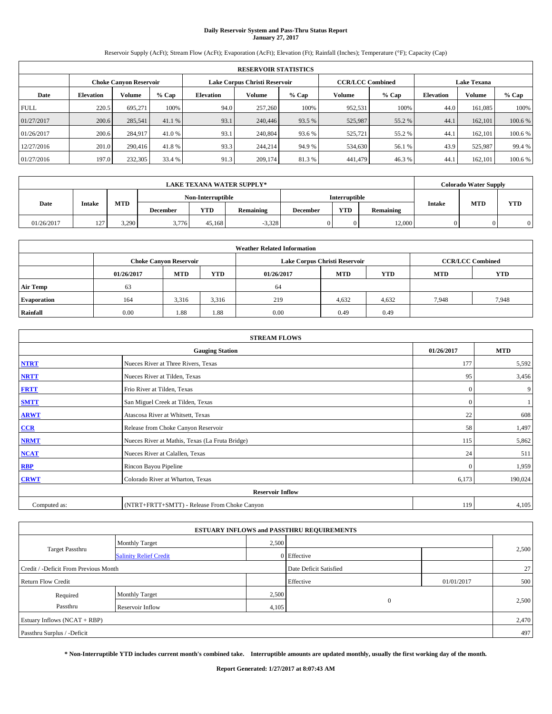# **Daily Reservoir System and Pass-Thru Status Report January 27, 2017**

Reservoir Supply (AcFt); Stream Flow (AcFt); Evaporation (AcFt); Elevation (Ft); Rainfall (Inches); Temperature (°F); Capacity (Cap)

|             | <b>RESERVOIR STATISTICS</b> |                               |         |                  |         |                                                          |         |         |                  |                    |         |  |
|-------------|-----------------------------|-------------------------------|---------|------------------|---------|----------------------------------------------------------|---------|---------|------------------|--------------------|---------|--|
|             |                             | <b>Choke Canyon Reservoir</b> |         |                  |         | Lake Corpus Christi Reservoir<br><b>CCR/LCC Combined</b> |         |         |                  | <b>Lake Texana</b> |         |  |
| Date        | <b>Elevation</b>            | Volume                        | $%$ Cap | <b>Elevation</b> | Volume  | $%$ Cap                                                  | Volume  | $%$ Cap | <b>Elevation</b> | <b>Volume</b>      | $%$ Cap |  |
| <b>FULL</b> | 220.5                       | 695.271                       | 100%    | 94.0             | 257,260 | 100%                                                     | 952,531 | 100%    | 44.0             | 161.085            | 100%    |  |
| 01/27/2017  | 200.6                       | 285,541                       | 41.1 %  | 93.1             | 240,446 | 93.5 %                                                   | 525,987 | 55.2 %  | 44.1             | 162,101            | 100.6%  |  |
| 01/26/2017  | 200.6                       | 284,917                       | 41.0 %  | 93.1             | 240,804 | 93.6 %                                                   | 525,721 | 55.2%   | 44.              | 162,101            | 100.6%  |  |
| 12/27/2016  | 201.0                       | 290,416                       | 41.8%   | 93.3             | 244,214 | 94.9 %                                                   | 534,630 | 56.1 %  | 43.9             | 525,987            | 99.4 %  |  |
| 01/27/2016  | 197.0                       | 232,305                       | 33.4 %  | 91.3             | 209,174 | 81.3%                                                    | 441.479 | 46.3%   | 44.              | 162.101            | 100.6 % |  |

|            | LAKE TEXANA WATER SUPPLY* |            |                 |                   |           |                 |                      |           |               |            | <b>Colorado Water Supply</b> |
|------------|---------------------------|------------|-----------------|-------------------|-----------|-----------------|----------------------|-----------|---------------|------------|------------------------------|
|            |                           |            |                 | Non-Interruptible |           |                 | <b>Interruptible</b> |           |               |            |                              |
| Date       | <b>Intake</b>             | <b>MTD</b> | <b>December</b> | YTD               | Remaining | <b>December</b> | <b>YTD</b>           | Remaining | <b>Intake</b> | <b>MTD</b> | <b>YTD</b>                   |
| 01/26/2017 | 127.<br>. <u>.</u>        | 3.290      | 3,776           | 45.168            | $-3,328$  |                 | 0                    | 12.000    |               |            | $\Omega$                     |

| <b>Weather Related Information</b> |            |                               |            |            |                               |                         |            |            |  |
|------------------------------------|------------|-------------------------------|------------|------------|-------------------------------|-------------------------|------------|------------|--|
|                                    |            | <b>Choke Canyon Reservoir</b> |            |            | Lake Corpus Christi Reservoir | <b>CCR/LCC Combined</b> |            |            |  |
|                                    | 01/26/2017 | <b>MTD</b>                    | <b>YTD</b> | 01/26/2017 | <b>MTD</b>                    | <b>YTD</b>              | <b>MTD</b> | <b>YTD</b> |  |
| <b>Air Temp</b>                    | 63         |                               |            | 64         |                               |                         |            |            |  |
| <b>Evaporation</b>                 | 164        | 3.316                         | 3,316      | 219        | 4,632                         | 4,632                   | 7.948      | 7,948      |  |
| Rainfall                           | 0.00       | 1.88                          | 1.88       | 0.00       | 0.49                          | 0.49                    |            |            |  |

| <b>STREAM FLOWS</b>     |                                                 |              |            |  |  |  |  |  |  |
|-------------------------|-------------------------------------------------|--------------|------------|--|--|--|--|--|--|
|                         | <b>Gauging Station</b>                          | 01/26/2017   | <b>MTD</b> |  |  |  |  |  |  |
| <b>NTRT</b>             | Nueces River at Three Rivers, Texas             | 177          | 5,592      |  |  |  |  |  |  |
| <b>NRTT</b>             | Nueces River at Tilden, Texas                   | 95           | 3,456      |  |  |  |  |  |  |
| <b>FRTT</b>             | Frio River at Tilden, Texas                     | $\mathbf{0}$ | 9          |  |  |  |  |  |  |
| <b>SMTT</b>             | San Miguel Creek at Tilden, Texas               | $\mathbf{0}$ |            |  |  |  |  |  |  |
| <b>ARWT</b>             | Atascosa River at Whitsett, Texas               | 22           | 608        |  |  |  |  |  |  |
| CCR                     | Release from Choke Canyon Reservoir             | 58           | 1,497      |  |  |  |  |  |  |
| <b>NRMT</b>             | Nueces River at Mathis, Texas (La Fruta Bridge) | 115          | 5,862      |  |  |  |  |  |  |
| <b>NCAT</b>             | Nueces River at Calallen, Texas                 | 24           | 511        |  |  |  |  |  |  |
| <b>RBP</b>              | Rincon Bayou Pipeline                           | $\Omega$     | 1,959      |  |  |  |  |  |  |
| <b>CRWT</b>             | Colorado River at Wharton, Texas                | 6,173        | 190,024    |  |  |  |  |  |  |
| <b>Reservoir Inflow</b> |                                                 |              |            |  |  |  |  |  |  |
| Computed as:            | (NTRT+FRTT+SMTT) - Release From Choke Canyon    | 119          | 4,105      |  |  |  |  |  |  |

|                                       |                               |       | <b>ESTUARY INFLOWS and PASSTHRU REQUIREMENTS</b> |            |       |
|---------------------------------------|-------------------------------|-------|--------------------------------------------------|------------|-------|
|                                       | <b>Monthly Target</b>         | 2,500 |                                                  |            |       |
| <b>Target Passthru</b>                | <b>Salinity Relief Credit</b> |       | 0 Effective                                      |            | 2,500 |
| Credit / -Deficit From Previous Month |                               |       | Date Deficit Satisfied                           |            | 27    |
| <b>Return Flow Credit</b>             |                               |       | Effective                                        | 01/01/2017 | 500   |
| Required                              | <b>Monthly Target</b>         | 2,500 |                                                  |            |       |
| Passthru                              | <b>Reservoir Inflow</b>       | 4,105 | $\mathbf{0}$                                     |            | 2,500 |
| Estuary Inflows $(NCAT + RBP)$        |                               |       |                                                  |            | 2,470 |
| Passthru Surplus / -Deficit           |                               |       |                                                  |            | 497   |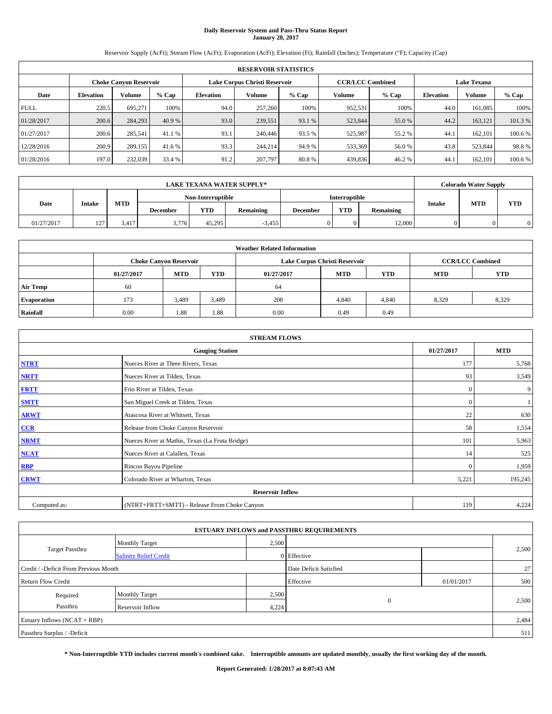# **Daily Reservoir System and Pass-Thru Status Report January 28, 2017**

Reservoir Supply (AcFt); Stream Flow (AcFt); Evaporation (AcFt); Elevation (Ft); Rainfall (Inches); Temperature (°F); Capacity (Cap)

|             | <b>RESERVOIR STATISTICS</b> |                               |         |           |                               |         |                         |         |                  |                    |         |
|-------------|-----------------------------|-------------------------------|---------|-----------|-------------------------------|---------|-------------------------|---------|------------------|--------------------|---------|
|             |                             | <b>Choke Canyon Reservoir</b> |         |           | Lake Corpus Christi Reservoir |         | <b>CCR/LCC Combined</b> |         |                  | <b>Lake Texana</b> |         |
| Date        | <b>Elevation</b>            | Volume                        | $%$ Cap | Elevation | Volume                        | $%$ Cap | Volume                  | $%$ Cap | <b>Elevation</b> | <b>Volume</b>      | % Cap   |
| <b>FULL</b> | 220.5                       | 695.271                       | 100%    | 94.0      | 257,260                       | 100%    | 952,531                 | 100%    | 44.0             | 161.085            | 100%    |
| 01/28/2017  | 200.6                       | 284,293                       | 40.9 %  | 93.0      | 239,551                       | 93.1 %  | 523,844                 | 55.0 %  | 44.2             | 163.121            | 101.3%  |
| 01/27/2017  | 200.6                       | 285,541                       | 41.1 %  | 93.1      | 240,446                       | 93.5 %  | 525,987                 | 55.2%   | 44.1             | 162,101            | 100.6%  |
| 12/28/2016  | 200.9                       | 289,155                       | 41.6 %  | 93.3      | 244,214                       | 94.9 %  | 533,369                 | 56.0%   | 43.8             | 523.844            | 98.8%   |
| 01/28/2016  | 197.0                       | 232,039                       | 33.4 %  | 91.2      | 207,797                       | 80.8%   | 439,836                 | 46.2%   | 44.              | 162,101            | 100.6 % |

| LAKE TEXANA WATER SUPPLY* |                   |            |                 |                   |           |                 |               |           |               | <b>Colorado Water Supply</b> |            |
|---------------------------|-------------------|------------|-----------------|-------------------|-----------|-----------------|---------------|-----------|---------------|------------------------------|------------|
|                           |                   |            |                 | Non-Interruptible |           |                 | Interruptible |           |               |                              |            |
| Date                      | <b>Intake</b>     | <b>MTD</b> | <b>December</b> | YTD               | Remaining | <b>December</b> | <b>YTD</b>    | Remaining | <b>Intake</b> | <b>MTD</b>                   | <b>YTD</b> |
| 01/27/2017                | 127<br>. <u>.</u> | 3.417      | 3,776           | 45.295            | $-3,455$  |                 | 0             | 12.000    |               |                              | $\Omega$   |

| <b>Weather Related Information</b> |            |                               |            |            |                               |                         |            |            |  |
|------------------------------------|------------|-------------------------------|------------|------------|-------------------------------|-------------------------|------------|------------|--|
|                                    |            | <b>Choke Canyon Reservoir</b> |            |            | Lake Corpus Christi Reservoir | <b>CCR/LCC Combined</b> |            |            |  |
|                                    | 01/27/2017 | <b>MTD</b>                    | <b>YTD</b> | 01/27/2017 | <b>MTD</b>                    | <b>YTD</b>              | <b>MTD</b> | <b>YTD</b> |  |
| <b>Air Temp</b>                    | 60         |                               |            | 64         |                               |                         |            |            |  |
| <b>Evaporation</b>                 | 173        | 3,489                         | 3,489      | 208        | 4,840                         | 4,840                   | 8.329      | 8,329      |  |
| Rainfall                           | 0.00       | 1.88                          | 1.88       | 0.00       | 0.49                          | 0.49                    |            |            |  |

| <b>STREAM FLOWS</b> |                                                 |              |            |  |  |  |  |  |  |
|---------------------|-------------------------------------------------|--------------|------------|--|--|--|--|--|--|
|                     | <b>Gauging Station</b>                          | 01/27/2017   | <b>MTD</b> |  |  |  |  |  |  |
| <b>NTRT</b>         | Nueces River at Three Rivers, Texas             | 177          | 5,768      |  |  |  |  |  |  |
| <b>NRTT</b>         | Nueces River at Tilden, Texas                   | 93           | 3,549      |  |  |  |  |  |  |
| <b>FRTT</b>         | Frio River at Tilden, Texas                     | $\mathbf{0}$ | 9          |  |  |  |  |  |  |
| <b>SMTT</b>         | San Miguel Creek at Tilden, Texas               | $\mathbf{0}$ |            |  |  |  |  |  |  |
| <b>ARWT</b>         | Atascosa River at Whitsett, Texas               | 22           | 630        |  |  |  |  |  |  |
| CCR                 | Release from Choke Canyon Reservoir             | 58           | 1,554      |  |  |  |  |  |  |
| <b>NRMT</b>         | Nueces River at Mathis, Texas (La Fruta Bridge) | 101          | 5,963      |  |  |  |  |  |  |
| <b>NCAT</b>         | Nueces River at Calallen, Texas                 | 14           | 525        |  |  |  |  |  |  |
| <b>RBP</b>          | Rincon Bayou Pipeline                           | $\Omega$     | 1,959      |  |  |  |  |  |  |
| <b>CRWT</b>         | Colorado River at Wharton, Texas                | 5,221        | 195,245    |  |  |  |  |  |  |
|                     |                                                 |              |            |  |  |  |  |  |  |
| Computed as:        | (NTRT+FRTT+SMTT) - Release From Choke Canyon    | 119          | 4,224      |  |  |  |  |  |  |

|                                       |                               |       | <b>ESTUARY INFLOWS and PASSTHRU REQUIREMENTS</b> |            |       |  |  |
|---------------------------------------|-------------------------------|-------|--------------------------------------------------|------------|-------|--|--|
|                                       | Monthly Target                | 2,500 |                                                  |            |       |  |  |
| <b>Target Passthru</b>                | <b>Salinity Relief Credit</b> |       | 0 Effective                                      |            | 2,500 |  |  |
| Credit / -Deficit From Previous Month |                               |       | Date Deficit Satisfied                           |            | 27    |  |  |
| <b>Return Flow Credit</b>             |                               |       | Effective                                        | 01/01/2017 | 500   |  |  |
| Required                              | <b>Monthly Target</b>         | 2,500 |                                                  |            |       |  |  |
| Passthru                              | Reservoir Inflow              | 4,224 | $\theta$                                         |            | 2,500 |  |  |
| Estuary Inflows $(NCAT + RBP)$        |                               |       |                                                  |            |       |  |  |
| Passthru Surplus / -Deficit           |                               |       |                                                  |            | 511   |  |  |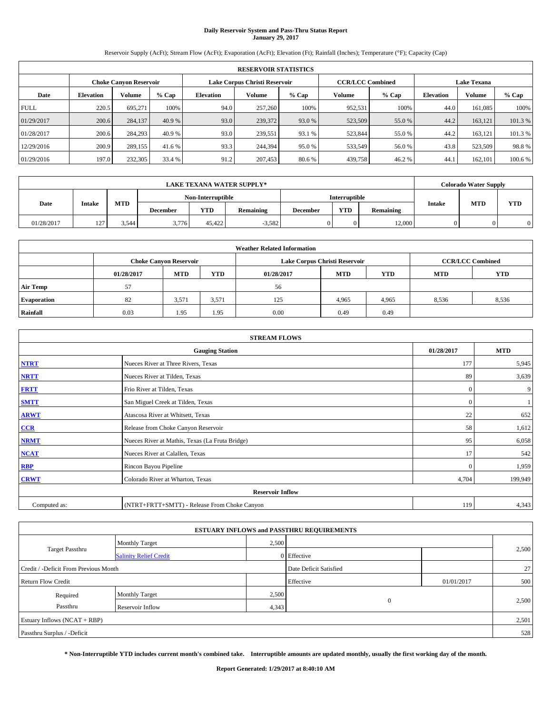# **Daily Reservoir System and Pass-Thru Status Report January 29, 2017**

Reservoir Supply (AcFt); Stream Flow (AcFt); Evaporation (AcFt); Elevation (Ft); Rainfall (Inches); Temperature (°F); Capacity (Cap)

|             | <b>RESERVOIR STATISTICS</b> |                               |         |                  |                               |         |                         |         |                  |                    |         |
|-------------|-----------------------------|-------------------------------|---------|------------------|-------------------------------|---------|-------------------------|---------|------------------|--------------------|---------|
|             |                             | <b>Choke Canyon Reservoir</b> |         |                  | Lake Corpus Christi Reservoir |         | <b>CCR/LCC Combined</b> |         |                  | <b>Lake Texana</b> |         |
| Date        | <b>Elevation</b>            | Volume                        | $%$ Cap | <b>Elevation</b> | Volume                        | $%$ Cap | Volume                  | $%$ Cap | <b>Elevation</b> | <b>Volume</b>      | % Cap   |
| <b>FULL</b> | 220.5                       | 695.271                       | 100%    | 94.0             | 257,260                       | 100%    | 952,531                 | 100%    | 44.0             | 161.085            | 100%    |
| 01/29/2017  | 200.6                       | 284,137                       | 40.9 %  | 93.0             | 239,372                       | 93.0 %  | 523,509                 | 55.0 %  | 44.2             | 163.121            | 101.3%  |
| 01/28/2017  | 200.6                       | 284,293                       | 40.9 %  | 93.0             | 239.551                       | 93.1 %  | 523,844                 | 55.0 %  | 44.2             | 163.121            | 101.3%  |
| 12/29/2016  | 200.9                       | 289,155                       | 41.6 %  | 93.3             | 244,394                       | 95.0%   | 533,549                 | 56.0%   | 43.8             | 523,509            | 98.8%   |
| 01/29/2016  | 197.0                       | 232,305                       | 33.4 %  | 91.2             | 207,453                       | 80.6%   | 439,758                 | 46.2%   | 44.              | 162,101            | 100.6 % |

| LAKE TEXANA WATER SUPPLY* |                   |            |                 |                   |           |                 |                      |           |               | <b>Colorado Water Supply</b> |            |
|---------------------------|-------------------|------------|-----------------|-------------------|-----------|-----------------|----------------------|-----------|---------------|------------------------------|------------|
|                           |                   |            |                 | Non-Interruptible |           |                 | <b>Interruptible</b> |           |               |                              |            |
| Date                      | <b>Intake</b>     | <b>MTD</b> | <b>December</b> | YTD               | Remaining | <b>December</b> | <b>YTD</b>           | Remaining | <b>Intake</b> | <b>MTD</b>                   | <b>YTD</b> |
| 01/28/2017                | 127<br>. <u>.</u> | 3.544      | 3,776           | 45.422            | $-3,582$  |                 | 0.                   | 12.000    |               |                              | $\Omega$   |

| <b>Weather Related Information</b> |            |                               |            |            |                               |                         |            |            |  |
|------------------------------------|------------|-------------------------------|------------|------------|-------------------------------|-------------------------|------------|------------|--|
|                                    |            | <b>Choke Canyon Reservoir</b> |            |            | Lake Corpus Christi Reservoir | <b>CCR/LCC Combined</b> |            |            |  |
|                                    | 01/28/2017 | <b>MTD</b>                    | <b>YTD</b> | 01/28/2017 | <b>MTD</b>                    | <b>YTD</b>              | <b>MTD</b> | <b>YTD</b> |  |
| <b>Air Temp</b>                    | 57         |                               |            | 56         |                               |                         |            |            |  |
| <b>Evaporation</b>                 | 82         | 3,571                         | 3,571      | 125        | 4,965                         | 4,965                   | 8.536      | 8,536      |  |
| Rainfall                           | 0.03       | 1.95                          | 1.95       | 0.00       | 0.49                          | 0.49                    |            |            |  |

| <b>STREAM FLOWS</b> |                                                 |            |            |  |  |  |  |  |  |
|---------------------|-------------------------------------------------|------------|------------|--|--|--|--|--|--|
|                     | <b>Gauging Station</b>                          | 01/28/2017 | <b>MTD</b> |  |  |  |  |  |  |
| <b>NTRT</b>         | Nueces River at Three Rivers, Texas             | 177        | 5,945      |  |  |  |  |  |  |
| <b>NRTT</b>         | Nueces River at Tilden, Texas                   | 89         | 3,639      |  |  |  |  |  |  |
| <b>FRTT</b>         | Frio River at Tilden, Texas                     | $\Omega$   | 9          |  |  |  |  |  |  |
| <b>SMTT</b>         | San Miguel Creek at Tilden, Texas               | $\Omega$   |            |  |  |  |  |  |  |
| <b>ARWT</b>         | Atascosa River at Whitsett, Texas               | 22         | 652        |  |  |  |  |  |  |
| CCR                 | Release from Choke Canyon Reservoir             | 58         | 1,612      |  |  |  |  |  |  |
| <b>NRMT</b>         | Nueces River at Mathis, Texas (La Fruta Bridge) | 95         | 6,058      |  |  |  |  |  |  |
| <b>NCAT</b>         | Nueces River at Calallen, Texas                 | 17         | 542        |  |  |  |  |  |  |
| RBP                 | Rincon Bayou Pipeline                           | $\Omega$   | 1,959      |  |  |  |  |  |  |
| <b>CRWT</b>         | Colorado River at Wharton, Texas                | 4,704      | 199,949    |  |  |  |  |  |  |
|                     | <b>Reservoir Inflow</b>                         |            |            |  |  |  |  |  |  |
| Computed as:        | (NTRT+FRTT+SMTT) - Release From Choke Canyon    | 119        | 4,343      |  |  |  |  |  |  |

| <b>ESTUARY INFLOWS and PASSTHRU REQUIREMENTS</b> |                               |       |                        |            |       |  |  |  |  |  |
|--------------------------------------------------|-------------------------------|-------|------------------------|------------|-------|--|--|--|--|--|
|                                                  | Monthly Target                | 2,500 |                        |            |       |  |  |  |  |  |
| <b>Target Passthru</b>                           | <b>Salinity Relief Credit</b> |       | 0 Effective            |            | 2,500 |  |  |  |  |  |
| Credit / -Deficit From Previous Month            |                               |       | Date Deficit Satisfied |            | 27    |  |  |  |  |  |
| <b>Return Flow Credit</b>                        |                               |       | Effective              | 01/01/2017 | 500   |  |  |  |  |  |
| Required                                         | Monthly Target                | 2,500 |                        |            |       |  |  |  |  |  |
| Passthru                                         | Reservoir Inflow              | 4,343 | $\mathbf{0}$           |            | 2,500 |  |  |  |  |  |
| Estuary Inflows (NCAT + RBP)                     |                               |       |                        |            | 2,501 |  |  |  |  |  |
| Passthru Surplus / -Deficit                      |                               |       |                        |            | 528   |  |  |  |  |  |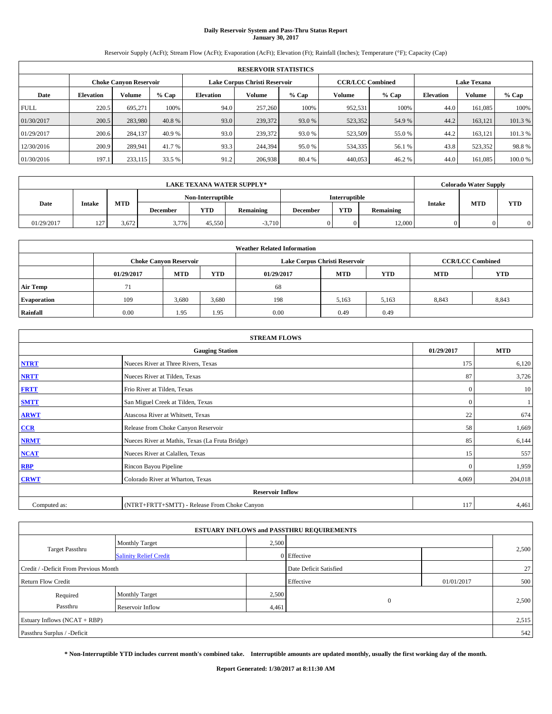# **Daily Reservoir System and Pass-Thru Status Report January 30, 2017**

Reservoir Supply (AcFt); Stream Flow (AcFt); Evaporation (AcFt); Elevation (Ft); Rainfall (Inches); Temperature (°F); Capacity (Cap)

|             | <b>RESERVOIR STATISTICS</b> |                               |         |                               |         |         |                         |         |                    |               |        |  |
|-------------|-----------------------------|-------------------------------|---------|-------------------------------|---------|---------|-------------------------|---------|--------------------|---------------|--------|--|
|             |                             | <b>Choke Canyon Reservoir</b> |         | Lake Corpus Christi Reservoir |         |         | <b>CCR/LCC Combined</b> |         | <b>Lake Texana</b> |               |        |  |
| Date        | <b>Elevation</b>            | Volume                        | $%$ Cap | <b>Elevation</b>              | Volume  | $%$ Cap | Volume                  | $%$ Cap | <b>Elevation</b>   | <b>Volume</b> | % Cap  |  |
| <b>FULL</b> | 220.5                       | 695.271                       | 100%    | 94.0                          | 257,260 | 100%    | 952,531                 | 100%    | 44.0               | 161.085       | 100%   |  |
| 01/30/2017  | 200.5                       | 283,980                       | 40.8 %  | 93.0                          | 239,372 | 93.0 %  | 523,352                 | 54.9 %  | 44.2               | 163,121       | 101.3% |  |
| 01/29/2017  | 200.6                       | 284,137                       | 40.9 %  | 93.0                          | 239,372 | 93.0 %  | 523,509                 | 55.0 %  | 44.2               | 163.121       | 101.3% |  |
| 12/30/2016  | 200.9                       | 289.941                       | 41.7 %  | 93.3                          | 244,394 | 95.0%   | 534,335                 | 56.1 %  | 43.8               | 523.352       | 98.8%  |  |
| 01/30/2016  | 197.1                       | 233,115                       | 33.5 %  | 91.2                          | 206,938 | 80.4 %  | 440,053                 | 46.2%   | 44.0               | 161.085       | 100.0% |  |

| <b>LAKE TEXANA WATER SUPPLY*</b> |                        |            |                   |        |                  |                      | <b>Colorado Water Supply</b> |           |               |            |            |
|----------------------------------|------------------------|------------|-------------------|--------|------------------|----------------------|------------------------------|-----------|---------------|------------|------------|
|                                  |                        |            | Non-Interruptible |        |                  | <b>Interruptible</b> |                              |           |               |            |            |
| Date                             | <b>Intake</b>          | <b>MTD</b> | <b>December</b>   | YTD    | <b>Remaining</b> | <b>December</b>      | <b>YTD</b>                   | Remaining | <b>Intake</b> | <b>MTD</b> | <b>YTD</b> |
| 01/29/2017                       | 127.<br>$\overline{ }$ | 3.672      | 3,776             | 45.550 | $-3.710$         |                      |                              | 12,000    |               |            | 0          |

| <b>Weather Related Information</b> |                               |            |            |            |                               |                         |            |            |  |  |
|------------------------------------|-------------------------------|------------|------------|------------|-------------------------------|-------------------------|------------|------------|--|--|
|                                    | <b>Choke Canyon Reservoir</b> |            |            |            | Lake Corpus Christi Reservoir | <b>CCR/LCC Combined</b> |            |            |  |  |
|                                    | 01/29/2017                    | <b>MTD</b> | <b>YTD</b> | 01/29/2017 | <b>MTD</b>                    | <b>YTD</b>              | <b>MTD</b> | <b>YTD</b> |  |  |
| <b>Air Temp</b>                    | 71                            |            |            | 68         |                               |                         |            |            |  |  |
| <b>Evaporation</b>                 | 109                           | 3,680      | 3,680      | 198        | 5,163                         | 5,163                   | 8,843      | 8,843      |  |  |
| Rainfall                           | 0.00                          | 1.95       | 1.95       | 0.00       | 0.49                          | 0.49                    |            |            |  |  |

| <b>STREAM FLOWS</b> |                                                 |              |            |  |  |  |  |  |  |
|---------------------|-------------------------------------------------|--------------|------------|--|--|--|--|--|--|
|                     | <b>Gauging Station</b>                          | 01/29/2017   | <b>MTD</b> |  |  |  |  |  |  |
| <b>NTRT</b>         | Nueces River at Three Rivers, Texas             | 175          | 6,120      |  |  |  |  |  |  |
| <b>NRTT</b>         | Nueces River at Tilden, Texas                   | 87           | 3,726      |  |  |  |  |  |  |
| <b>FRTT</b>         | Frio River at Tilden, Texas                     | $\mathbf{0}$ | 10         |  |  |  |  |  |  |
| <b>SMTT</b>         | San Miguel Creek at Tilden, Texas               | $\mathbf{0}$ |            |  |  |  |  |  |  |
| <b>ARWT</b>         | Atascosa River at Whitsett, Texas               | 22           | 674        |  |  |  |  |  |  |
| CCR                 | Release from Choke Canyon Reservoir             | 58           | 1,669      |  |  |  |  |  |  |
| <b>NRMT</b>         | Nueces River at Mathis, Texas (La Fruta Bridge) | 85           | 6,144      |  |  |  |  |  |  |
| <b>NCAT</b>         | Nueces River at Calallen, Texas                 | 15           | 557        |  |  |  |  |  |  |
| <b>RBP</b>          | Rincon Bayou Pipeline                           | $\mathbf{0}$ | 1,959      |  |  |  |  |  |  |
| <b>CRWT</b>         | Colorado River at Wharton, Texas                | 4,069        | 204,018    |  |  |  |  |  |  |
|                     | <b>Reservoir Inflow</b>                         |              |            |  |  |  |  |  |  |
| Computed as:        | (NTRT+FRTT+SMTT) - Release From Choke Canyon    | 117          | 4,461      |  |  |  |  |  |  |

|                                       |                               |       | <b>ESTUARY INFLOWS and PASSTHRU REQUIREMENTS</b> |            |       |  |
|---------------------------------------|-------------------------------|-------|--------------------------------------------------|------------|-------|--|
|                                       | <b>Monthly Target</b>         | 2,500 |                                                  |            |       |  |
| <b>Target Passthru</b>                | <b>Salinity Relief Credit</b> |       | 0 Effective                                      |            | 2,500 |  |
| Credit / -Deficit From Previous Month |                               |       | Date Deficit Satisfied                           |            | 27    |  |
| <b>Return Flow Credit</b>             |                               |       | Effective                                        | 01/01/2017 | 500   |  |
| Required                              | Monthly Target                | 2,500 |                                                  |            |       |  |
| Passthru                              | Reservoir Inflow              | 4,461 | $\mathbf{0}$                                     |            | 2,500 |  |
| Estuary Inflows (NCAT + RBP)          |                               |       |                                                  |            | 2,515 |  |
| Passthru Surplus / -Deficit           |                               |       |                                                  |            | 542   |  |